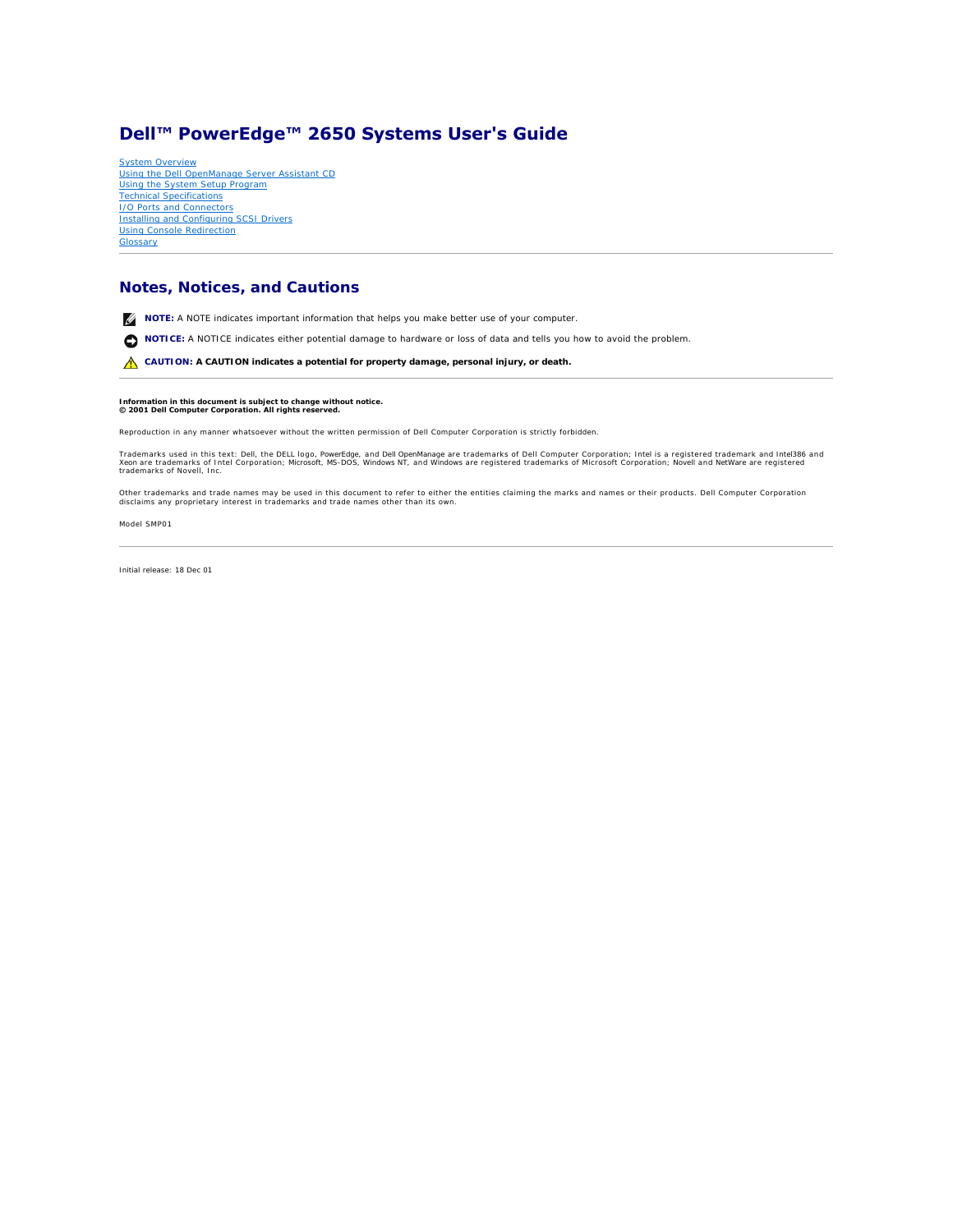# <span id="page-0-0"></span>**Dell™ PowerEdge™ 2650 Systems User's Guide**

[System Overview](file:///C:/data/systems/pe2650/en/ug/5g387c10.htm#1039152) [Using the Dell OpenManage Server Assistant CD](file:///C:/data/systems/pe2650/en/ug/5g387c20.htm#1039152) [Using the System Setup Program](file:///C:/data/systems/pe2650/en/ug/5g387c30.htm#1039152) [Technical Specifications](file:///C:/data/systems/pe2650/en/ug/5g387aa0.htm#1039239) **[I/O Ports and Connectors](file:///C:/data/systems/pe2650/en/ug/5g387ab0.htm#1039239)** [Installing and Configuring SCSI Drivers](file:///C:/data/systems/pe2650/en/ug/5g387ac0.htm#1039239) [Using Console Redirection](file:///C:/data/systems/pe2650/en/ug/5g387ad0.htm#1040841) **[Glossary](file:///C:/data/systems/pe2650/en/ug/5g387gl0.htm#1037828)** 

# **Notes, Notices, and Cautions**

**NOTE:** A NOTE indicates important information that helps you make better use of your computer.

**NOTICE:** A NOTICE indicates either potential damage to hardware or loss of data and tells you how to avoid the problem.

CAUTION: A CAUTION indicates a potential for property damage, personal injury, or death.

# **Information in this document is subject to change without notice. © 2001 Dell Computer Corporation. All rights reserved.**

Reproduction in any manner whatsoever without the written permission of Dell Computer Corporation is strictly forbidden.

Trademarks used in this text: *Dell,* the DELL logo, *PowerEdge,* and Dell OpenManage are trademarks of Dell Computer Corporation; I*ntel* is a registered trademark and I*ntel386* and<br>Xeon are trademarks of Intel Corporati

Other trademarks and trade names may be used in this document to refer to either the entities claiming the marks and names or their products. Dell Computer Corporation<br>disclaims any proprietary interest in trademarks and t

Model SMP01

*Initial release: 18 Dec 01*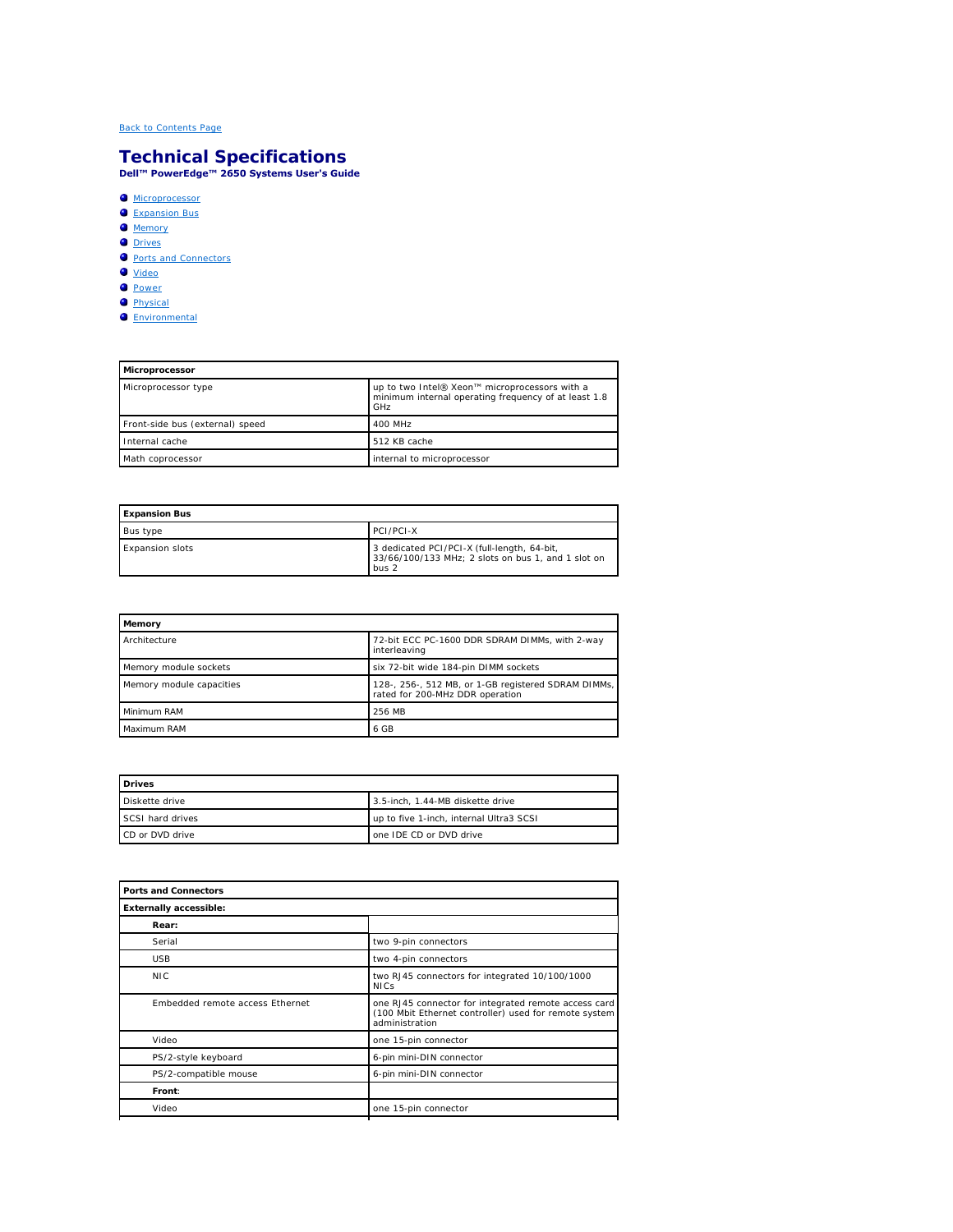# <span id="page-1-0"></span>**Technical Specifications Dell™ PowerEdge™ 2650 Systems User's Guide**

#### **[Microprocessor](#page-1-1)**

- [Expansion Bus](#page-1-2)
- **O** [Memory](#page-1-3)
- O [Drives](#page-1-4)
- <u>[Ports and Connectors](#page-1-5)</u>
- $\overline{\bullet}$  [Video](#page-2-0)

 $\blacksquare$ 

- **[Power](#page-2-1)**
- **[Physical](#page-2-2)**
- **O** [Environmental](#page-2-3)

<span id="page-1-1"></span>

| Microprocessor                  |                                                                                                              |  |
|---------------------------------|--------------------------------------------------------------------------------------------------------------|--|
| Microprocessor type             | up to two Intel® Xeon™ microprocessors with a<br>minimum internal operating frequency of at least 1.8<br>GHz |  |
| Front-side bus (external) speed | 400 MHz                                                                                                      |  |
| Internal cache                  | 512 KB cache                                                                                                 |  |
| Math coprocessor                | internal to microprocessor                                                                                   |  |

<span id="page-1-2"></span>

| <b>Expansion Bus</b> |                                                                                                            |
|----------------------|------------------------------------------------------------------------------------------------------------|
| Bus type             | <b>PCI/PCI-X</b>                                                                                           |
| Expansion slots      | 3 dedicated PCI/PCI-X (full-length, 64-bit,<br>33/66/100/133 MHz; 2 slots on bus 1, and 1 slot on<br>bus 2 |

<span id="page-1-3"></span>

| Memory                   |                                                                                        |
|--------------------------|----------------------------------------------------------------------------------------|
| Architecture             | 72-bit ECC PC-1600 DDR SDRAM DIMMs, with 2-way<br>interleaving                         |
| Memory module sockets    | six 72-bit wide 184-pin DIMM sockets                                                   |
| Memory module capacities | 128-, 256-, 512 MB, or 1-GB registered SDRAM DIMMs,<br>rated for 200-MHz DDR operation |
| Minimum RAM              | 256 MB                                                                                 |
| Maximum RAM              | 6 GB                                                                                   |

<span id="page-1-4"></span>

| <b>Drives</b>    |                                         |  |
|------------------|-----------------------------------------|--|
| Diskette drive   | 3.5-inch. 1.44-MB diskette drive        |  |
| SCSI hard drives | up to five 1-inch, internal Ultra3 SCSI |  |
| CD or DVD drive  | one IDE CD or DVD drive                 |  |

<span id="page-1-5"></span>

| Ports and Connectors            |                                                                                                                                 |  |
|---------------------------------|---------------------------------------------------------------------------------------------------------------------------------|--|
| Externally accessible:          |                                                                                                                                 |  |
| Rear:                           |                                                                                                                                 |  |
| Serial                          | two 9-pin connectors                                                                                                            |  |
| <b>USB</b>                      | two 4-pin connectors                                                                                                            |  |
| <b>NIC</b>                      | two RJ45 connectors for integrated 10/100/1000<br><b>NICs</b>                                                                   |  |
| Embedded remote access Ethernet | one RJ45 connector for integrated remote access card<br>(100 Mbit Ethernet controller) used for remote system<br>administration |  |
| Video                           | one 15-pin connector                                                                                                            |  |
| PS/2-style keyboard             | 6-pin mini-DIN connector                                                                                                        |  |
| PS/2-compatible mouse           | 6-pin mini-DIN connector                                                                                                        |  |
| Front:                          |                                                                                                                                 |  |
| Video                           | one 15-pin connector                                                                                                            |  |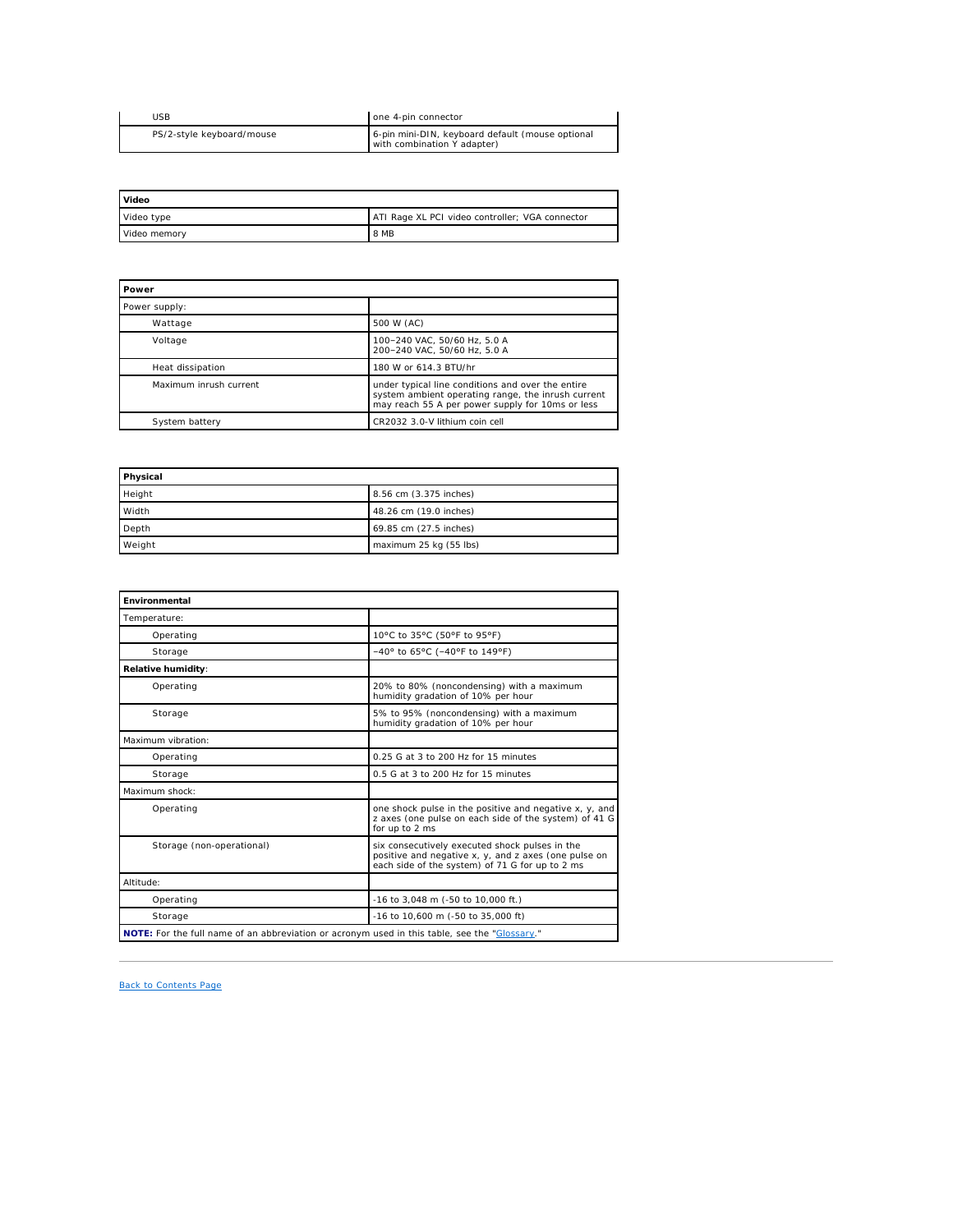| <b>JSB</b>                | one 4-pin connector                                                             |
|---------------------------|---------------------------------------------------------------------------------|
| PS/2-style keyboard/mouse | 6-pin mini-DIN, keyboard default (mouse optional<br>with combination Y adapter) |

<span id="page-2-0"></span>

| Video        |                                                 |
|--------------|-------------------------------------------------|
| Video type   | ATI Rage XL PCI video controller; VGA connector |
| Video memory | l 8 MB                                          |

<span id="page-2-1"></span>

| Power                  |                                                                                                                                                             |  |
|------------------------|-------------------------------------------------------------------------------------------------------------------------------------------------------------|--|
| Power supply:          |                                                                                                                                                             |  |
| Wattage                | 500 W (AC)                                                                                                                                                  |  |
| Voltage                | 100-240 VAC, 50/60 Hz, 5.0 A<br>200-240 VAC, 50/60 Hz, 5.0 A                                                                                                |  |
| Heat dissipation       | 180 W or 614.3 BTU/hr                                                                                                                                       |  |
| Maximum inrush current | under typical line conditions and over the entire<br>system ambient operating range, the inrush current<br>may reach 55 A per power supply for 10ms or less |  |
| System battery         | CR2032 3.0-V lithium coin cell                                                                                                                              |  |

<span id="page-2-2"></span>

| Physical |                        |
|----------|------------------------|
| Height   | 8.56 cm (3.375 inches) |
| Width    | 48.26 cm (19.0 inches) |
| Depth    | 69.85 cm (27.5 inches) |
| Weight   | maximum 25 kg (55 lbs) |

<span id="page-2-3"></span>

| Environmental                                                                                 |                                                                                                                                                           |  |
|-----------------------------------------------------------------------------------------------|-----------------------------------------------------------------------------------------------------------------------------------------------------------|--|
| Temperature:                                                                                  |                                                                                                                                                           |  |
| Operating                                                                                     | 10°C to 35°C (50°F to 95°F)                                                                                                                               |  |
| Storage                                                                                       | -40° to 65°C (-40°F to 149°F)                                                                                                                             |  |
| Relative humidity:                                                                            |                                                                                                                                                           |  |
| Operating                                                                                     | 20% to 80% (noncondensing) with a maximum<br>humidity gradation of 10% per hour                                                                           |  |
| Storage                                                                                       | 5% to 95% (noncondensing) with a maximum<br>humidity gradation of 10% per hour                                                                            |  |
| Maximum vibration:                                                                            |                                                                                                                                                           |  |
| Operating                                                                                     | 0.25 G at 3 to 200 Hz for 15 minutes                                                                                                                      |  |
| Storage                                                                                       | 0.5 G at 3 to 200 Hz for 15 minutes                                                                                                                       |  |
| Maximum shock:                                                                                |                                                                                                                                                           |  |
| Operating                                                                                     | one shock pulse in the positive and negative x, y, and<br>z axes (one pulse on each side of the system) of 41 G<br>for up to 2 ms                         |  |
| Storage (non-operational)                                                                     | six consecutively executed shock pulses in the<br>positive and negative x, y, and z axes (one pulse on<br>each side of the system) of 71 G for up to 2 ms |  |
| Altitude:                                                                                     |                                                                                                                                                           |  |
| Operating                                                                                     | -16 to 3,048 m (-50 to 10,000 ft.)                                                                                                                        |  |
| Storage                                                                                       | -16 to 10,600 m (-50 to 35,000 ft)                                                                                                                        |  |
| NOTE: For the full name of an abbreviation or acronym used in this table, see the "Glossary." |                                                                                                                                                           |  |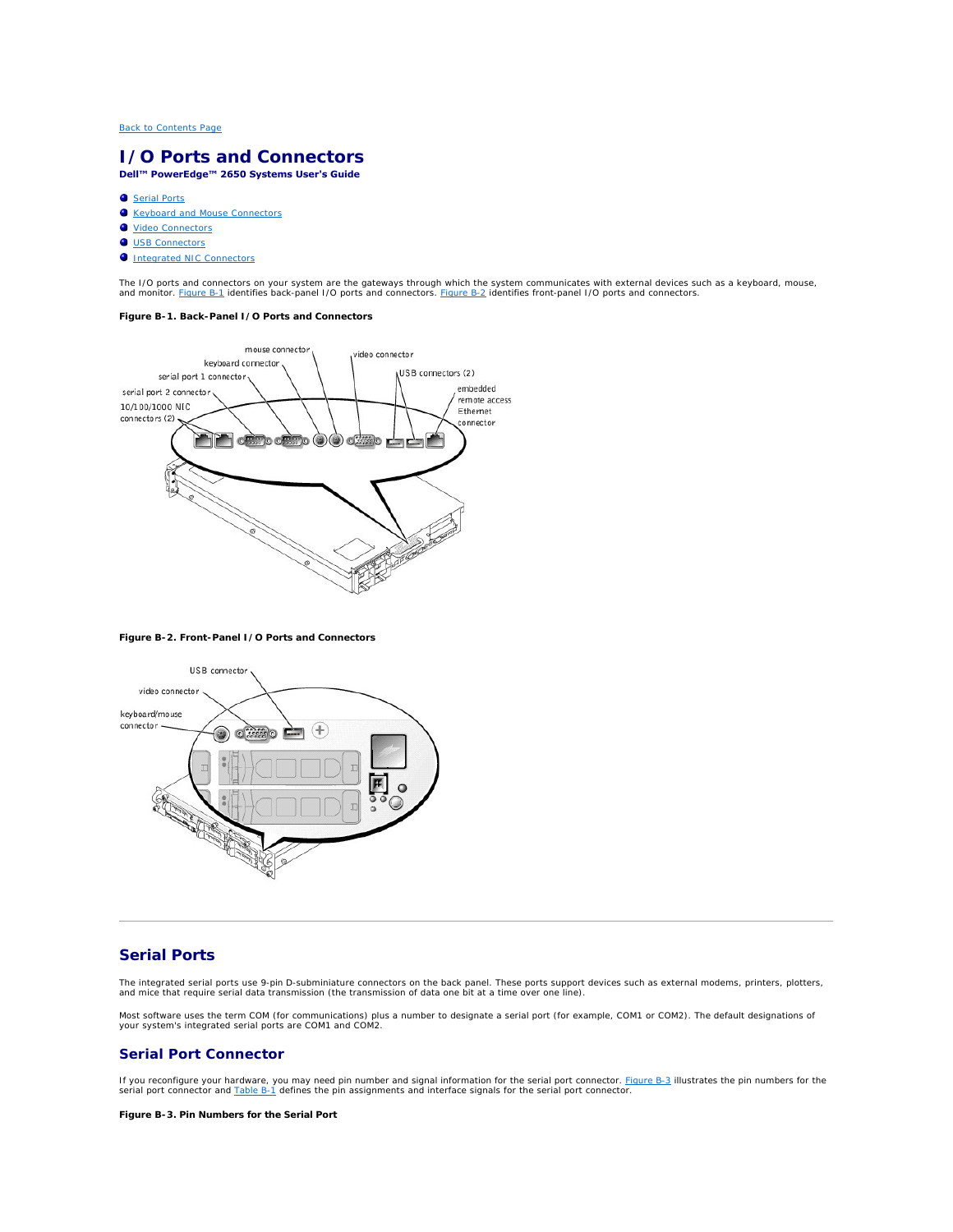# <span id="page-3-0"></span>**I/O Ports and Connectors Dell™ PowerEdge™ 2650 Systems User's Guide**

- **O** [Serial Ports](#page-3-1)
- **C** [Keyboard and Mouse Connectors](#page-4-0)
- [Video Connectors](#page-6-0)
- O [USB Connectors](#page-6-1)
- 
- **O** [Integrated NIC Connectors](#page-7-0)

The I/O ports and connectors on your system are the gateways through which the system communicates with external devices such as a keyboard, mouse,<br>and monitor. <u>[Figure B](#page-3-3)-1</u> identifies back-panel I/O ports and connectors.

# <span id="page-3-2"></span>**Figure B-1. Back-Panel I/O Ports and Connectors**



# <span id="page-3-3"></span>**Figure B-2. Front-Panel I/O Ports and Connectors**



# <span id="page-3-1"></span>**Serial Ports**

The integrated serial ports use 9-pin D-subminiature connectors on the back panel. These ports support devices such as external modems, printers, plotters,<br>and mice that require serial data transmission (the transmission o

Most software uses the term COM (for communications) plus a number to designate a serial port (for example, COM1 or COM2). The default designations of your system's integrated serial ports are COM1 and COM2.

## **Serial Port Connector**

If you reconfigure your hardware, you may need pin number and signal information for the serial port connector. [Figure B](#page-3-4)-3 illustrates the pin numbers for the serial port connector and [Table B](#page-4-1)-1 defines the pin assignments and interface signals for the serial port connector.

<span id="page-3-4"></span>**Figure B-3. Pin Numbers for the Serial Port**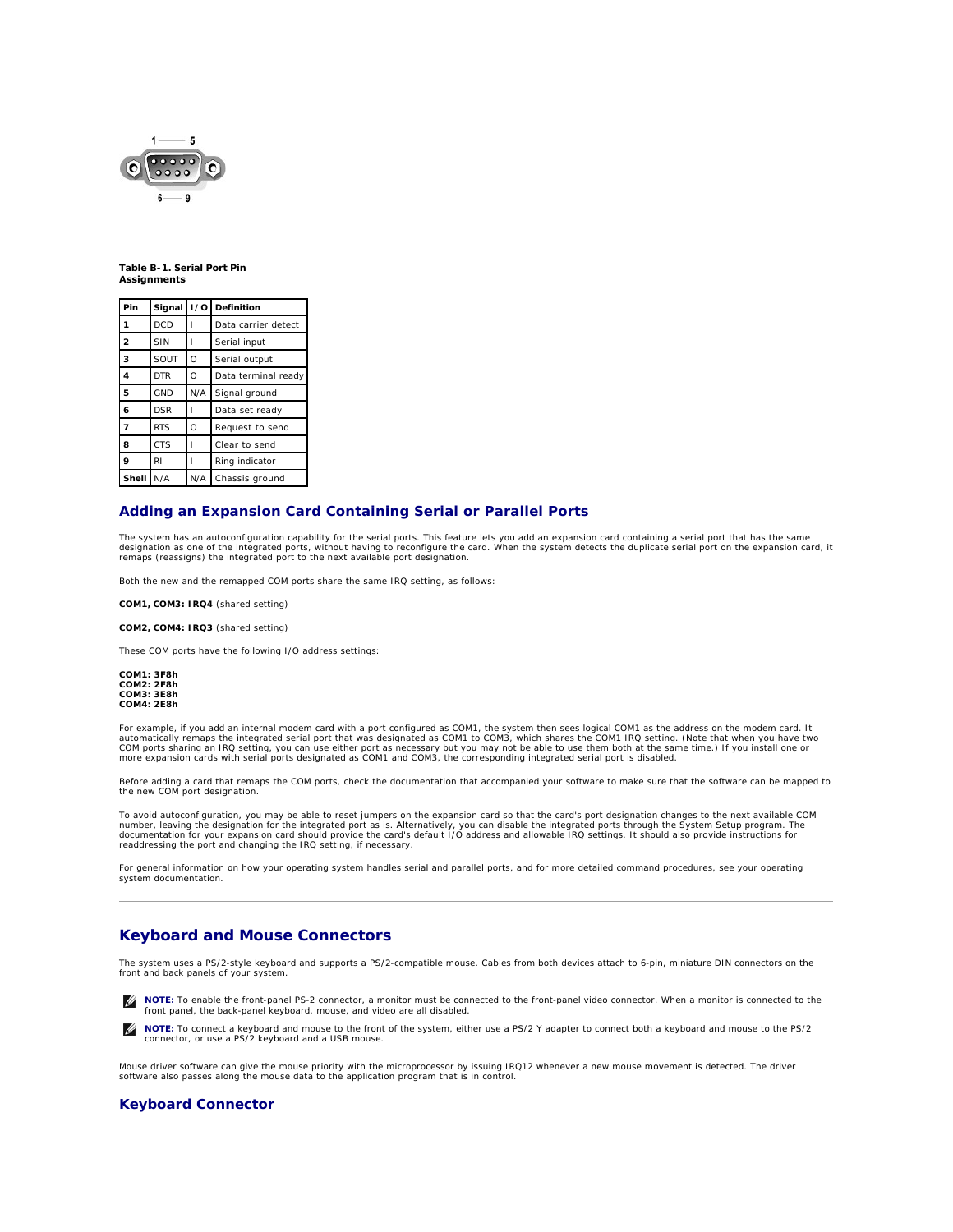<span id="page-4-2"></span>

#### <span id="page-4-1"></span>**Table B-1. Serial Port Pin Assignments**

| Pin                     | Signal     | 1/0      | Definition          |
|-------------------------|------------|----------|---------------------|
| 1                       | <b>DCD</b> |          | Data carrier detect |
| $\overline{2}$          | SIN        |          | Serial input        |
| 3                       | SOUT       | $\circ$  | Serial output       |
| $\overline{\mathbf{4}}$ | <b>DTR</b> | $\Omega$ | Data terminal ready |
| 5                       | <b>GND</b> | N/A      | Signal ground       |
| 6                       | <b>DSR</b> |          | Data set ready      |
| $\overline{7}$          | <b>RTS</b> | $\circ$  | Request to send     |
| 8                       | <b>CTS</b> |          | Clear to send       |
| 9                       | RI         |          | Ring indicator      |
| Shell                   | N/A        | N/A      | Chassis ground      |

# **Adding an Expansion Card Containing Serial or Parallel Ports**

The system has an autoconfiguration capability for the serial ports. This feature lets you add an expansion card containing a serial port that has the same<br>designation as one of the integrated ports, without having to reco remaps (reassigns) the integrated port to the next available port designation.

Both the new and the remapped COM ports share the same IRQ setting, as follows:

**COM1, COM3: IRQ4** (shared setting)

**COM2, COM4: IRQ3** (shared setting)

These COM ports have the following I/O address settings:

**COM1: 3F8h COM2: 2F8h COM3: 3E8h COM4: 2E8h**

For example, if you add an internal modem card with a port configured as COM1, the system then sees logical COM1 as the address on the modem card. It<br>automatically remaps the integrated serial port that was designated as C

Before adding a card that remaps the COM ports, check the documentation that accompanied your software to make sure that the software can be mapped to the new COM port designation.

To avoid autoconfiguration, you may be able to reset jumpers on the expansion card so that the card's port designation changes to the next available COM number, leaving the designation for the integrated port as is. Alternatively, you can disable the integrated ports through the System Setup program. The<br>documentation for your expansion card should provide the card's defau readdressing the port and changing the IRQ setting, if necessary.

For general information on how your operating system handles serial and parallel ports, and for more detailed command procedures, see your operating system documentation.

# <span id="page-4-0"></span>**Keyboard and Mouse Connectors**

The system uses a PS/2-style keyboard and supports a PS/2-compatible mouse. Cables from both devices attach to 6-pin, miniature DIN connectors on the front and back panels of your system.

**NOTE:** To enable the front-panel PS-2 connector, a monitor must be connected to the front-panel video connector. When a monitor is connected to the Ø front panel, the back-panel keyboard, mouse, and video are all disabled.

**NOTE:** To connect a keyboard and mouse to the front of the system, either use a PS/2 Y adapter to connect both a keyboard and mouse to the PS/2 connector, or use a PS/2 keyboard and a USB mouse.

Mouse driver software can give the mouse priority with the microprocessor by issuing IRQ12 whenever a new mouse movement is detected. The driver<br>software also passes along the mouse data to the application program that is

# **Keyboard Connector**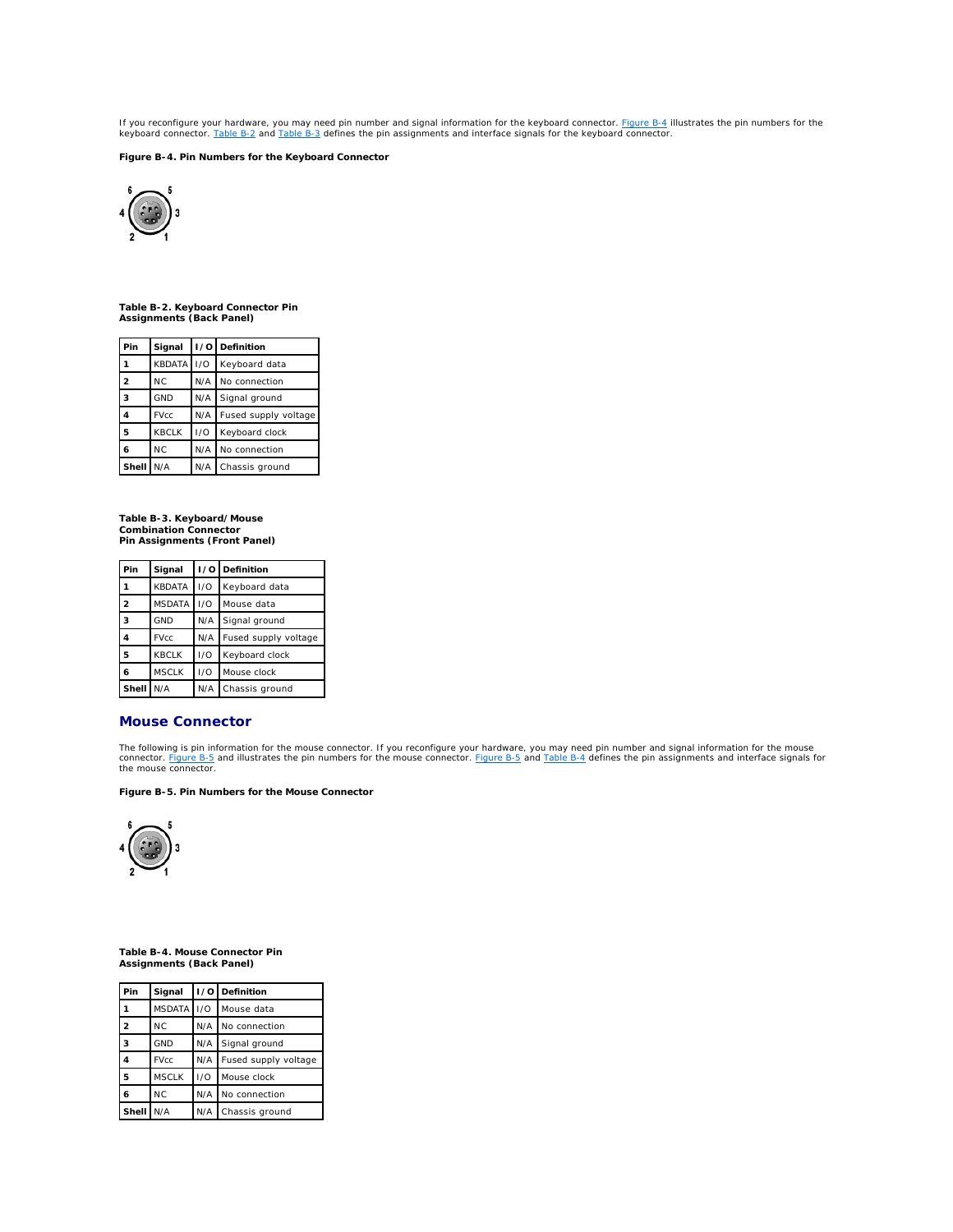<span id="page-5-5"></span>If you reconfigure your hardware, you may need pin number and signal information for the keyboard connector. <u>[Figure B](#page-5-0)-4</u> illustrates the pin numbers for the<br>keyboard connector. <u>[Table B](#page-5-2)-2</u> and <u>Table B-3</u> defines the pin

<span id="page-5-0"></span>**Figure B-4. Pin Numbers for the Keyboard Connector** 



<span id="page-5-1"></span>**Table B-2. Keyboard Connector Pin Assignments (Back Panel)**

| Pin            | Signal        |     | I/O Definition       |
|----------------|---------------|-----|----------------------|
|                | <b>KBDATA</b> | 1/O | Keyboard data        |
| $\overline{2}$ | <b>NC</b>     | N/A | No connection        |
| 3              | <b>GND</b>    | N/A | Signal ground        |
|                | <b>FVcc</b>   | N/A | Fused supply voltage |
| 5              | <b>KBCLK</b>  | 1/O | Keyboard clock       |
| 6              | <b>NC</b>     | N/A | No connection        |
| Shell          | N/A           | N/A | Chassis ground       |

<span id="page-5-2"></span>**Table B-3. Keyboard/Mouse Combination Connector Pin Assignments (Front Panel)**

| Pin            | Signal        |     | I/O Definition       |
|----------------|---------------|-----|----------------------|
|                | <b>KBDATA</b> | 1/O | Keyboard data        |
| $\overline{2}$ | <b>MSDATA</b> | 1/O | Mouse data           |
| 3              | <b>GND</b>    | N/A | Signal ground        |
| 4              | <b>FVcc</b>   | N/A | Fused supply voltage |
| 5              | <b>KBCLK</b>  | 1/O | Keyboard clock       |
| 6              | <b>MSCLK</b>  | 1/O | Mouse clock          |
| Shell          | N/A           | N/A | Chassis ground       |

# **Mouse Connector**

The following is pin information for the mouse connector. If you reconfigure your hardware, you may need pin number and signal information for the mouse<br>connector. <u>[Figure B](#page-5-3)-5</u> and illustrates the pin numbers for the mouse

### <span id="page-5-3"></span>**Figure B-5. Pin Numbers for the Mouse Connector**



<span id="page-5-4"></span> **Table B-4. Mouse Connector Pin Assignments (Back Panel)**

| Pin            | Signal        |     | I/O Definition       |
|----------------|---------------|-----|----------------------|
|                | <b>MSDATA</b> | 1/O | Mouse data           |
| $\mathfrak{p}$ | <b>NC</b>     | N/A | No connection        |
| 3              | <b>GND</b>    | N/A | Signal ground        |
| 4              | <b>FVcc</b>   | N/A | Fused supply voltage |
| 5              | <b>MSCLK</b>  | 1/O | Mouse clock          |
| 6              | <b>NC</b>     | N/A | No connection        |
| Shell          | N/A           | N/A | Chassis ground       |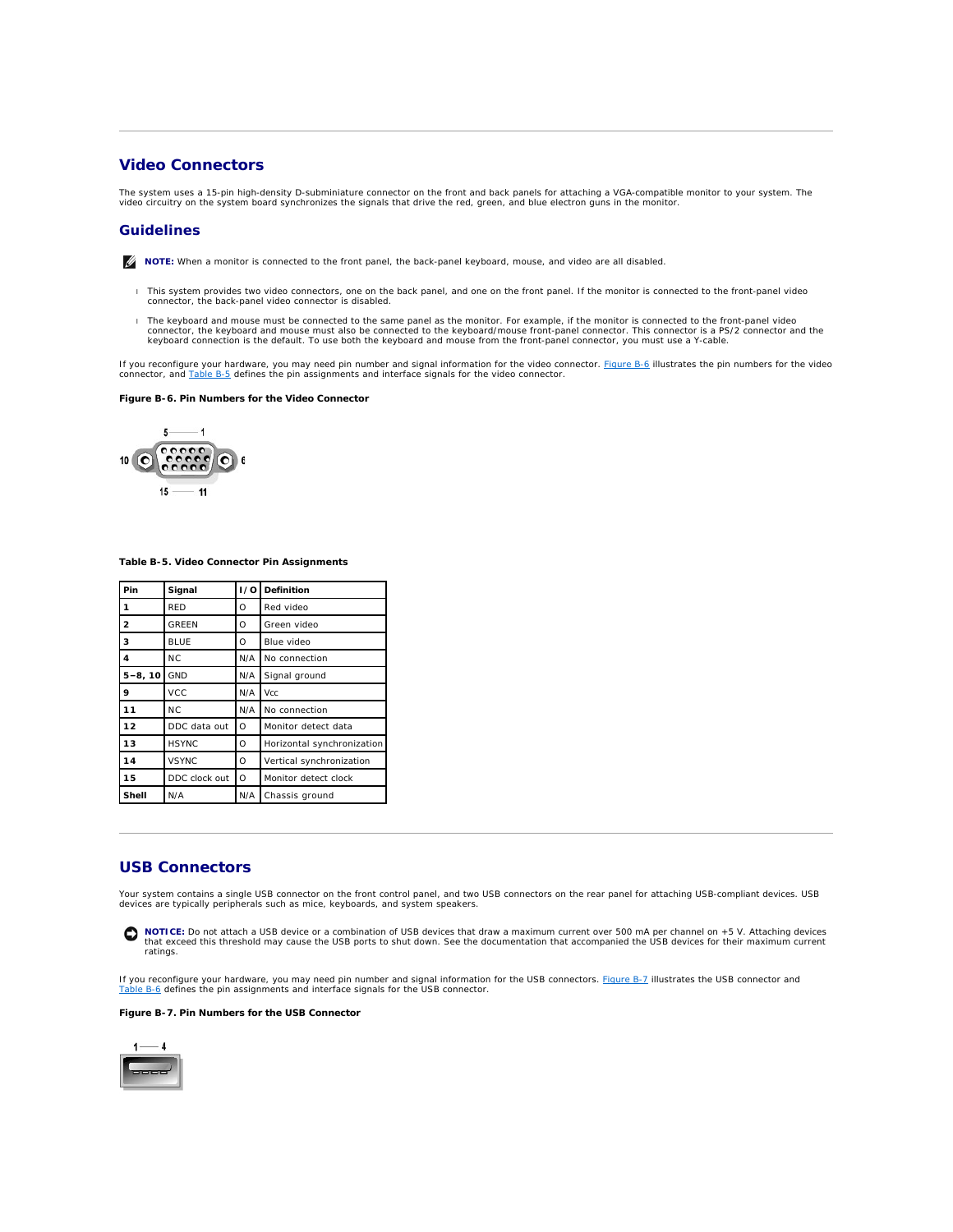# <span id="page-6-5"></span><span id="page-6-0"></span>**Video Connectors**

The system uses a 15-pin high-density D-subminiature connector on the front and back panels for attaching a VGA-compatible monitor to your system. The<br>video circuitry on the system board synchronizes the signals that drive

# **Guidelines**

**NOTE:** When a monitor is connected to the front panel, the back-panel keyboard, mouse, and video are all disabled.

- l This system provides two video connectors, one on the back panel, and one on the front panel. If the monitor is connected to the front-panel video connector, the back-panel video connector is disabled.
- The keyboard and mouse must be connected to the same panel as the monitor. For example, if the monitor is connected to the front-panel video<br>connector, the keyboard and mouse must also be connected to the keyboard/mouse fr

If you reconfigure your hardware, you may need pin number and signal information for the video connector. <u>Fiqure B-6</u> illustrates the pin numbers for the video<br>connector, and <u>[Table B](#page-6-3)-5</u> defines the pin assignments and in

### <span id="page-6-2"></span>**Figure B-6. Pin Numbers for the Video Connector**



<span id="page-6-3"></span>**Table B-5. Video Connector Pin Assignments**

| Pin            | Signal         | ı ⁄ol    | Definition                 |
|----------------|----------------|----------|----------------------------|
| 1              | <b>RED</b>     | O        | Red video                  |
| $\overline{2}$ | <b>GREEN</b>   | O        | Green video                |
| 3              | <b>BLUE</b>    | $\Omega$ | Blue video                 |
| 4              | N <sub>C</sub> | N/A      | No connection              |
| $5 - 8, 10$    | <b>GND</b>     | N/A      | Signal ground              |
| 9              | <b>VCC</b>     | N/A      | Vcc                        |
| 11             | <b>NC</b>      | N/A      | No connection              |
| 12             | DDC data out   | $\circ$  | Monitor detect data        |
| 13             | <b>HSYNC</b>   | O        | Horizontal synchronization |
| 14             | <b>VSYNC</b>   | O        | Vertical synchronization   |
| 15             | DDC clock out  | $\Omega$ | Monitor detect clock       |
| Shell          | N/A            | N/A      | Chassis ground             |

# <span id="page-6-1"></span>**USB Connectors**

Your system contains a single USB connector on the front control panel, and two USB connectors on the rear panel for attaching USB-compliant devices. USB devices are typically peripherals such as mice, keyboards, and system speakers.

0 **NOTICE:** Do not attach a USB device or a combination of USB devices that draw a maximum current over 500 mA per channel on +5 V. Attaching devices<br>that exceed this threshold may cause the USB ports to shut down. See the d ratings.

If you reconfigure your hardware, you may need pin number and signal information for the USB connectors. <u>Fiqure B-7</u> illustrates the USB connector and<br><u>[Table B](#page-7-1)-6</u> defines the pin assignments and interface signals for the

#### <span id="page-6-4"></span>**Figure B-7. Pin Numbers for the USB Connector**

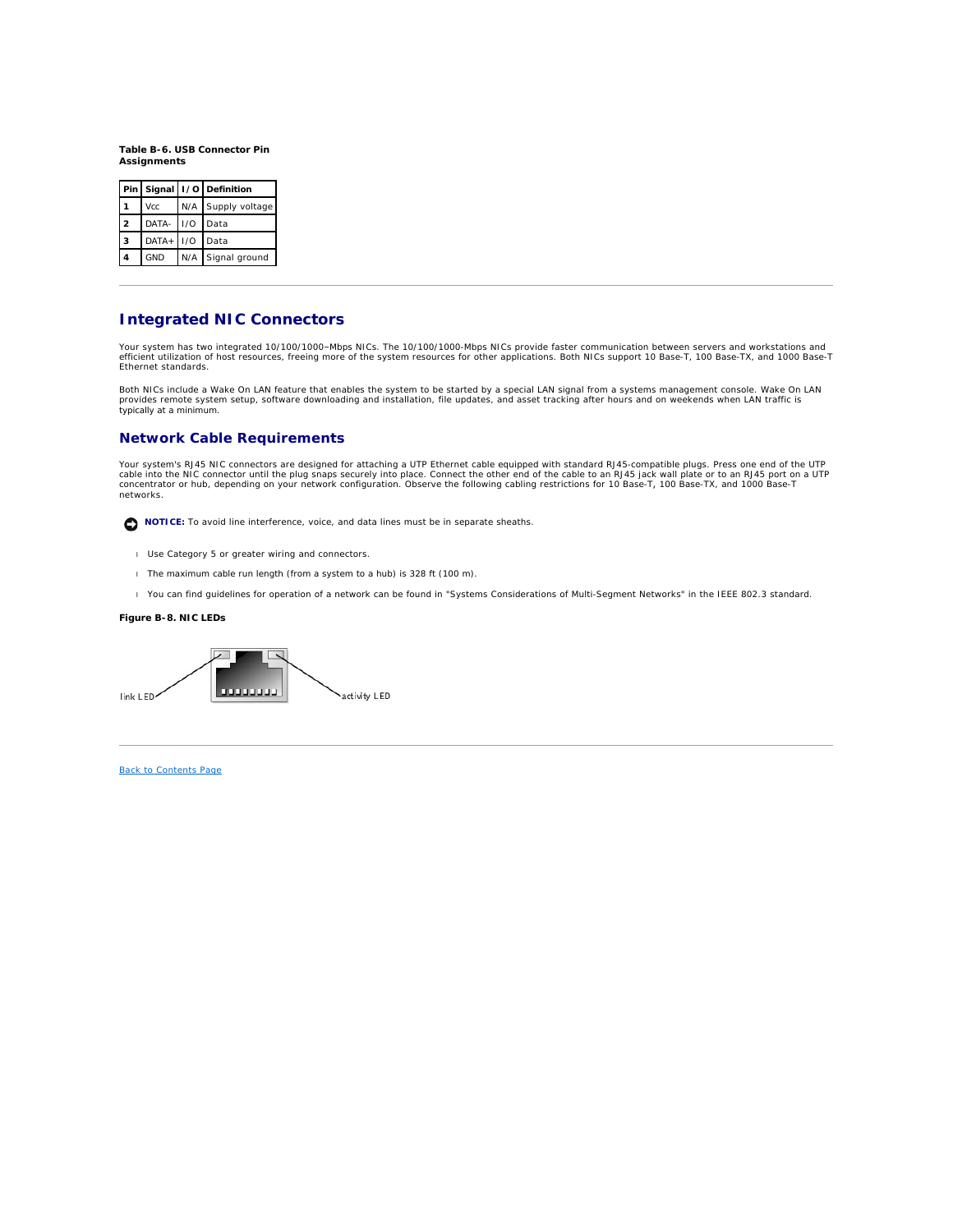<span id="page-7-2"></span><span id="page-7-1"></span>**Table B-6. USB Connector Pin Assignments**

|                |              | Pin   Signal   I/O   Definition |
|----------------|--------------|---------------------------------|
|                | <b>Vcc</b>   | N/A Supply voltage              |
| $\overline{a}$ | DATA- 1/0    | Data                            |
| 3              | $DATA + 1/O$ | Data                            |
| 4              | <b>GND</b>   | N/A Signal ground               |

# <span id="page-7-0"></span>**Integrated NIC Connectors**

Your system has two integrated 10/100/1000–Mbps NICs. The 10/100/1000-Mbps NICs provide faster communication between servers and workstations and<br>efficient utilization of host resources, freeing more of the system resource

Both NICs include a Wake On LAN feature that enables the system to be started by a special LAN signal from a systems management console. Wake On LAN provides remote system setup, software downloading and installation, file updates, and asset tracking after hours and on weekends when LAN traffic is typically at a minimum.

# **Network Cable Requirements**

Your system's RJ45 NIC connectors are designed for attaching a UTP Ethernet cable equipped with standard RJ45-compatible plugs. Press one end of the UTP cable into the NIC connector until the plug snaps securely into place. Connect the other end of the cable to an RJ45 jack wall plate or to an RJ45 port on a UTP<br>concentrator or hub, depending on your network configuration. networks.

**NOTICE:** To avoid line interference, voice, and data lines must be in separate sheaths.

- l Use Category 5 or greater wiring and connectors.
- l The maximum cable run length (from a system to a hub) is 328 ft (100 m).
- l You can find guidelines for operation of a network can be found in "Systems Considerations of Multi-Segment Networks" in the IEEE 802.3 standard.

# **Figure B-8. NIC LEDs**



[Back to Contents Page](file:///C:/data/systems/pe2650/en/ug/index.htm)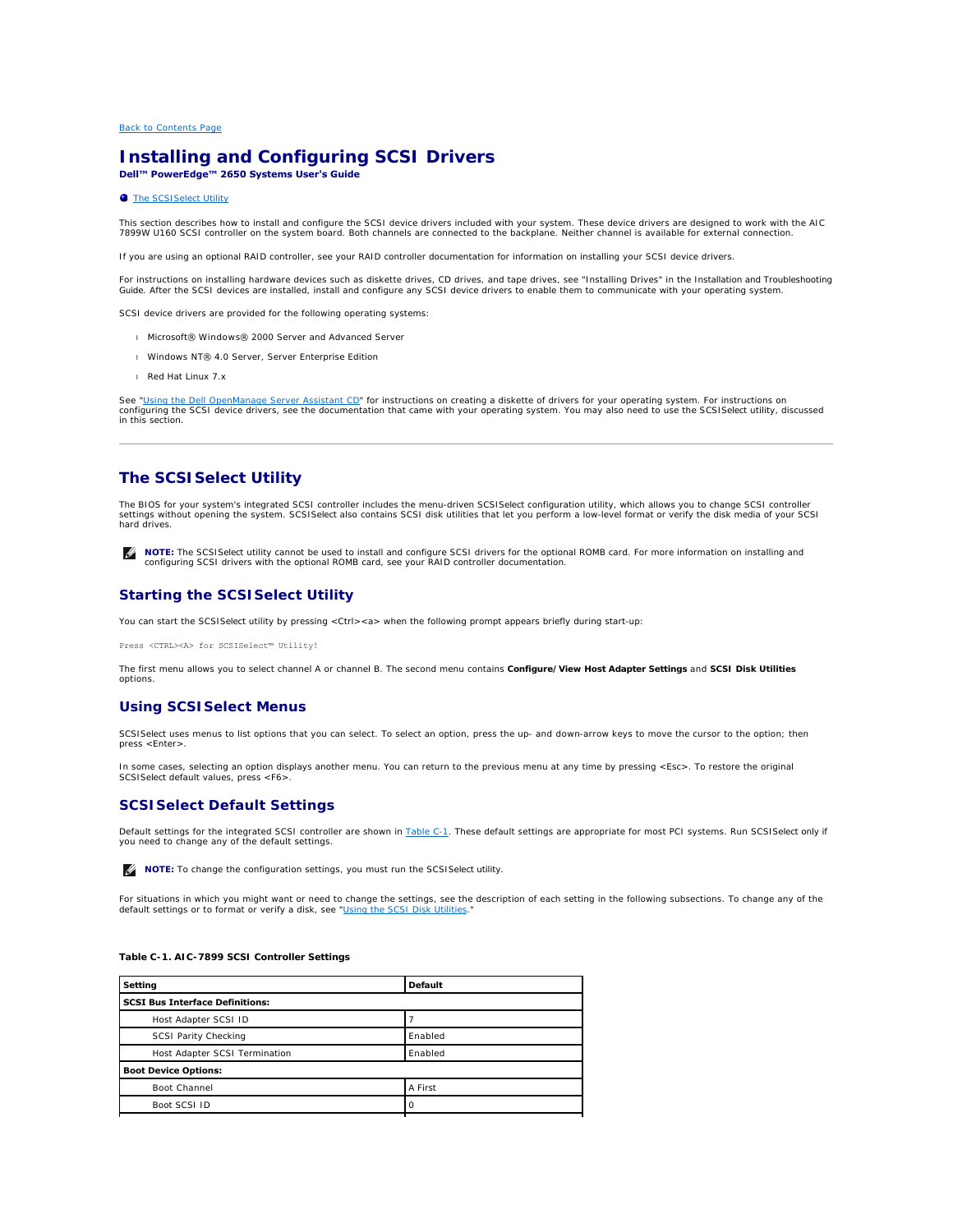# <span id="page-8-0"></span>**Installing and Configuring SCSI Drivers Dell™ PowerEdge™ 2650 Systems User's Guide**

#### **[The SCSISelect Utility](#page-8-1)**

This section describes how to install and configure the SCSI device drivers included with your system. These device drivers are designed to work with the AIC<br>7899W U160 SCSI controller on the system board. Both channels ar

If you are using an optional RAID controller, see your RAID controller documentation for information on installing your SCSI device drivers.

For instructions on installing hardware devices such as diskette drives, CD drives, and tape drives, see "Installing Drives" in the *Installation and Troubleshooting*<br>*Guide.* After the SCSI devices are installed, install

SCSI device drivers are provided for the following operating systems:

- l Microsoft® Windows® 2000 Server and Advanced Server
- l Windows NT® 4.0 Server, Server Enterprise Edition
- l Red Hat Linux 7.*x*

See "<u>Using the Dell OpenManage Server Assistant CD</u>" for instructions on creating a diskette of drivers for your operating system. For instructions on<br>configuring the SCSI device drivers, see the documentation that came w in this section.

# <span id="page-8-1"></span>**The SCSI***Select* **Utility**

The BIOS for your system's integrated SCSI controller includes the menu-driven SCSI*Select* configuration utility, which allows you to change SCSI controller settings without opening the system. SCSI*Select* also contains SCSI disk utilities that let you perform a low-level format or verify the disk media of your SCSI hard drives.

**NOTE:** The SCSI*Select* utility cannot be used to install and configure SCSI drivers for the optional ROMB card. For more information on installing and<br>configuring SCSI drivers with the optional ROMB card, see your RAID c

# **Starting the SCSI***Select* **Utility**

You can start the SCSI Select utility by pressing <Ctrl><a> when the following prompt appears briefly during start-up:

Press <CTRL><A> for SCSISelect™ Utility!

The first menu allows you to select channel A or channel B. The second menu contains **Configure/View Host Adapter Settings** and **SCSI Disk Utilities**  options.

# **Using SCSI***Select* **Menus**

SCSI*Select* uses menus to list options that you can select. To select an option, press the up- and down-arrow keys to move the cursor to the option; then press <Enter>.

In some cases, selecting an option displays another menu. You can return to the previous menu at any time by pressing <Esc>. To restore the original SCSI*Select* default values, press <F6>.

# **SCSI***Select* **Default Settings**

Default settings for the integrated SCSI controller are shown in <u>[Table C](#page-8-2)-1</u>. These default settings are appropriate for most PCI systems. Run SCSI*Select* only if<br>you need to change any of the default settings.

**NOTE:** To change the configuration settings, you must run the SCSI*Select* utility.

For situations in which you might want or need to change the settings, see the description of each setting in the following subsections. To change any of the default settings or to format or verify a disk, see "[Using the SCSI Disk Utilities](#page-10-0).

# <span id="page-8-2"></span>**Table C-1. AIC-7899 SCSI Controller Settings**

| Setting                                | Default |  |
|----------------------------------------|---------|--|
| <b>SCSI Bus Interface Definitions:</b> |         |  |
| Host Adapter SCSI ID                   |         |  |
| <b>SCSI Parity Checking</b>            | Enabled |  |
| Host Adapter SCSI Termination          | Enabled |  |
| <b>Boot Device Options:</b>            |         |  |
| Boot Channel                           | A First |  |
| Boot SCSI ID                           |         |  |
|                                        |         |  |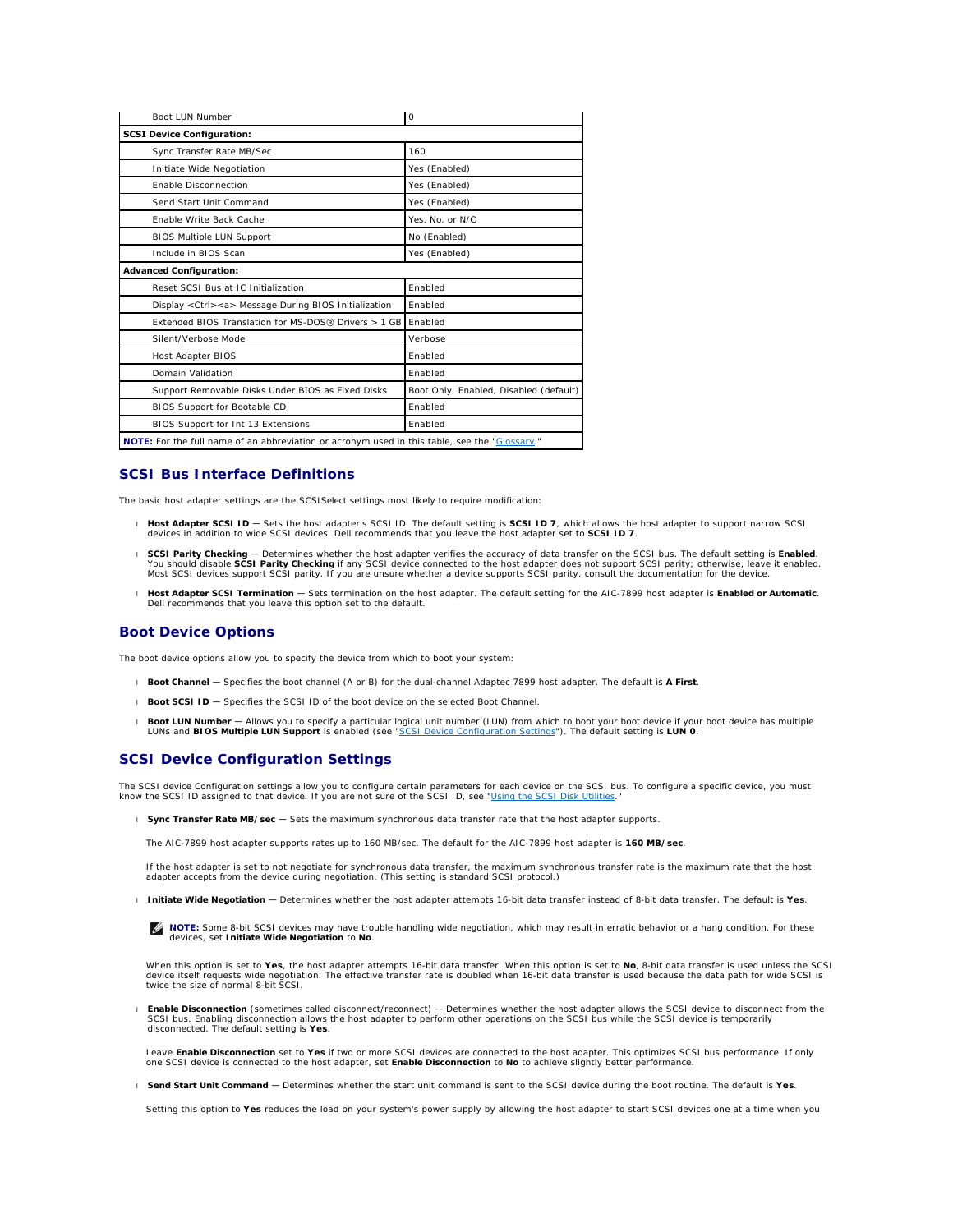<span id="page-9-1"></span>

| Boot LUN Number                                                                               | $\circ$                                |
|-----------------------------------------------------------------------------------------------|----------------------------------------|
| <b>SCSI Device Configuration:</b>                                                             |                                        |
| Sync Transfer Rate MB/Sec                                                                     | 160                                    |
| Initiate Wide Negotiation                                                                     | Yes (Enabled)                          |
| Enable Disconnection                                                                          | Yes (Enabled)                          |
| Send Start Unit Command                                                                       | Yes (Enabled)                          |
| <b>Fnable Write Back Cache</b>                                                                | Yes, No, or N/C                        |
| <b>BIOS Multiple LUN Support</b>                                                              | No (Enabled)                           |
| Include in BIOS Scan                                                                          | Yes (Enabled)                          |
| <b>Advanced Configuration:</b>                                                                |                                        |
| Reset SCSI Bus at IC Initialization                                                           | Fnabled                                |
| Display <ctrl><a> Message During BIOS Initialization</a></ctrl>                               | Fnabled                                |
| Extended BIOS Translation for MS-DOS® Drivers > 1 GB                                          | Enabled                                |
| Silent/Verbose Mode                                                                           | Verbose                                |
| <b>Host Adapter BIOS</b>                                                                      | Enabled                                |
| Domain Validation                                                                             | Enabled                                |
| Support Removable Disks Under BIOS as Fixed Disks                                             | Boot Only, Enabled, Disabled (default) |
| BIOS Support for Bootable CD                                                                  | Fnabled                                |
| BIOS Support for Int 13 Extensions                                                            | Enabled                                |
| NOTE: For the full name of an abbreviation or acronym used in this table, see the "Glossary." |                                        |

# **SCSI Bus Interface Definitions**

The basic host adapter settings are the SCSI*Select* settings most likely to require modification:

- 1 Host Adapter SCSI ID Sets the host adapter's SCSI ID. The default setting is SCSI ID 7, which allows the host adapter to support narrow SCSI<br>devices in addition to wide SCSI devices. Dell recommends that you leave the
- . SCSI Parity Checking Determines whether the host adapter verifies the accuracy of data transfer on the SCSI bus. The default setting is Enabled.<br>.You should disable SCSI Parity Checking if any SCSI device connected to Most SCSI devices support SCSI parity. If you are unsure whether a device supports SCSI parity, consult the documentation for the device.
- <sup>l</sup> **Host Adapter SCSI Termination** Sets termination on the host adapter. The default setting for the AIC-7899 host adapter is **Enabled or Automatic**. Dell recommends that you leave this option set to the default.

# **Boot Device Options**

The boot device options allow you to specify the device from which to boot your system:

- l **Boot Channel**  Specifies the boot channel (A or B) for the dual-channel Adaptec 7899 host adapter. The default is **A First**.
- l **Boot SCSI ID** Specifies the SCSI ID of the boot device on the selected Boot Channel.
- 1 Boot LUN Number Allows you to specify a particular logical unit number (LUN) from which to boot your boot device if your boot device has multiple<br>LUNs and BIOS Multiple LUN Support is enabled (see "<u>SCSI Device Configu</u>

# <span id="page-9-0"></span>**SCSI Device Configuration Settings**

The SCSI device Configuration settings allow you to configure certain parameters for each device on the SCSI bus. To configure a specific device, you must<br>know the SCSI ID assigned to that device. If you are not sure of th

l **Sync Transfer Rate MB/sec** — Sets the maximum synchronous data transfer rate that the host adapter supports.

The AIC-7899 host adapter supports rates up to 160 MB/sec. The default for the AIC-7899 host adapter is **160 MB/sec**.

If the host adapter is set to not negotiate for synchronous data transfer, the maximum synchronous transfer rate is the maximum rate that the host adapter accepts from the device during negotiation. (This setting is standard SCSI protocol.)

l **Initiate Wide Negotiation** — Determines whether the host adapter attempts 16-bit data transfer instead of 8-bit data transfer. The default is **Yes**.

**A NOTE:** Some 8-bit SCSI devices may have trouble handling wide negotiation, which may result in erratic behavior or a hang condition. For these devices, set **Initiate Wide Negotiation** to **No**.

When this option is set to **Yes**, the host adapter attempts 16-bit data transfer. When this option is set to **No**, 8-bit data transfer is used unless the SCSI device itself requests wide negotiation. The effective transfer rate is doubled when 16-bit data transfer is used because the data path for wide SCSI is twice the size of normal 8-bit SCSI.

**Enable Disconnection** (sometimes called disconnect/reconnect) — Determines whether the host adapter allows the SCSI device to disconnect from the SCSI bus. Enabling disconnect from the<br>SCSI bus. Enabling disconnection all disconnected. The default setting is **Yes**.

Leave **Enable Disconnection** set to **Yes** if two or more SCSI devices are connected to the host adapter. This optimizes SCSI bus performance. If only one SCSI device is connected to the host adapter, set **Enable Disconnection** to **No** to achieve slightly better performance.

l **Send Start Unit Command** — Determines whether the start unit command is sent to the SCSI device during the boot routine. The default is **Yes**.

Setting this option to **Yes** reduces the load on your system's power supply by allowing the host adapter to start SCSI devices one at a time when you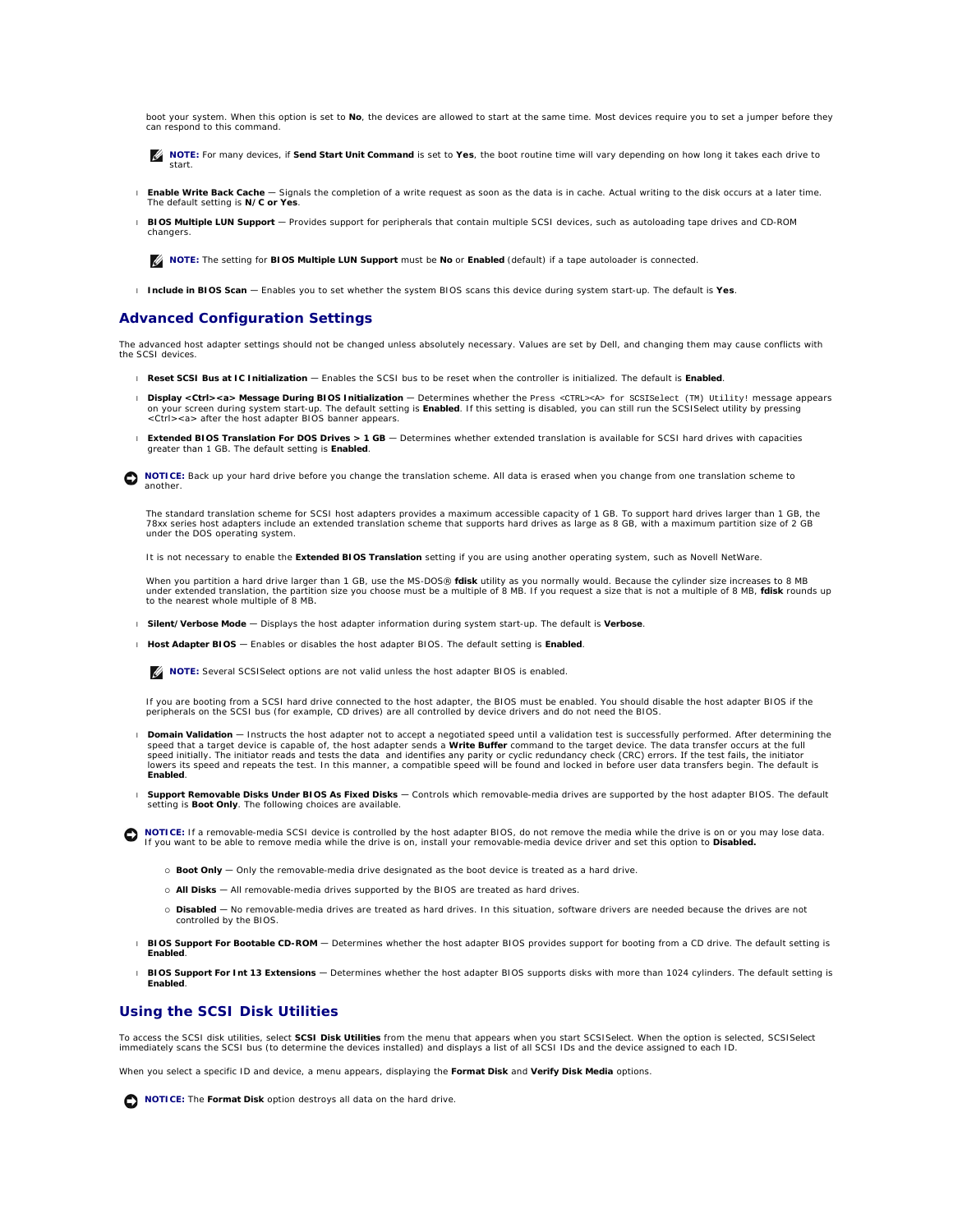<span id="page-10-1"></span>boot your system. When this option is set to **No**, the devices are allowed to start at the same time. Most devices require you to set a jumper before they can respond to this command.

**NOTE:** For many devices, if **Send Start Unit Command** is set to **Yes**, the boot routine time will vary depending on how long it takes each drive to start.

- l **Enable Write Back Cache** Signals the completion of a write request as soon as the data is in cache. Actual writing to the disk occurs at a later time. The default setting is **N/C or Yes**.
- l **BIOS Multiple LUN Support** Provides support for peripherals that contain multiple SCSI devices, such as autoloading tape drives and CD-ROM changers.

**NOTE:** The setting for **BIOS Multiple LUN Support** must be **No** or **Enabled** (default) if a tape autoloader is connected.

l **Include in BIOS Scan** — Enables you to set whether the system BIOS scans this device during system start-up. The default is **Yes**.

# **Advanced Configuration Settings**

The advanced host adapter settings should not be changed unless absolutely necessary. Values are set by Dell, and changing them may cause conflicts with the SCSI devices.

- l **Reset SCSI Bus at IC Initialization** Enables the SCSI bus to be reset when the controller is initialized. The default is **Enabled**.
- l **Display <Ctrl><a> Message During BIOS Initialization** Determines whether the Press <CTRL><A> for SCSISelect (TM) Utility! message appears on your screen during system start-up. The default setting is **Enabled**. If this setting is disabled, you can still run the SCSI*Select* utility by pressing<br><Ctrl><a> after the host adapter BIOS banner appears.
- l **Extended BIOS Translation For DOS Drives > 1 GB** Determines whether extended translation is available for SCSI hard drives with capacities greater than 1 GB. The default setting is **Enabled**.

NOTICE: Back up your hard drive before you change the translation scheme. All data is erased when you change from one translation scheme to another.

The standard translation scheme for SCSI host adapters provides a maximum accessible capacity of 1 GB. To support hard drives larger than 1 GB, the 78*xx* series host adapters include an extended translation scheme that supports hard drives as large as 8 GB, with a maximum partition size of 2 GB under the DOS operating system.

It is not necessary to enable the **Extended BIOS Translation** setting if you are using another operating system, such as Novell NetWare.

When you partition a hard drive larger than 1 GB, use the MS-DOS® **fdisk** utility as you normally would. Because the cylinder size increases to 8 MB<br>under extended translation, the partition size you choose must be a multi to the nearest whole multiple of 8 MB.

- l **Silent/Verbose Mode** Displays the host adapter information during system start-up. The default is **Verbose**.
- l **Host Adapter BIOS** Enables or disables the host adapter BIOS. The default setting is **Enabled**.

**NOTE:** Several SCSI Select options are not valid unless the host adapter BIOS is enabled.

If you are booting from a SCSI hard drive connected to the host adapter, the BIOS must be enabled. You should disable the host adapter BIOS if the peripherals on the SCSI bus (for example, CD drives) are all controlled by device drivers and do not need the BIOS.

- Domain Validation Instructs the host adapter not to accept a negotiated speed until a validation test is successfully performed. After determining the speed that a target device is capable of, the host adapter sends a Wr speed initially. The initiator reads and tests the data and identifies any parity or cyclic redundancy check (CRC) errors. If the test fails, the initiator<br>Iowers its speed and repeats the test. In this manner, a compatibl **Enabled**.
- l **Support Removable Disks Under BIOS As Fixed Disks** Controls which removable-media drives are supported by the host adapter BIOS. The default setting is **Boot Only**. The following choices are available.

**NOTICE:** If a removable-media SCSI device is controlled by the host adapter BIOS, do not remove the media while the drive is on or you may lose data.<br>If you want to be able to remove media while the drive is on, install y

- ¡ **Boot Only** Only the removable-media drive designated as the boot device is treated as a hard drive.
- o All Disks All removable-media drives supported by the BIOS are treated as hard drives.
- o Disabled No removable-media drives are treated as hard drives. In this situation, software drivers are needed because the drives are not controlled by the BIOS.
- l **BIOS Support For Bootable CD-ROM** Determines whether the host adapter BIOS provides support for booting from a CD drive. The default setting is **Enabled**.

l **BIOS Support For Int 13 Extensions** — Determines whether the host adapter BIOS supports disks with more than 1024 cylinders. The default setting is **Enabled**.

# <span id="page-10-0"></span>**Using the SCSI Disk Utilities**

To access the SCSI disk utilities, select **SCSI Disk Utilities** from the menu that appears when you start SCSI*Select*. When the option is selected, SCSI*Select*<br>immediately scans the SCSI bus (to determine the devices ins

When you select a specific ID and device, a menu appears, displaying the **Format Disk** and **Verify Disk Media** options.

**NOTICE:** The **Format Disk** option destroys all data on the hard drive.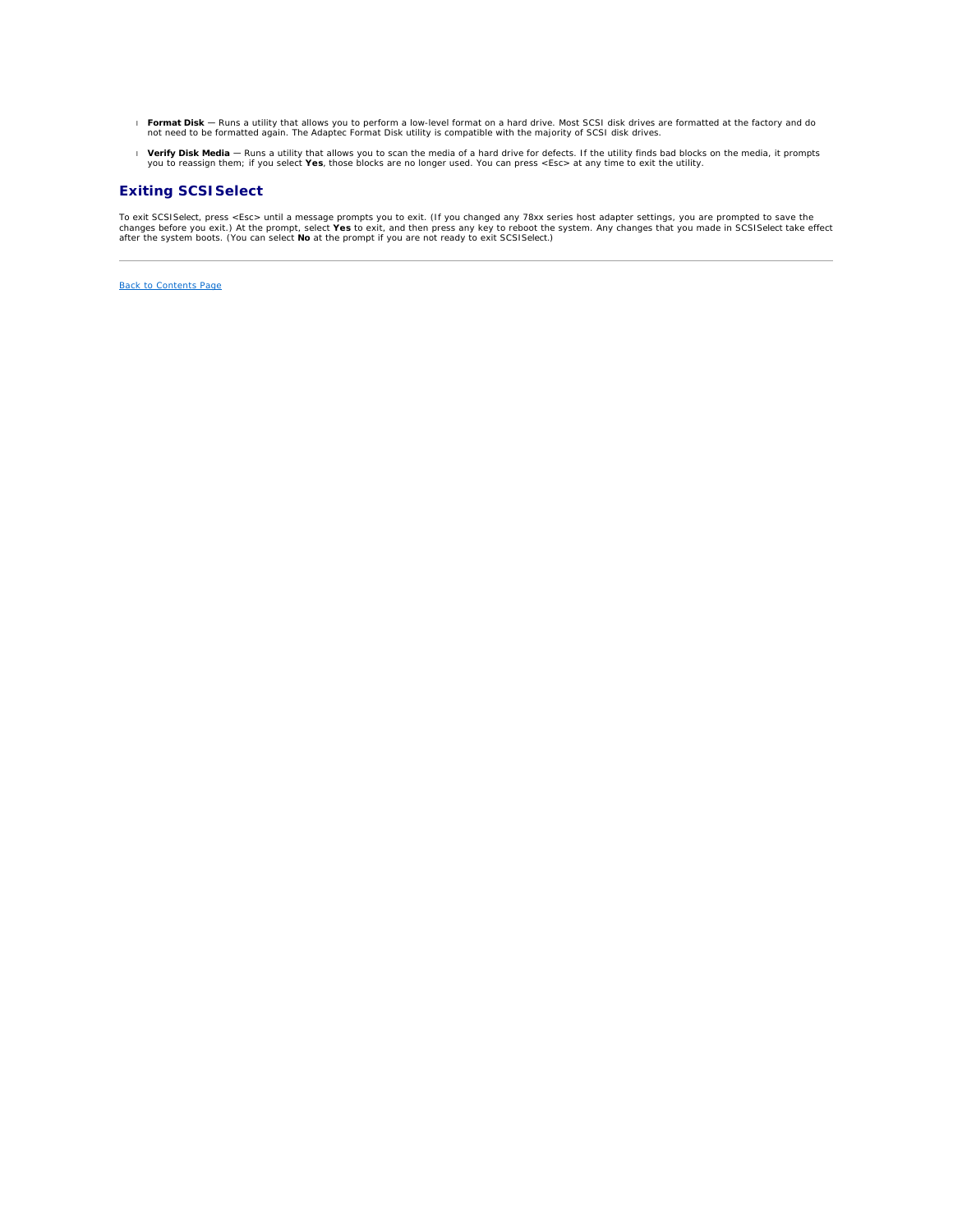- **Format Disk** Runs a utility that allows you to perform a low-level format on a hard drive. Most SCSI disk drives are formatted at the factory and do not need to be formatted again. The Adaptec Format Disk utility is com
- **Verify Disk Media -** Runs a utility that allows you to scan the media of a hard drive for defects. If the utility finds bad blocks on the media, it prompts (you to reassign them; if you select **Yes**, those blocks are no l

# **Exiting SCSI***Select*

To exit SCSI*Select*, press <Esc> until a message prompts you to exit. (If you changed any 78xx series host adapter settings, you are prompted to save the<br>changes before you exit.) At the prompt, select **Yes** to exit, and

[Back to Contents Page](file:///C:/data/systems/pe2650/en/ug/index.htm)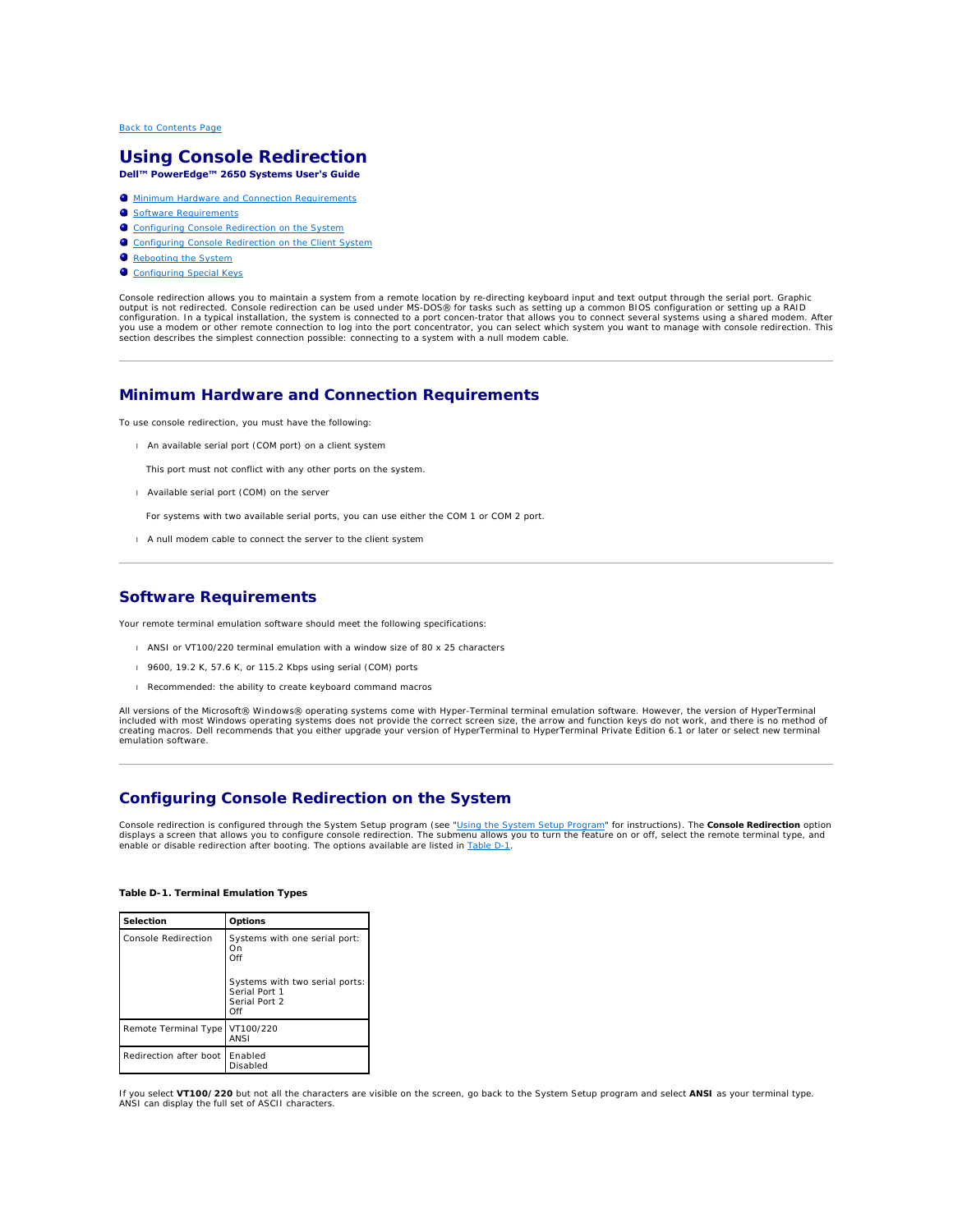# <span id="page-12-0"></span>**Using Console Redirection Dell™ PowerEdge™ 2650 Systems User's Guide**

 $\bullet$  [Minimum Hardware and Connection Requirements](#page-12-1)

- **O** [Software Requirements](#page-12-2)
- **O** [Configuring Console Redirection on the System](#page-12-3)
- **O** [Configuring Console Redirection on the Client System](#page-13-0)
- [Rebooting the System](#page-13-1)
- **[Configuring Special Keys](#page-13-2)**

Console redirection allows you to maintain a system from a remote location by re-directing keyboard input and text output through the serial port. Graphic<br>configuration. In a typical installation, the system is connected t

# <span id="page-12-1"></span>**Minimum Hardware and Connection Requirements**

To use console redirection, you must have the following:

l An available serial port (COM port) on a client system

This port must not conflict with any other ports on the system.

l Available serial port (COM) on the server

For systems with two available serial ports, you can use either the COM 1 or COM 2 port.

l A null modem cable to connect the server to the client system

# <span id="page-12-2"></span>**Software Requirements**

Your remote terminal emulation software should meet the following specifications:

- l ANSI or VT100/220 terminal emulation with a window size of 80 x 25 characters
- l 9600, 19.2 K, 57.6 K, or 115.2 Kbps using serial (COM) ports
- l Recommended: the ability to create keyboard command macros

All versions of the Microsoft® Windows® operating systems come with Hyper-Terminal terminal emulation software. However, the version of HyperTerminal included with most Windows operating systems does not provide the correct screen size, the arrow and function keys do not work, and there is no method of<br>creating macros. Dell recommends that you either upgrade your versio emulation software.

# <span id="page-12-3"></span>**Configuring Console Redirection on the System**

Console redirection is configured through the System Setup program (see "[Using the System Setup Program"](file:///C:/data/systems/pe2650/en/ug/5g387c30.htm#1039152) for instructions). The **Console Redirection** option displays a screen that allows you to configure console redirection. The submenu allows you to turn the feature on or off, select the remote terminal type, and<br>enable or disable redirection after booting. The options availa

### <span id="page-12-4"></span>**Table D-1. Terminal Emulation Types**

| Selection                        | Options                                                                 |
|----------------------------------|-------------------------------------------------------------------------|
| Console Redirection              | Systems with one serial port:<br>On<br>Off                              |
|                                  | Systems with two serial ports:<br>Serial Port 1<br>Serial Port 2<br>Off |
| Remote Terminal Type             | VT100/220<br>ANSI                                                       |
| Redirection after boot   Enabled | Disabled                                                                |

If you select **VT100/220** but not all the characters are visible on the screen, go back to the System Setup program and select **ANSI** as your terminal type. ANSI can display the full set of ASCII characters.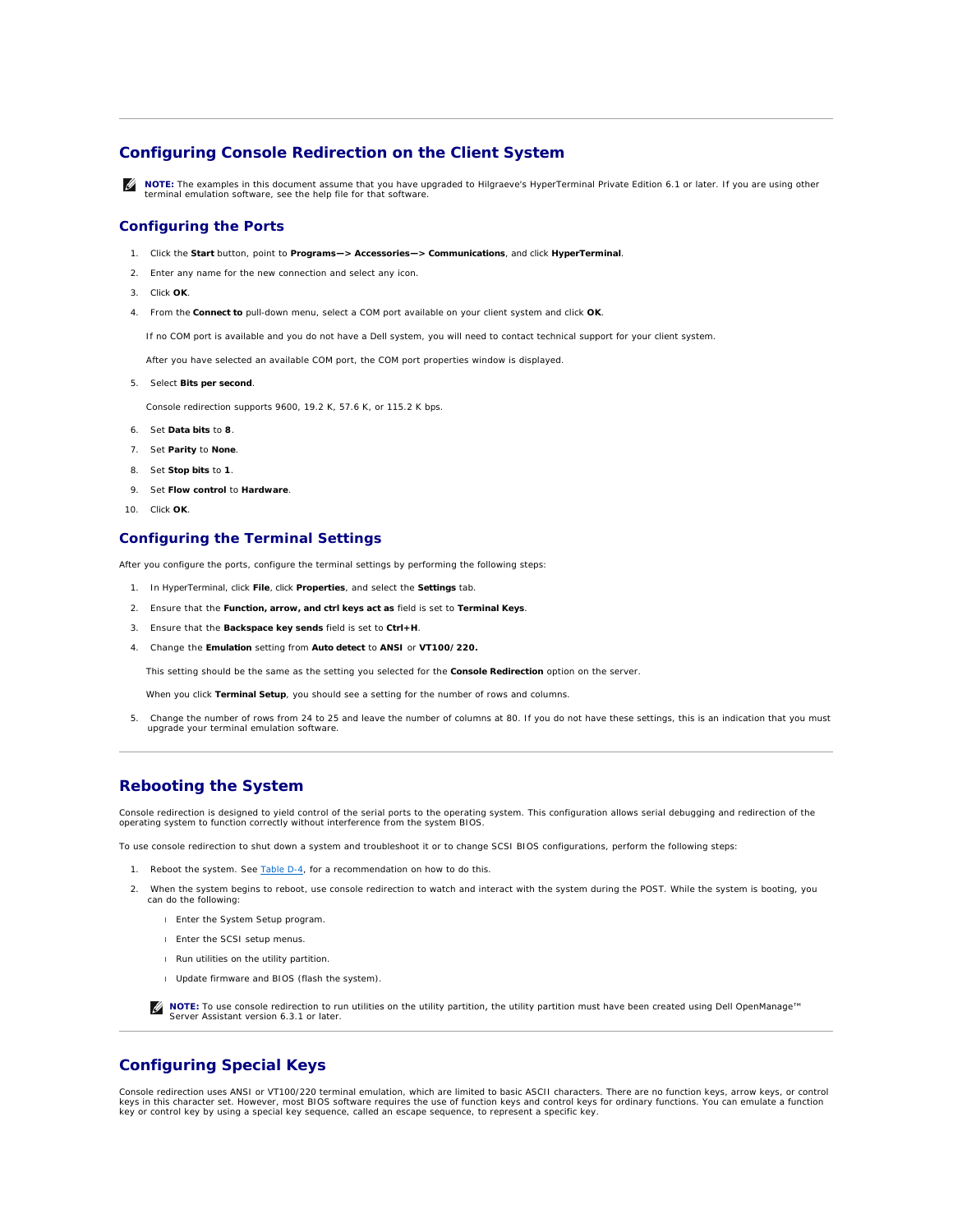# <span id="page-13-0"></span>**Configuring Console Redirection on the Client System**

**NOTE:** The examples in this document assume that you have upgraded to Hilgraeve's HyperTerminal Private Edition 6.1 or later. If you are using other terminal emulation software, see the help file for that software.

# **Configuring the Ports**

- 1. Click the **Start** button, point to **Programs—> Accessories—> Communications**, and click **HyperTerminal**.
- 2. Enter any name for the new connection and select any icon.
- 3. Click **OK**.
- 4. From the **Connect to** pull-down menu, select a COM port available on your client system and click **OK**.

If no COM port is available and you do not have a Dell system, you will need to contact technical support for your client system.

After you have selected an available COM port, the COM port properties window is displayed.

5. Select **Bits per second**.

Console redirection supports 9600, 19.2 K, 57.6 K, or 115.2 K bps.

- 6. Set **Data bits** to **8**.
- 7. Set **Parity** to **None**.
- 8. Set **Stop bits** to **1**.
- 9. Set **Flow control** to **Hardware**.
- 10. Click **OK**.

# **Configuring the Terminal Settings**

After you configure the ports, configure the terminal settings by performing the following steps:

- 1. In HyperTerminal, click **File**, click **Properties**, and select the **Settings** tab.
- 2. Ensure that the **Function, arrow, and ctrl keys act as** field is set to **Terminal Keys**.
- 3. Ensure that the **Backspace key sends** field is set to **Ctrl+H**.
- 4. Change the **Emulation** setting from **Auto detect** to **ANSI** or **VT100/220.**

This setting should be the same as the setting you selected for the **Console Redirection** option on the server.

When you click **Terminal Setup**, you should see a setting for the number of rows and columns.

5. Change the number of rows from 24 to 25 and leave the number of columns at 80. If you do not have these settings, this is an indication that you must upgrade your terminal emulation software.

# <span id="page-13-1"></span>**Rebooting the System**

Console redirection is designed to yield control of the serial ports to the operating system. This configuration allows serial debugging and redirection of the<br>operating system to function correctly without interference fr

To use console redirection to shut down a system and troubleshoot it or to change SCSI BIOS configurations, perform the following steps:

- 1. Reboot the system. See [Table D](#page-15-0)-4, for a recommendation on how to do this.
- 2. When the system begins to reboot, use console redirection to watch and interact with the system during the POST. While the system is booting, you can do the following:
	- l Enter the System Setup program.
	- l Enter the SCSI setup menus.
	- l Run utilities on the utility partition.
	- l Update firmware and BIOS (flash the system).

**⁄** NOTE: To use console redirection to run utilities on the utility partition, the utility partition must have been created using Dell OpenManage™ Server Assistant version 6.3.1 or later.

# <span id="page-13-2"></span>**Configuring Special Keys**

Console redirection uses ANSI or VT100/220 terminal emulation, which are limited to basic ASCII characters. There are no function keys, arrow keys, or control<br>keys in this character set. However, most BIOS software require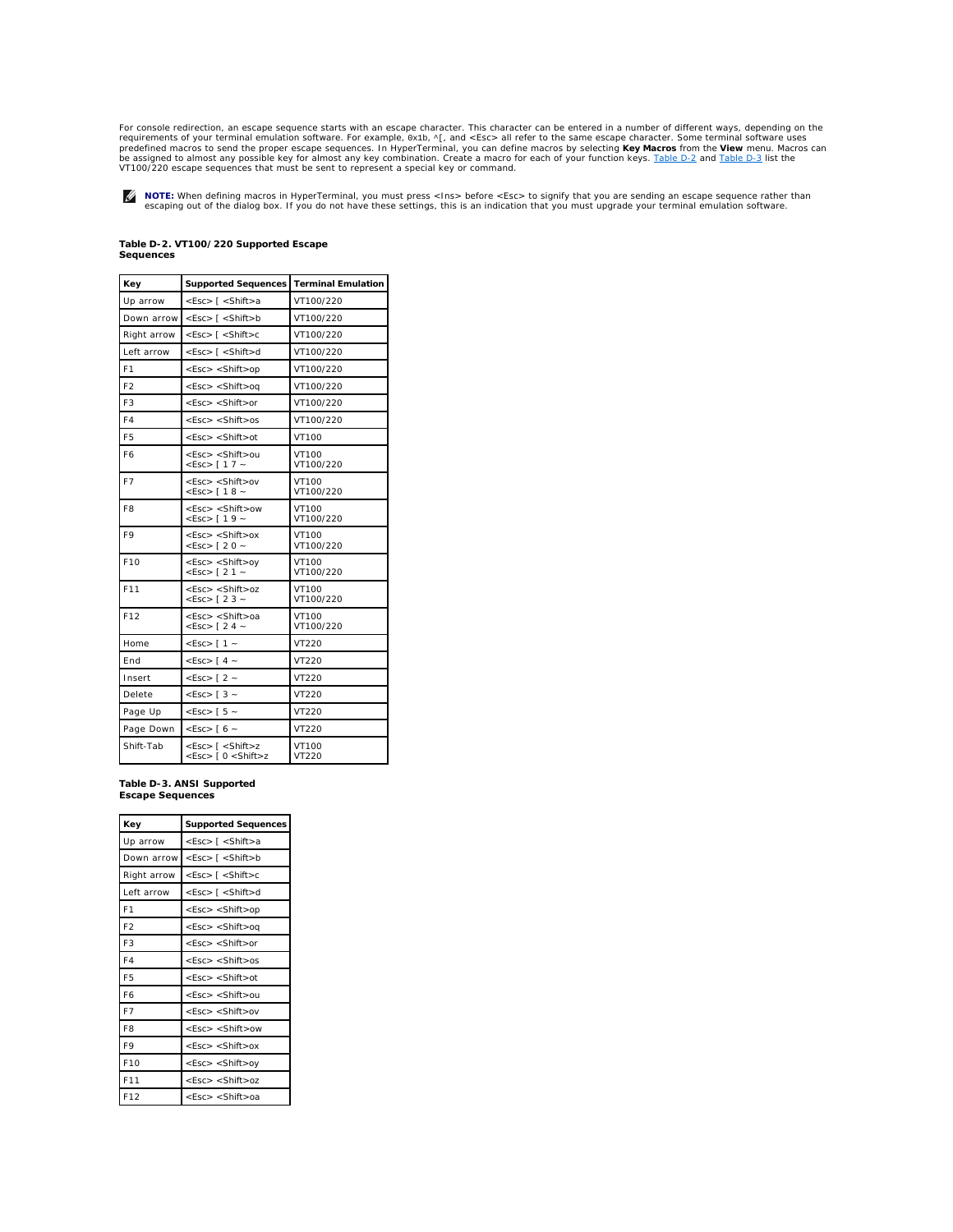<span id="page-14-2"></span>For console redirection, an escape sequence starts with an escape character. This character can be entered in a number of different ways, depending on the requirements of your terminal emulation software. For example, 0x1b, ^[, and <Esc> all refer to the same escape character. Some terminal software uses<br>predefined macros to send the proper escape sequences. In HyperTerminal

**NOTE:** When defining macros in HyperTerminal, you must press <Ins> before <Esc> to signify that you are sending an escape sequence rather than<br>escaping out of the dialog box. If you do not have these settings, this is an

## <span id="page-14-0"></span>**Table D-2. VT100/220 Supported Escape Sequences**

| Key             | Supported Sequences   Terminal Emulation                                                                              |                    |
|-----------------|-----------------------------------------------------------------------------------------------------------------------|--------------------|
| Up arrow        | <esc> [ <shift>a</shift></esc>                                                                                        | VT100/220          |
| Down arrow      | <esc> [ <shift>b</shift></esc>                                                                                        | VT100/220          |
| Right arrow     | $<$ Esc $>$ [ $<$ Shift $>$ c                                                                                         | VT100/220          |
| Left arrow      | <esc> [ <shift>d</shift></esc>                                                                                        | VT100/220          |
| F <sub>1</sub>  | <esc> <shift>op</shift></esc>                                                                                         | VT100/220          |
| F <sub>2</sub>  | <esc> <shift>oq</shift></esc>                                                                                         | VT100/220          |
| F <sub>3</sub>  | $<$ Esc $>$ $<$ Shift $>$ or                                                                                          | VT100/220          |
| F4              | $<$ Esc $>$ $<$ Shift $>$ os                                                                                          | VT100/220          |
| F <sub>5</sub>  | $<$ Esc $>$ $<$ Shift $>$ ot                                                                                          | VT100              |
| F6              | <esc> <shift>ou<br/><math>&lt;</math>Esc&gt; [17 ~</shift></esc>                                                      | VT100<br>VT100/220 |
| F7              | <esc> <shift>ov<br/><math>&lt;</math>Esc&gt; [ 1 8 ~</shift></esc>                                                    | VT100<br>VT100/220 |
| F <sub>8</sub>  | <esc> <shift>ow<br/><math>&lt;</math>Esc&gt; [19 ~</shift></esc>                                                      | VT100<br>VT100/220 |
| F9              | $<$ Esc $>$ $<$ Shift $>$ ox<br>$<$ Esc> [20 ~                                                                        | VT100<br>VT100/220 |
| F10             | <esc> <shift>oy<br/><math>&lt;</math>Esc&gt; [21 ~</shift></esc>                                                      | VT100<br>VT100/220 |
| F11             | $<$ Esc> $<$ Shift>oz<br>$<$ Esc> [23 ~                                                                               | VT100<br>VT100/220 |
| F <sub>12</sub> | <esc> <shift>oa<br/><math>&lt;</math>Esc&gt; [24 ~</shift></esc>                                                      | VT100<br>VT100/220 |
| Home            | $<$ Esc $>$ [1 $\sim$                                                                                                 | VT220              |
| <b>Fnd</b>      | $<$ ESC $>$ [4 $\sim$                                                                                                 | VT220              |
| Insert          | $<$ Esc> [2 $\sim$                                                                                                    | VT220              |
| Delete          | $<$ ESC $>$ [3 $\sim$                                                                                                 | VT220              |
| Page Up         | $<$ ESC $>$ [5 $\sim$                                                                                                 | VT220              |
| Page Down       | $<$ Esc> [6 $\sim$                                                                                                    | VT220              |
| Shift-Tab       | <esc> [ <shift>z<br/><math>&lt;</math>Esc<math>&gt;</math> [ 0 <math>&lt;</math>Shift<math>&gt;</math>z</shift></esc> | VT100<br>VT220     |

<span id="page-14-1"></span>**Table D-3. ANSI Supported Escape Sequences** 

| Key             | <b>Supported Sequences</b>     |
|-----------------|--------------------------------|
| Up arrow        | <esc> [ <shift>a</shift></esc> |
| Down arrow      | $<$ Esc $>$ [ $<$ Shift $>$ b  |
| Right arrow     | $<$ Esc $>$ [ $<$ Shift $>$ c  |
| Left arrow      | <esc> [ <shift>d</shift></esc> |
| F <sub>1</sub>  | $<$ Esc $>$ $<$ Shift $>$ op   |
| F <sub>2</sub>  | $<$ Esc $>$ $<$ Shift $>$ oq   |
| F <sub>3</sub>  | $<$ Esc $>$ $<$ Shift $>$ or   |
| F4              | $<$ Esc $>$ $<$ Shift $>$ os   |
| F <sub>5</sub>  | $<$ Esc $>$ $<$ Shift $>$ ot   |
| F6              | <esc> <shift>ou</shift></esc>  |
| F7              | <esc> <shift>ov</shift></esc>  |
| F <sub>8</sub>  | $<$ Esc $>$ $<$ Shift $>$ ow   |
| F9              | $<$ Esc $>$ $<$ Shift $>$ ox   |
| F <sub>10</sub> | $<$ Esc $>$ $<$ Shift $>$ oy   |
| F11             | $<$ Esc $>$ $<$ Shift $>$ oz   |
| F <sub>12</sub> | <esc> <shift>oa</shift></esc>  |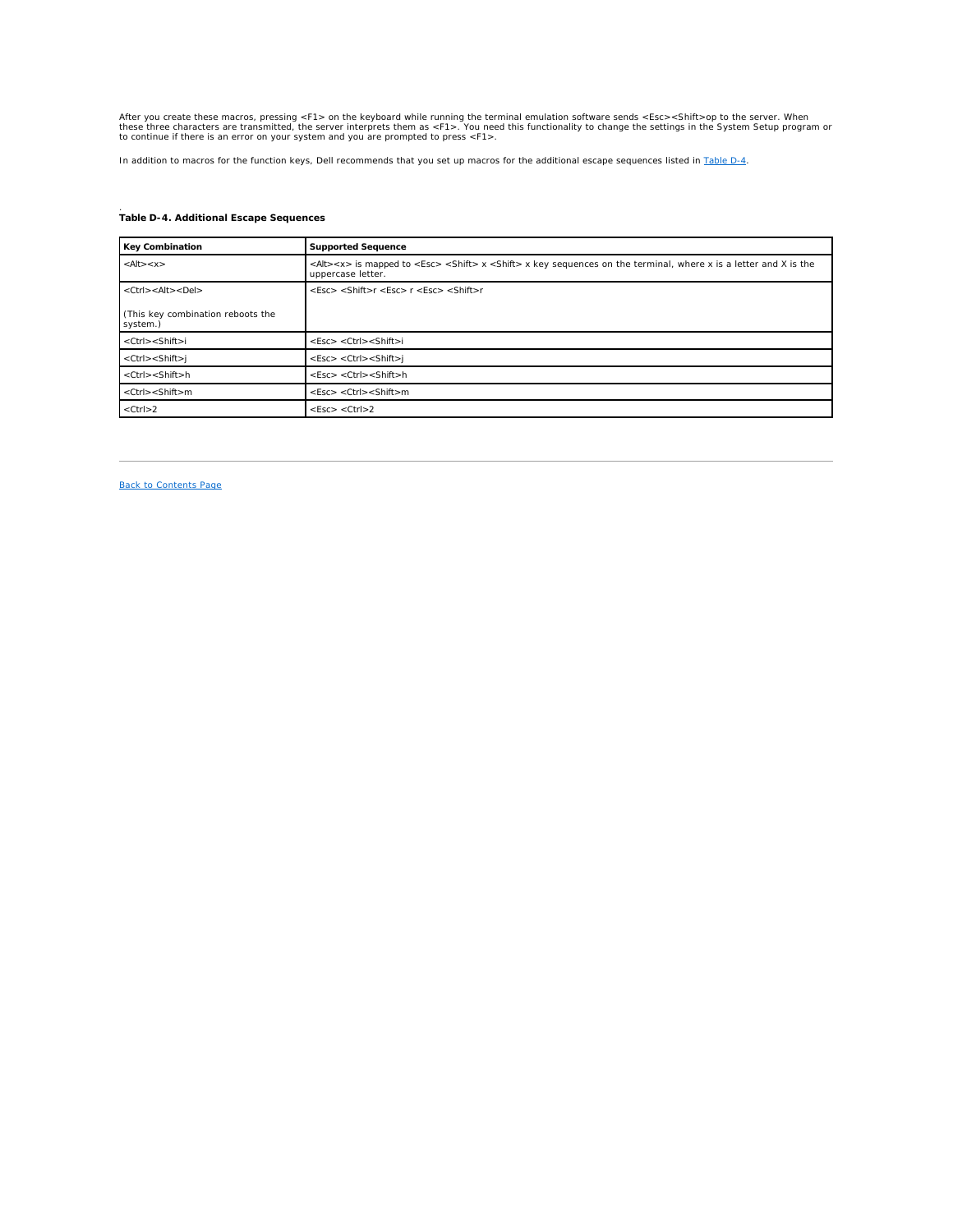<span id="page-15-1"></span>After you create these macros, pressing <F1> on the keyboard while running the terminal emulation software sends <Esc><Shift>op to the server. When<br>these three characters are transmitted, the server interprets them as <F1

In addition to macros for the function keys, Dell recommends that you set up macros for the additional escape sequences listed in [Table D](#page-15-0)-4.

# <span id="page-15-0"></span>. **Table D-4. Additional Escape Sequences**

| <b>Key Combination</b>                        | <b>Supported Sequence</b>                                                                                                                                             |
|-----------------------------------------------|-----------------------------------------------------------------------------------------------------------------------------------------------------------------------|
| $<$ Alt $>$ $<$ $x>$                          | <alt><x> is mapped to <esc> <shift> x <shift> x key sequences on the terminal, where x is a letter and X is the<br/>uppercase letter.</shift></shift></esc></x></alt> |
| $<$ Ctrl $>$ < Alt $>$ < Del $>$              | <esc> <shift>r <esc> r <esc> <shift>r</shift></esc></esc></shift></esc>                                                                                               |
| (This key combination reboots the<br>system.) |                                                                                                                                                                       |
| <ctrl><shift>i</shift></ctrl>                 | $<$ Esc $>$ $<$ Ctrl $>$ $<$ Shift $>$ i                                                                                                                              |
| $<$ Ctrl $>$ $<$ Shift $>$ j                  | $<$ Esc> $<$ Ctrl> $<$ Shift>j                                                                                                                                        |
| $<$ Ctrl $>$ $<$ Shift $>$ h                  | $<$ Esc $>$ $<$ Ctrl $>$ $<$ Shift $>$ h                                                                                                                              |
| $<$ Ctrl $>$ $<$ Shift $>$ m                  | $<$ Esc $>$ $<$ Ctrl $>$ $<$ Shift $>$ m                                                                                                                              |
| $<$ Ctrl $>$ 2                                | $<$ Esc $>$ $<$ Ctrl $>$ 2                                                                                                                                            |

[Back to Contents Page](file:///C:/data/systems/pe2650/en/ug/index.htm)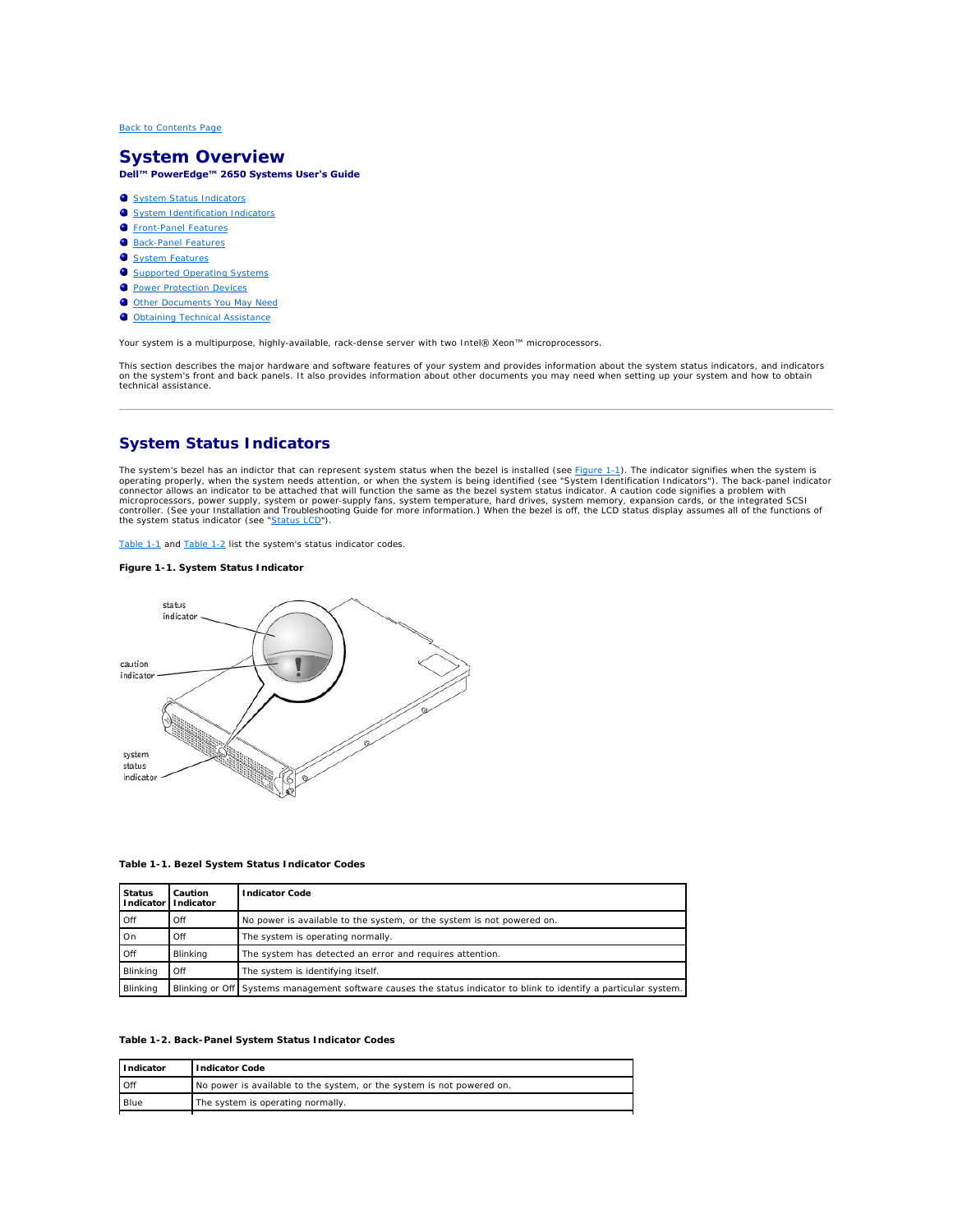# <span id="page-16-0"></span>**System Overview Dell™ PowerEdge™ 2650 Systems User's Guide**

#### **O** [System Status Indicators](#page-16-1)

- **O** System Identification Indic
- **O** [Front-Panel Features](#page-17-1)
- **[Back-Panel Features](#page-19-0)**
- [System Features](#page-20-0)
- **O** [Supported Operating Systems](#page-21-0)
- **[Power Protection Devices](#page-21-1)**
- O [Other Documents You May Need](#page-22-0)
- O [Obtaining Technical Assistance](#page-22-1)

Your system is a multipurpose, highly-available, rack-dense server with two Intel® Xeon™ microprocessors.

This section describes the major hardware and software features of your system and provides information about the system status indicators, and indicators<br>on the system's front and back panels. It also provides information technical assistance.

# <span id="page-16-1"></span>**System Status Indicators**

The system's bezel has an indictor that can represent system status when the bezel is installed (see <u>[Figure 1](#page-16-2)-1</u>). The indicator signifies when the system is operating properly, when the system is operating properly, when the system status indicator (see ["Status LCD](#page-18-0)").

[Table 1](#page-16-4)-1 and Table 1-2 list the system's status indicator codes.

# <span id="page-16-2"></span>**Figure 1-1. System Status Indicator**



**Table 1-1. Bezel System Status Indicator Codes**

<span id="page-16-3"></span>

| <b>Status</b> | Caution<br>Indicator   Indicator | <b>Indicator Code</b>                                                                                             |
|---------------|----------------------------------|-------------------------------------------------------------------------------------------------------------------|
| . Off         | Off                              | No power is available to the system, or the system is not powered on.                                             |
| On            | Off                              | The system is operating normally.                                                                                 |
| . Off         | Blinking                         | The system has detected an error and requires attention.                                                          |
| Blinking      | Off                              | The system is identifying itself.                                                                                 |
| Blinking      |                                  | Blinking or Off Systems management software causes the status indicator to blink to identify a particular system. |

#### <span id="page-16-4"></span>**Table 1-2. Back-Panel System Status Indicator Codes**

| Indicator  | <b>Indicator Code</b>                                                 |
|------------|-----------------------------------------------------------------------|
| <b>Off</b> | No power is available to the system, or the system is not powered on. |
| Blue       | The system is operating normally.                                     |
|            |                                                                       |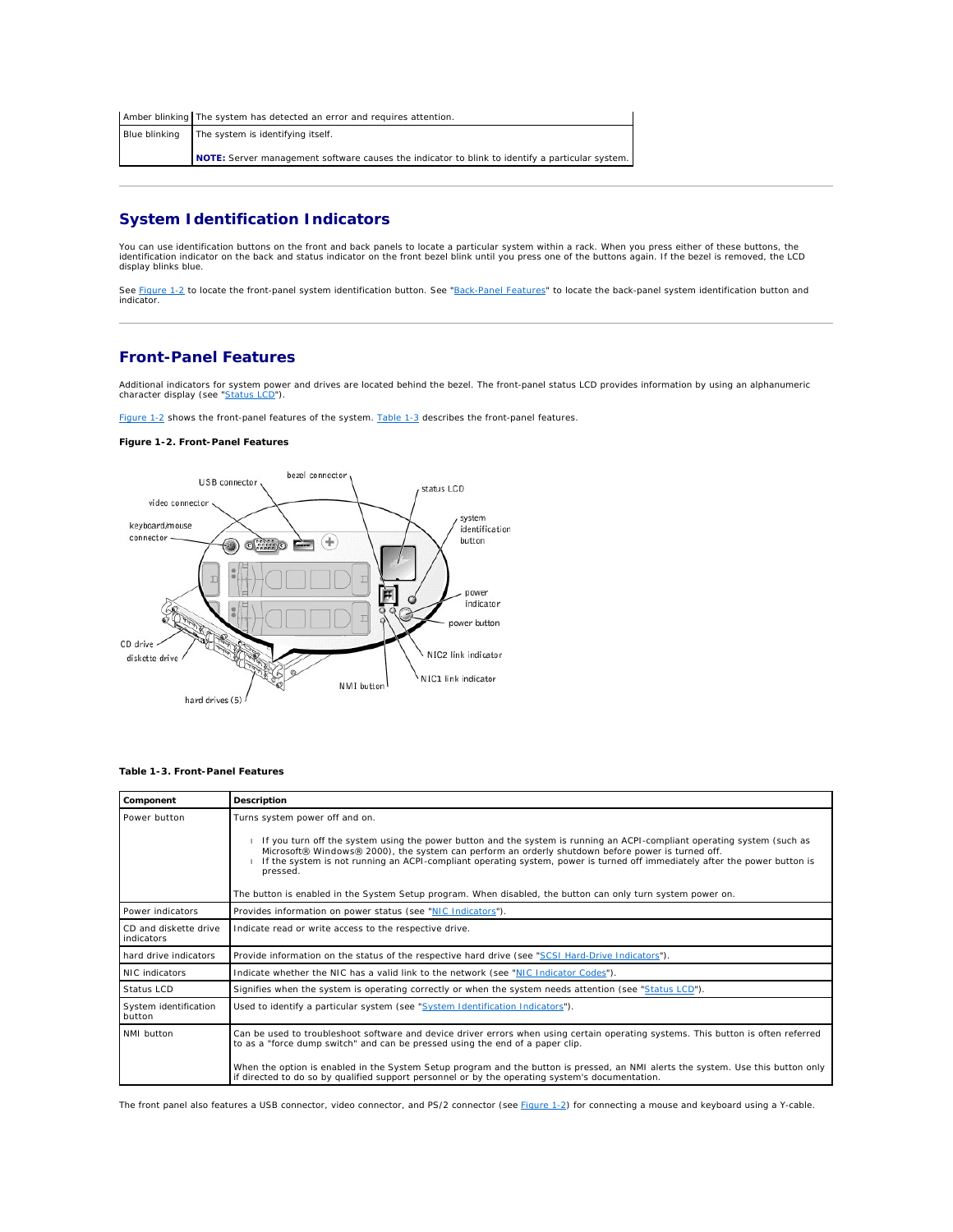<span id="page-17-4"></span>

| Amber blinking The system has detected an error and requires attention.                         |
|-------------------------------------------------------------------------------------------------|
| Blue blinking The system is identifying itself.                                                 |
| NOTE: Server management software causes the indicator to blink to identify a particular system. |

# <span id="page-17-0"></span>**System Identification Indicators**

You can use identification buttons on the front and back panels to locate a particular system within a rack. When you press either of these buttons, the identification indicator on the back and status indicator on the front bezel blink until you press one of the buttons again. If the bezel is removed, the LCD display blinks blue.

See <u>Fiqure 1-2</u> to locate the front-panel system identification button. See "<u>Back-Panel Features</u>" to locate the back-panel system identification button and<br>indicator.

# <span id="page-17-1"></span>**Front-Panel Features**

Additional indicators for system power and drives are located behind the bezel. The front-panel status LCD provides information by using an alphanumeric<br>character display (see "<u>Status LCD</u>").

[Figure 1](#page-17-2)-2 shows the front-panel features of the system. [Table 1](#page-17-3)-3 describes the front-panel features.

## <span id="page-17-2"></span>**Figure 1-2. Front-Panel Features**



## <span id="page-17-3"></span>**Table 1-3. Front-Panel Features**

| Component                           | Description                                                                                                                                                                                                                                                                                                                                                                                                                                                                                                             |  |
|-------------------------------------|-------------------------------------------------------------------------------------------------------------------------------------------------------------------------------------------------------------------------------------------------------------------------------------------------------------------------------------------------------------------------------------------------------------------------------------------------------------------------------------------------------------------------|--|
| Power button                        | Turns system power off and on.<br>If you turn off the system using the power button and the system is running an ACPI-compliant operating system (such as<br>Microsoft® Windows® 2000), the system can perform an orderly shutdown before power is turned off.<br>If the system is not running an ACPI-compliant operating system, power is turned off immediately after the power button is<br>pressed.<br>The button is enabled in the System Setup program. When disabled, the button can only turn system power on. |  |
| Power indicators                    | Provides information on power status (see "NIC Indicators").                                                                                                                                                                                                                                                                                                                                                                                                                                                            |  |
| CD and diskette drive<br>indicators | Indicate read or write access to the respective drive.                                                                                                                                                                                                                                                                                                                                                                                                                                                                  |  |
| hard drive indicators               | Provide information on the status of the respective hard drive (see "SCSI Hard-Drive Indicators").                                                                                                                                                                                                                                                                                                                                                                                                                      |  |
| NIC indicators                      | Indicate whether the NIC has a valid link to the network (see "NIC Indicator Codes").                                                                                                                                                                                                                                                                                                                                                                                                                                   |  |
| Status LCD                          | Signifies when the system is operating correctly or when the system needs attention (see "Status LCD").                                                                                                                                                                                                                                                                                                                                                                                                                 |  |
| System identification<br>button     | Used to identify a particular system (see "System Identification Indicators").                                                                                                                                                                                                                                                                                                                                                                                                                                          |  |
| NMI button                          | Can be used to troubleshoot software and device driver errors when using certain operating systems. This button is often referred<br>to as a "force dump switch" and can be pressed using the end of a paper clip.<br>When the option is enabled in the System Setup program and the button is pressed, an NMI alerts the system. Use this button only<br>if directed to do so by qualified support personnel or by the operating system's documentation.                                                               |  |

The front panel also features a USB connector, video connector, and PS/2 connector (see [Figure 1](#page-17-2)-2) for connecting a mouse and keyboard using a Y-cable.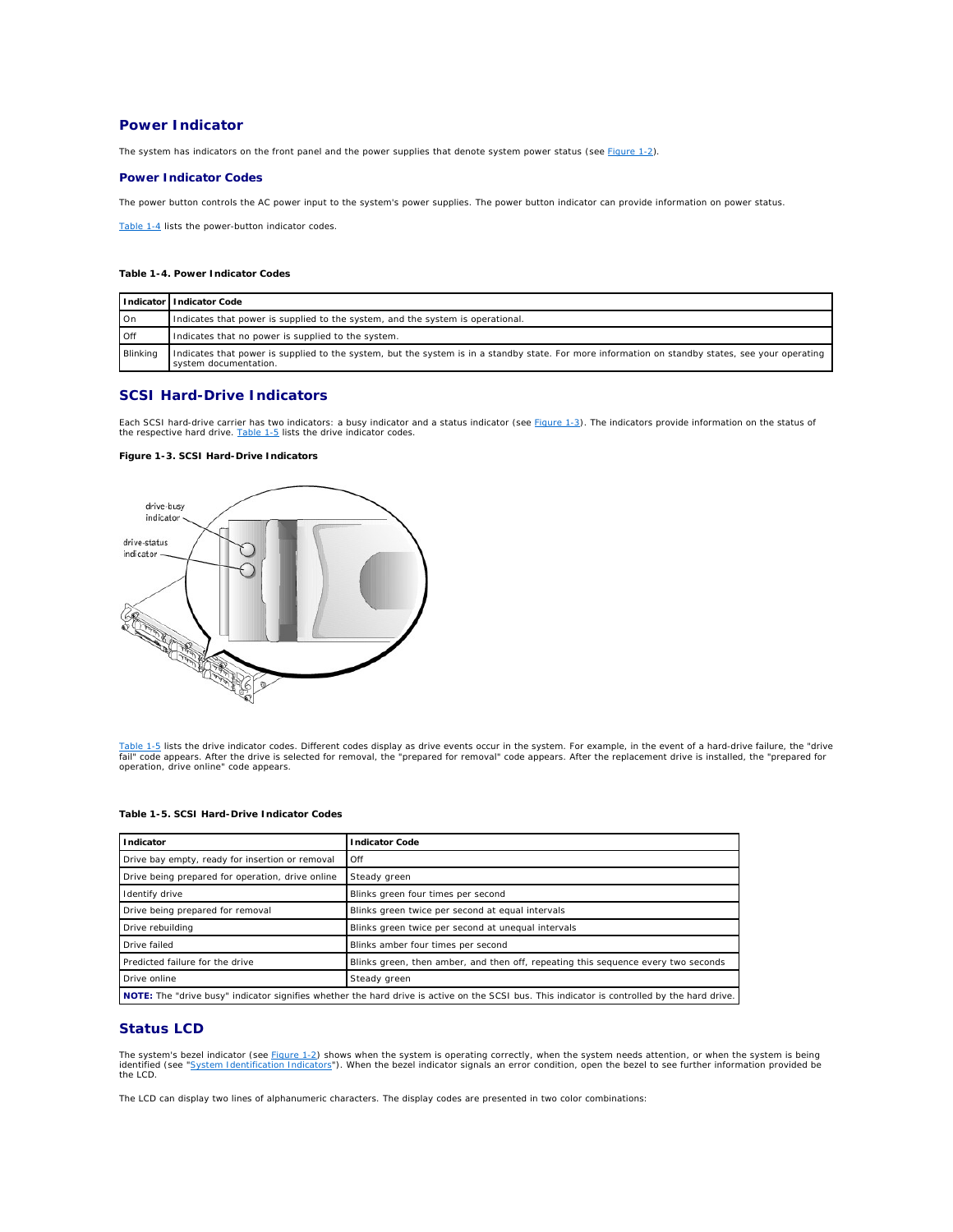# <span id="page-18-1"></span>**Power Indicator**

The system has indicators on the front panel and the power supplies that denote system power status (see [Figure 1](#page-17-2)-2).

# **Power Indicator Codes**

The power button controls the AC power input to the system's power supplies. The power button indicator can provide information on power status.

[Table 1](#page-18-3)-4 lists the power-button indicator codes.

# <span id="page-18-3"></span>**Table 1-4. Power Indicator Codes**

|          | l Indicator I Indicator Code                                                                                                                                              |  |
|----------|---------------------------------------------------------------------------------------------------------------------------------------------------------------------------|--|
| On       | Indicates that power is supplied to the system, and the system is operational.                                                                                            |  |
| Off      | Indicates that no power is supplied to the system.                                                                                                                        |  |
| Blinking | Indicates that power is supplied to the system, but the system is in a standby state. For more information on standby states, see your operating<br>system documentation. |  |

# <span id="page-18-2"></span>**SCSI Hard-Drive Indicators**

Each SCSI hard-drive carrier has two indicators: a busy indicator and a status indicator (see [Figure 1](#page-18-4)-3). The indicators provide information on the status of<br>the respective hard drive. <u>[Table 1](#page-18-5)-5</u> lists the drive indicato

# <span id="page-18-4"></span>**Figure 1-3. SCSI Hard-Drive Indicators**



<u>[Table 1](#page-18-5)-5</u> lists the drive indicator codes. Different codes display as drive events occur in the system. For example, in the event of a hard-drive failure, the "drive<br>fail" code appears. After the drive is selected for re operation, drive online" code appears.

| Indicator                                                                                                                                           | <b>Indicator Code</b>                                                             |  |
|-----------------------------------------------------------------------------------------------------------------------------------------------------|-----------------------------------------------------------------------------------|--|
| Drive bay empty, ready for insertion or removal                                                                                                     | Off                                                                               |  |
| Drive being prepared for operation, drive online                                                                                                    | Steady green                                                                      |  |
| Identify drive                                                                                                                                      | Blinks green four times per second                                                |  |
| Drive being prepared for removal                                                                                                                    | Blinks green twice per second at equal intervals                                  |  |
| Drive rebuilding                                                                                                                                    | Blinks green twice per second at unequal intervals                                |  |
| Drive failed                                                                                                                                        | Blinks amber four times per second                                                |  |
| Predicted failure for the drive                                                                                                                     | Blinks green, then amber, and then off, repeating this sequence every two seconds |  |
| Drive online                                                                                                                                        | Steady green                                                                      |  |
| <b>NOTE:</b> The "drive busy" indicator signifies whether the hard drive is active on the SCSI bus. This indicator is controlled by the hard drive. |                                                                                   |  |

# <span id="page-18-5"></span>**Table 1-5. SCSI Hard-Drive Indicator Codes**

# <span id="page-18-0"></span>**Status LCD**

The system's bezel indicator (see <u>[Figure 1](#page-17-2)-2</u>) shows when the system is operating correctly, when the system needs attention, or when the system is being<br>identified (see "<u>System Identification Indicators</u>"). When the bez identified (see "Syst

The LCD can display two lines of alphanumeric characters. The display codes are presented in two color combinations: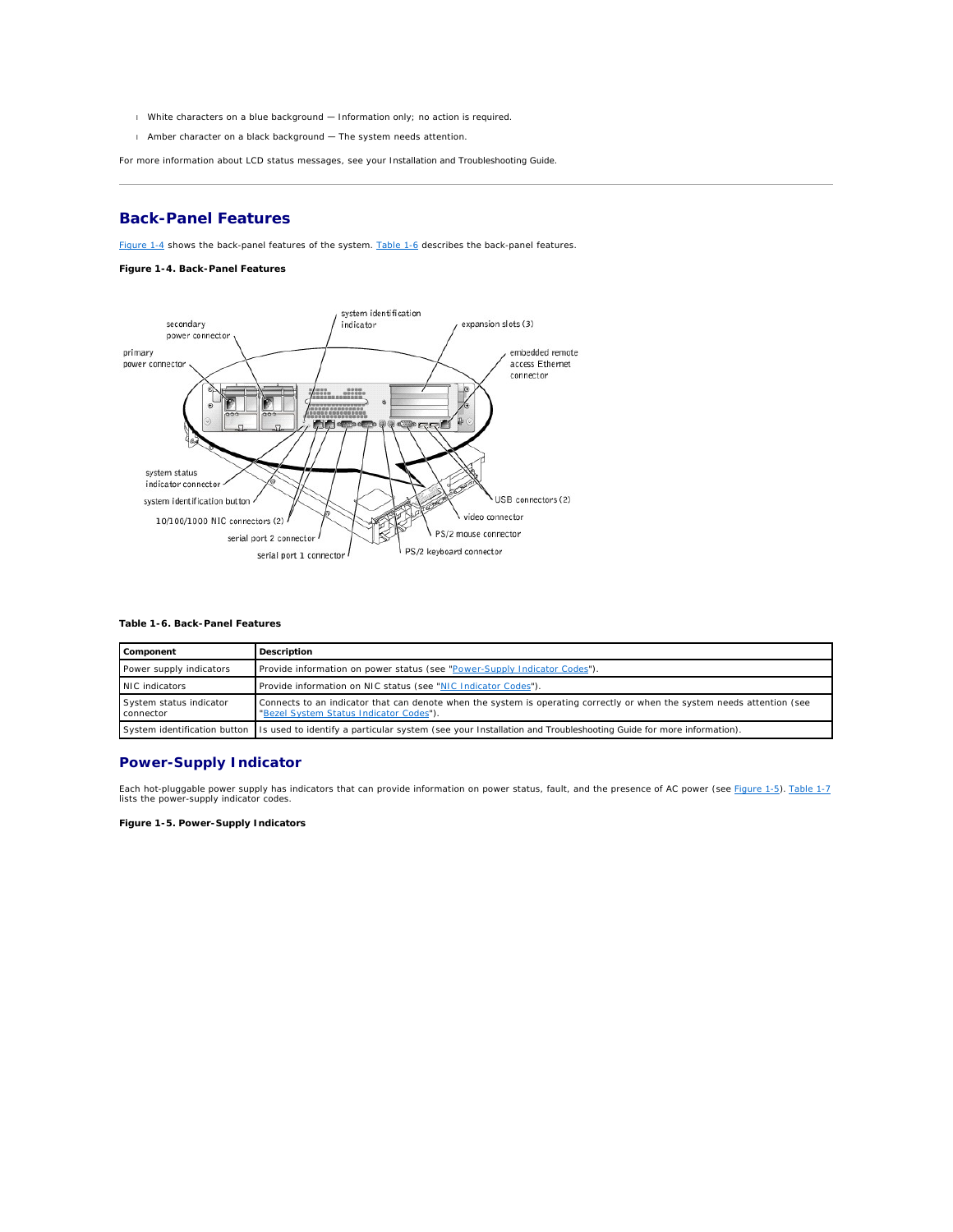- <span id="page-19-1"></span>l White characters on a blue background — Information only; no action is required.
- l Amber character on a black background The system needs attention.

For more information about LCD status messages, see your *Installation and Troubleshooting Guide*.

# <span id="page-19-0"></span>**Back-Panel Features**

[Figure 1](#page-19-2)-4 shows the back-panel features of the system. [Table 1](#page-19-3)-6 describes the back-panel features.

## <span id="page-19-2"></span>**Figure 1-4. Back-Panel Features**



## <span id="page-19-3"></span>**Table 1-6. Back-Panel Features**

| Component                            | Description                                                                                                                                                        |
|--------------------------------------|--------------------------------------------------------------------------------------------------------------------------------------------------------------------|
| Power supply indicators              | Provide information on power status (see "Power-Supply Indicator Codes").                                                                                          |
| NIC indicators                       | Provide information on NIC status (see "NIC Indicator Codes").                                                                                                     |
| System status indicator<br>connector | Connects to an indicator that can denote when the system is operating correctly or when the system needs attention (see<br>"Bezel System Status Indicator Codes"). |
|                                      | System identification button Is used to identify a particular system (see your Installation and Troubleshooting Guide for more information).                       |

# **Power-Supply Indicator**

Each hot-pluggable power supply has indicators that can provide information on power status, fault, and the presence of AC power (see [Figure 1](#page-19-4)-5). [Table 1](#page-20-4)-7 lists the power-supply indicator codes.

# <span id="page-19-4"></span>**Figure 1-5. Power-Supply Indicators**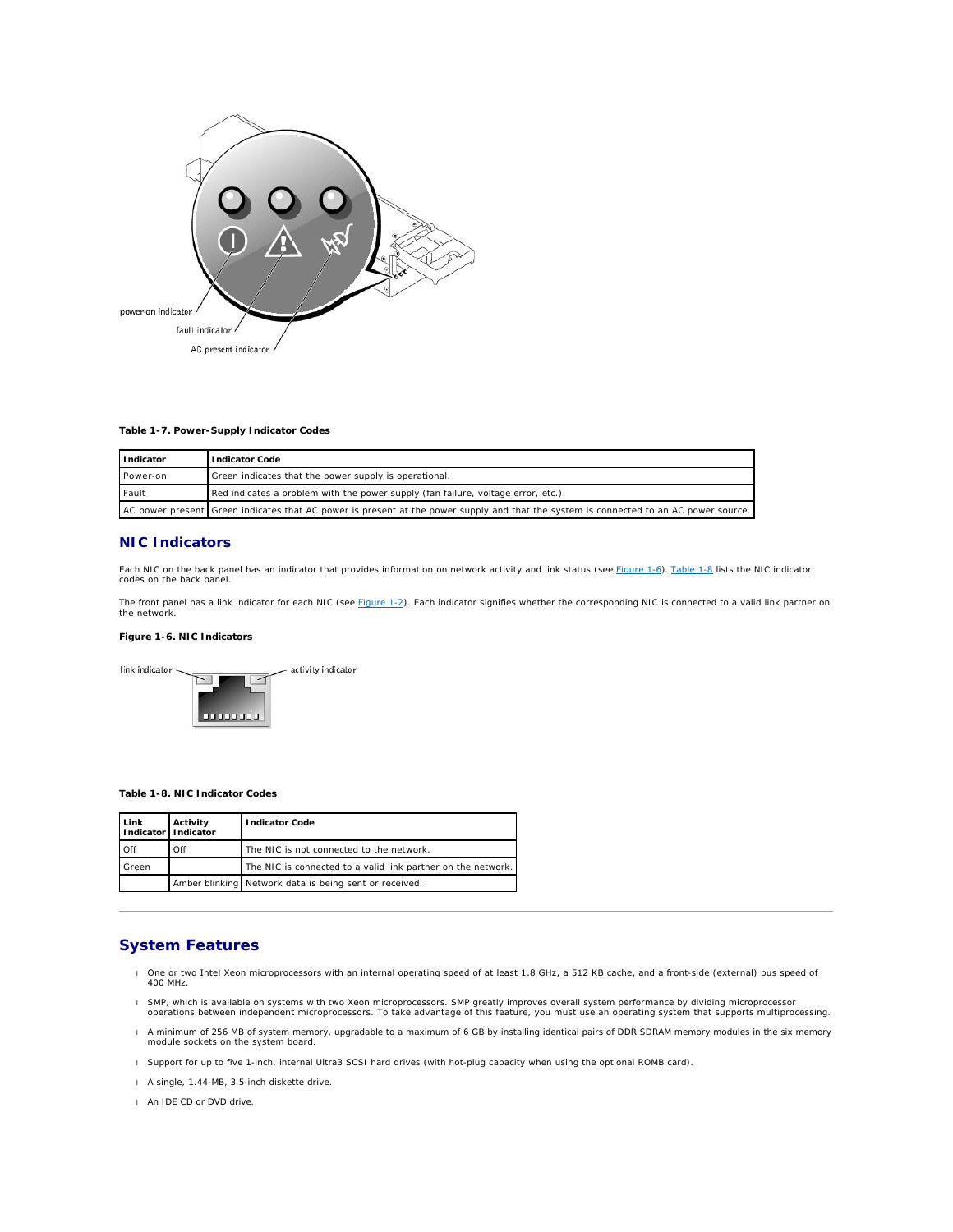<span id="page-20-3"></span>

<span id="page-20-4"></span>**Table 1-7. Power-Supply Indicator Codes**

| Indicator | Indicator Code                                                                                                                        |  |
|-----------|---------------------------------------------------------------------------------------------------------------------------------------|--|
| Power-on  | Green indicates that the power supply is operational.                                                                                 |  |
| Fault     | Red indicates a problem with the power supply (fan failure, voltage error, etc.).                                                     |  |
|           | AC power present Green indicates that AC power is present at the power supply and that the system is connected to an AC power source. |  |

# <span id="page-20-1"></span>**NIC Indicators**

Each NIC on the back panel has an indicator that provides information on network activity and link status (see <u>[Figure 1](#page-20-5)-6</u>). <u>[Table 1](#page-20-2)-8</u> lists the NIC indicator<br>codes on the back panel.

The front panel has a link indicator for each NIC (see <u>[Figure 1](#page-17-2)-2</u>). Each indicator signifies whether the corresponding NIC is connected to a valid link partner on<br>the network.

# <span id="page-20-5"></span>**Figure 1-6. NIC Indicators**

link indicator activity indicator  $\overline{\phantom{0}}$ 111111111

## <span id="page-20-2"></span>**Table 1-8. NIC Indicator Codes**

| Link<br>Indicator   Indicator | Activity | <b>Indicator Code</b>                                        |
|-------------------------------|----------|--------------------------------------------------------------|
| Off                           | Off      | The NIC is not connected to the network.                     |
| Green                         |          | The NIC is connected to a valid link partner on the network. |
|                               |          | Amber blinking Network data is being sent or received.       |

# <span id="page-20-0"></span>**System Features**

- l One or two Intel Xeon microprocessors with an internal operating speed of at least 1.8 GHz, a 512 KB cache, and a front-side (external) bus speed of 400 MHz.
- l SMP, which is available on systems with two Xeon microprocessors. SMP greatly improves overall system performance by dividing microprocessor<br>Operations between independent microprocessors. To take advantage of this featu
- l A minimum of 256 MB of system memory, upgradable to a maximum of 6 GB by installing identical pairs of DDR SDRAM memory modules in the six memory module sockets on the system board.
- l Support for up to five 1-inch, internal Ultra3 SCSI hard drives (with hot-plug capacity when using the optional ROMB card).
- l A single, 1.44-MB, 3.5-inch diskette drive.
- l An IDE CD or DVD drive.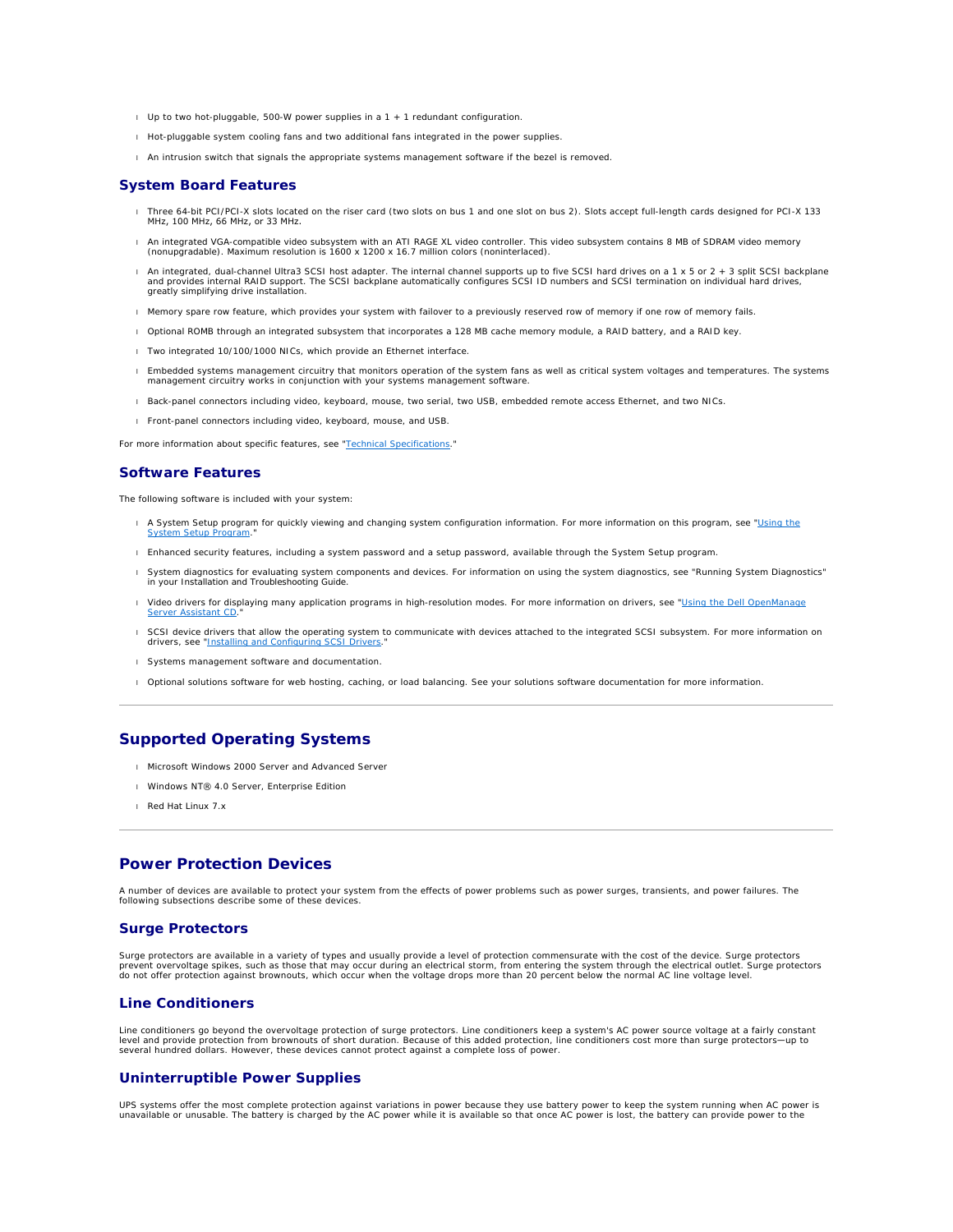- l Up to two hot-pluggable, 500-W power supplies in a 1 + 1 redundant configuration.
- l Hot-pluggable system cooling fans and two additional fans integrated in the power supplies.
- l An intrusion switch that signals the appropriate systems management software if the bezel is removed.

## **System Board Features**

- l Three 64-bit PCI/PCI-X slots located on the riser card (two slots on bus 1 and one slot on bus 2). Slots accept full-length cards designed for PCI-X 133 MHz, 100 MHz, 66 MHz, or 33 MHz.
- r An integrated VGA-compatible video subsystem with an ATI RAGE XL video controller. This video subsystem contains 8 MB of SDRAM video memory<br>(nonupgradable). Maximum resolution is 1600 x 1200 x 16.7 million colors (nonint
- 1 An integrated, dual-channel Ultra3 SCSI host adapter. The internal channel supports up to five SCSI hard drives on a 1 x 5 or 2 + 3 split SCSI backplane<br>and provides internal RAID support. The SCSI backplane automaticall
- l Memory spare row feature, which provides your system with failover to a previously reserved row of memory if one row of memory fails.
- l Optional ROMB through an integrated subsystem that incorporates a 128 MB cache memory module, a RAID battery, and a RAID key.
- 1 Two integrated 10/100/1000 NICs, which provide an Ethernet interface
- Embedded systems management circuitry that monitors operation of the system fans as well as critical system voltages and temperatures. The systems<br>management circuitry works in conjunction with your systems management soft
- l Back-panel connectors including video, keyboard, mouse, two serial, two USB, embedded remote access Ethernet, and two NICs.
- l Front-panel connectors including video, keyboard, mouse, and USB.

For more information about specific features, see ["Technical Specifications](file:///C:/data/systems/pe2650/en/ug/5g387aa0.htm#1039239)."

# **Software Features**

The following software is included with your system:

- 1 A System Setup program for quickly viewing and changing system configuration information. For more information on this program, see "Using the System Setup Program."
- l Enhanced security features, including a system password and a setup password, available through the System Setup program.
- l System diagnostics for evaluating system components and devices. For information on using the system diagnostics, see "Running System Diagnostics" in your *Installation and Troubleshooting Guide*.
- 1 Video drivers for displaying many application programs in high-resolution modes. For more information on drivers, see "Using the Dell OpenManage Server Assistant CD."
- l SCSI device drivers that allow the operating system to communicate with devices attached to the integrated SCSI subsystem. For more information on drivers, see "Installing and C
- l Systems management software and documentation.
- l Optional solutions software for web hosting, caching, or load balancing. See your solutions software documentation for more information.

# <span id="page-21-0"></span>**Supported Operating Systems**

- l Microsoft Windows 2000 Server and Advanced Server
- l Windows NT® 4.0 Server, Enterprise Edition
- l Red Hat Linux 7.*x*

# <span id="page-21-1"></span>**Power Protection Devices**

A number of devices are available to protect your system from the effects of power problems such as power surges, transients, and power failures. The following subsections describe some of these devices.

## **Surge Protectors**

Surge protectors are available in a variety of types and usually provide a level of protection commensurate with the cost of the device. Surge protectors<br>prevent overvoltage spikes, such as those that may occur during an e do not offer protection against brownouts, which occur when the voltage drops more than 20 percent below the normal AC line voltage level.

# **Line Conditioners**

Line conditioners go beyond the overvoltage protection of surge protectors. Line conditioners keep a system's AC power source voltage at a fairly constant<br>level and provide protection from brownouts of short duration. Beca several hundred dollars. However, these devices cannot protect against a complete loss of power.

# **Uninterruptible Power Supplies**

UPS systems offer the most complete protection against variations in power because they use battery power to keep the system running when AC power is<br>unavailable or unusable. The battery is charged by the AC power while it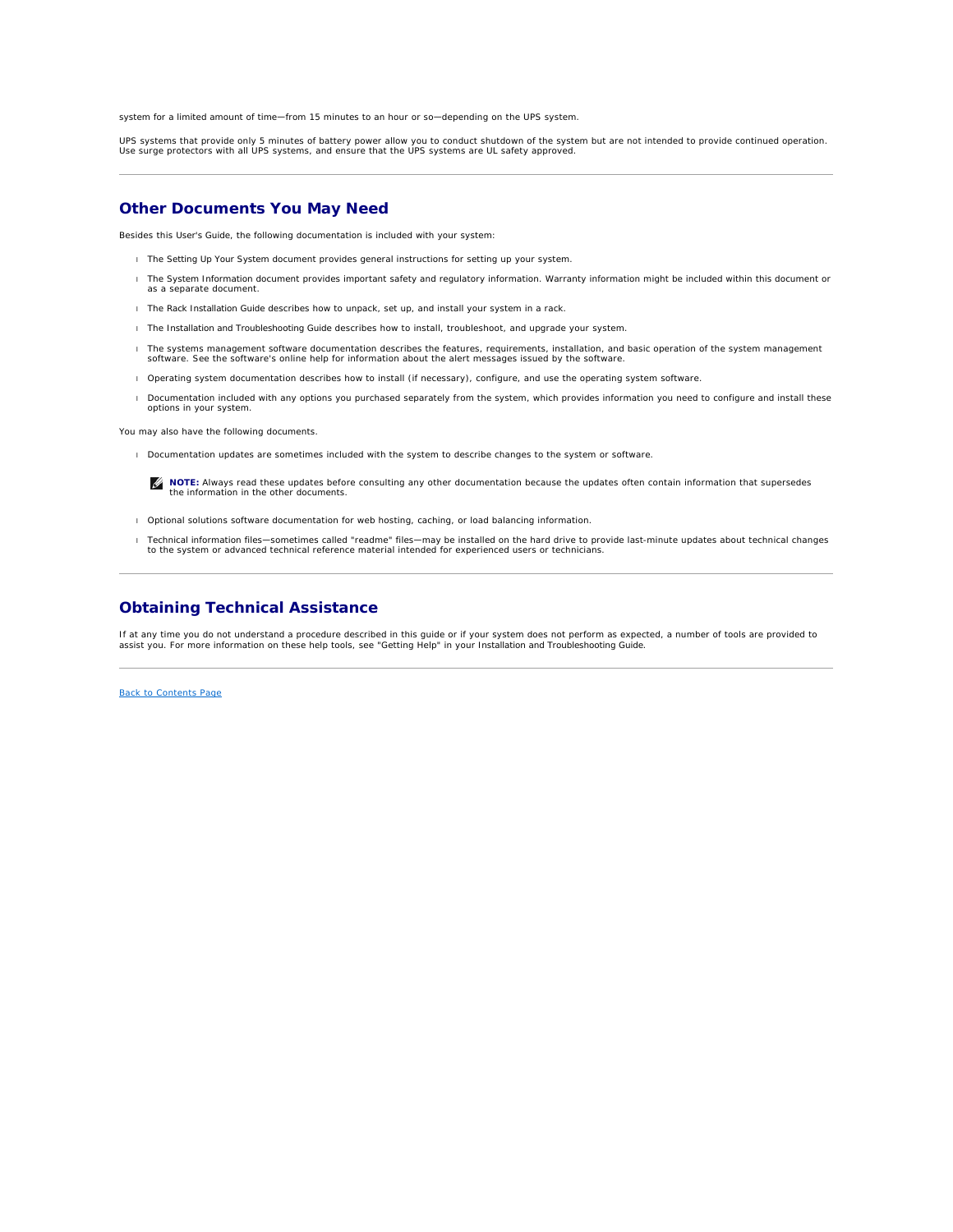system for a limited amount of time—from 15 minutes to an hour or so—depending on the UPS system.

UPS systems that provide only 5 minutes of battery power allow you to conduct shutdown of the system but are not intended to provide continued operation.<br>Use surge protectors with all UPS systems, and ensure that the UPS s

# <span id="page-22-0"></span>**Other Documents You May Need**

Besides this *User's Guide*, the following documentation is included with your system:

- l The *Setting Up Your System* document provides general instructions for setting up your system.
- l The *System Information* document provides important safety and regulatory information. Warranty information might be included within this document or as a separate document.
- l The *Rack Installation Guide* describes how to unpack, set up, and install your system in a rack.
- l The *Installation and Troubleshooting Guide* describes how to install, troubleshoot, and upgrade your system.
- l The systems management software documentation describes the features, requirements, installation, and basic operation of the system management software. See the software's online help for information about the alert messages issued by the software.
- l Operating system documentation describes how to install (if necessary), configure, and use the operating system software.
- l Documentation included with any options you purchased separately from the system, which provides information you need to configure and install these options in your system.

You may also have the following documents.

- l Documentation updates are sometimes included with the system to describe changes to the system or software.
	- **NOTE:** Always read these updates before consulting any other documentation because the updates often contain information that supersedes the information in the other documents.
- 1 Optional solutions software documentation for web hosting, caching, or load balancing information.
- Technical information files—sometimes called "readme" files—may be installed on the hard drive to provide last-minute updates about technical changes<br>to the system or advanced technical reference material intended for expe

# <span id="page-22-1"></span>**Obtaining Technical Assistance**

If at any time you do not understand a procedure described in this guide or if your system does not perform as expected, a number of tools are provided to<br>assist you. For more information on these help tools, see "Getting

[Back to Contents Page](file:///C:/data/systems/pe2650/en/ug/index.htm)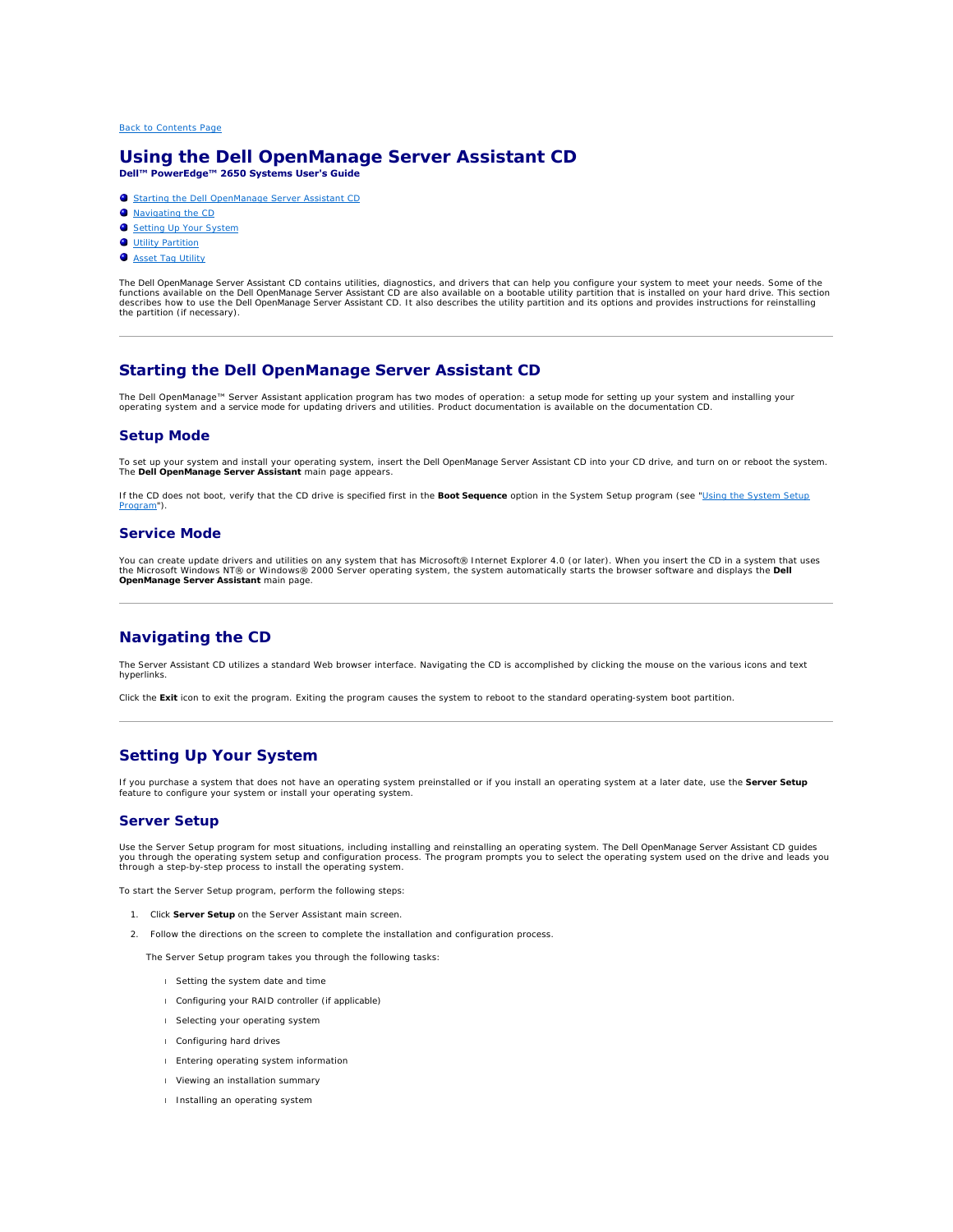# <span id="page-23-0"></span>**Using the Dell OpenManage Server Assistant CD Dell™ PowerEdge™ 2650 Systems User's Guide**

- **O** [Starting the Dell OpenManage Server Assistant CD](#page-23-1)
- $\bullet$  [Navigating the CD](#page-23-2)
- [Setting Up Your System](#page-23-3)
- **O** [Utility Partition](#page-24-0)
- **O** [Asset Tag Utility](#page-24-1)
- 

The *Dell OpenManage Server Assistant* CD contains utilities, diagnostics, and drivers that can help you configure your system to meet your needs. Some of the<br>functions available on the *Dell OpenManage Server Assistant* C the partition (if necessary).

# <span id="page-23-1"></span>**Starting the Dell OpenManage Server Assistant CD**

T**he Dell OpenManage™ Server Assistan**t application program has two modes of operation: a *setup mode* for setting up your system and installing your<br>operating system and a *service mode* for updating drivers and utilitie

# **Setup Mode**

To set up your system and install your operating system, insert the *Dell OpenManage Server Assistant* CD into your CD drive, and turn on or reboot the system.<br>The **Dell OpenManage Server Assistant** main page appears.

[If the CD does not boot, verify that the CD drive is specified first in the](file:///C:/data/systems/pe2650/en/ug/5g387c30.htm#1039152) **Boot Sequence** option in the System Setup program (see "Using the System Setup am")

# **Service Mode**

You can create update drivers and utilities on any system that has Microsoft® Internet Explorer 4.0 (or later). When you insert the CD in a system that uses<br>the Microsoft Windows NT® or Windows® 2000 Server operating syste **OpenManage Server Assistant** main page.

# <span id="page-23-2"></span>**Navigating the CD**

The *Server Assistant* CD utilizes a standard Web browser interface. Navigating the CD is accomplished by clicking the mouse on the various icons and text hyperlinks.

Click the **Exit** icon to exit the program. Exiting the program causes the system to reboot to the standard operating-system boot partition.

# <span id="page-23-3"></span>**Setting Up Your System**

If you purchase a system that does not have an operating system preinstalled or if you install an operating system at a later date, use the **Server Setup**<br>feature to configure your system or install your operating system.

# **Server Setup**

Use the Server Setup program for most situations, including installing and reinstalling an operating system. The *Dell OpenManage Server Assistant* CD guides<br>you through the operating system setup and configuration process

To start the Server Setup program, perform the following steps:

- 1. Click **Server Setup** on the Server Assistant main screen.
- 2. Follow the directions on the screen to complete the installation and configuration process.

The Server Setup program takes you through the following tasks:

- l Setting the system date and time
- l Configuring your RAID controller (if applicable)
- l Selecting your operating system
- l Configuring hard drives
- l Entering operating system information
- l Viewing an installation summary
- l Installing an operating system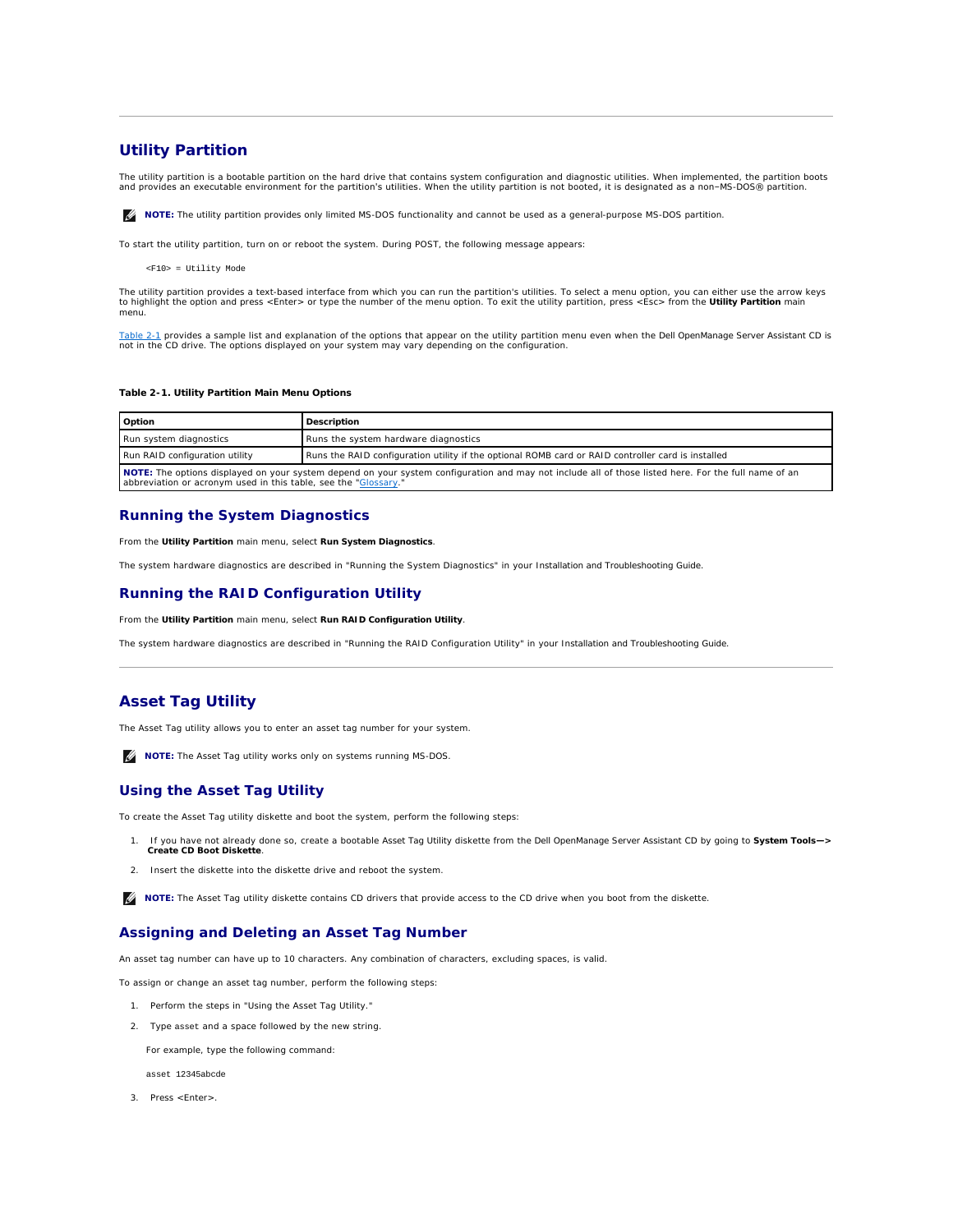# <span id="page-24-3"></span><span id="page-24-0"></span>**Utility Partition**

The utility partition is a bootable partition on the hard drive that contains system configuration and diagnostic utilities. When implemented, the partition boots<br>and provides an executable environment for the partition's

**A NOTE:** The utility partition provides only limited MS-DOS functionality and cannot be used as a general-purpose MS-DOS partition.

To start the utility partition, turn on or reboot the system. During POST, the following message appears:

<F10> = Utility Mode

The utility partition provides a text-based interface from which you can run the partition's utilities. To select a menu option, you can either use the arrow keys to highlight the option and press <Enter> or type the number of the menu option. To exit the utility partition, press <Esc> from the **Utility Partition** main menu.

<u>[Table 2](#page-24-2)-1</u> provides a sample list and explanation of the options that appear on the utility partition menu even when the *Dell OpenManage Server Assistant* CD is<br>not in the CD drive. The options displayed on your system m

### <span id="page-24-2"></span>**Table 2-1. Utility Partition Main Menu Options**

| Option                                                                                                                                                                                                                  | Description                                                                                        |
|-------------------------------------------------------------------------------------------------------------------------------------------------------------------------------------------------------------------------|----------------------------------------------------------------------------------------------------|
| Run system diagnostics                                                                                                                                                                                                  | Runs the system hardware diagnostics                                                               |
| Run RAID configuration utility                                                                                                                                                                                          | Runs the RAID configuration utility if the optional ROMB card or RAID controller card is installed |
| NOTE: The options displayed on your system depend on your system configuration and may not include all of those listed here. For the full name of an<br>abbreviation or acronym used in this table, see the "Glossary." |                                                                                                    |

# **Running the System Diagnostics**

From the **Utility Partition** main menu, select **Run System Diagnostics**.

The system hardware diagnostics are described in "Running the System Diagnostics" in your *Installation and Troubleshooting Guide*.

# **Running the RAID Configuration Utility**

From the **Utility Partition** main menu, select **Run RAID Configuration Utility**.

The system hardware diagnostics are described in "Running the RAID Configuration Utility" in your *Installation and Troubleshooting Guide*.

# <span id="page-24-1"></span>**Asset Tag Utility**

The Asset Tag utility allows you to enter an asset tag number for your system.

**NOTE:** The Asset Tag utility works only on systems running MS-DOS.

# **Using the Asset Tag Utility**

To create the Asset Tag utility diskette and boot the system, perform the following steps:

- 1. If you have not already done so, create a bootable *Asset Tag Utility* diskette from the *Dell OpenManage Server Assistant* CD by going to **System Tools—> Create CD Boot Diskette**.
- 2. Insert the diskette into the diskette drive and reboot the system.

**I** NOTE: The Asset Tag utility diskette contains CD drivers that provide access to the CD drive when you boot from the diskette.

# **Assigning and Deleting an Asset Tag Number**

An asset tag number can have up to 10 characters. Any combination of characters, excluding spaces, is valid.

To assign or change an asset tag number, perform the following steps:

- 1. Perform the steps in "Using the Asset Tag Utility."
- 2. Type asset and a space followed by the new string.

For example, type the following command:

asset 12345abcde

3. Press <Enter>.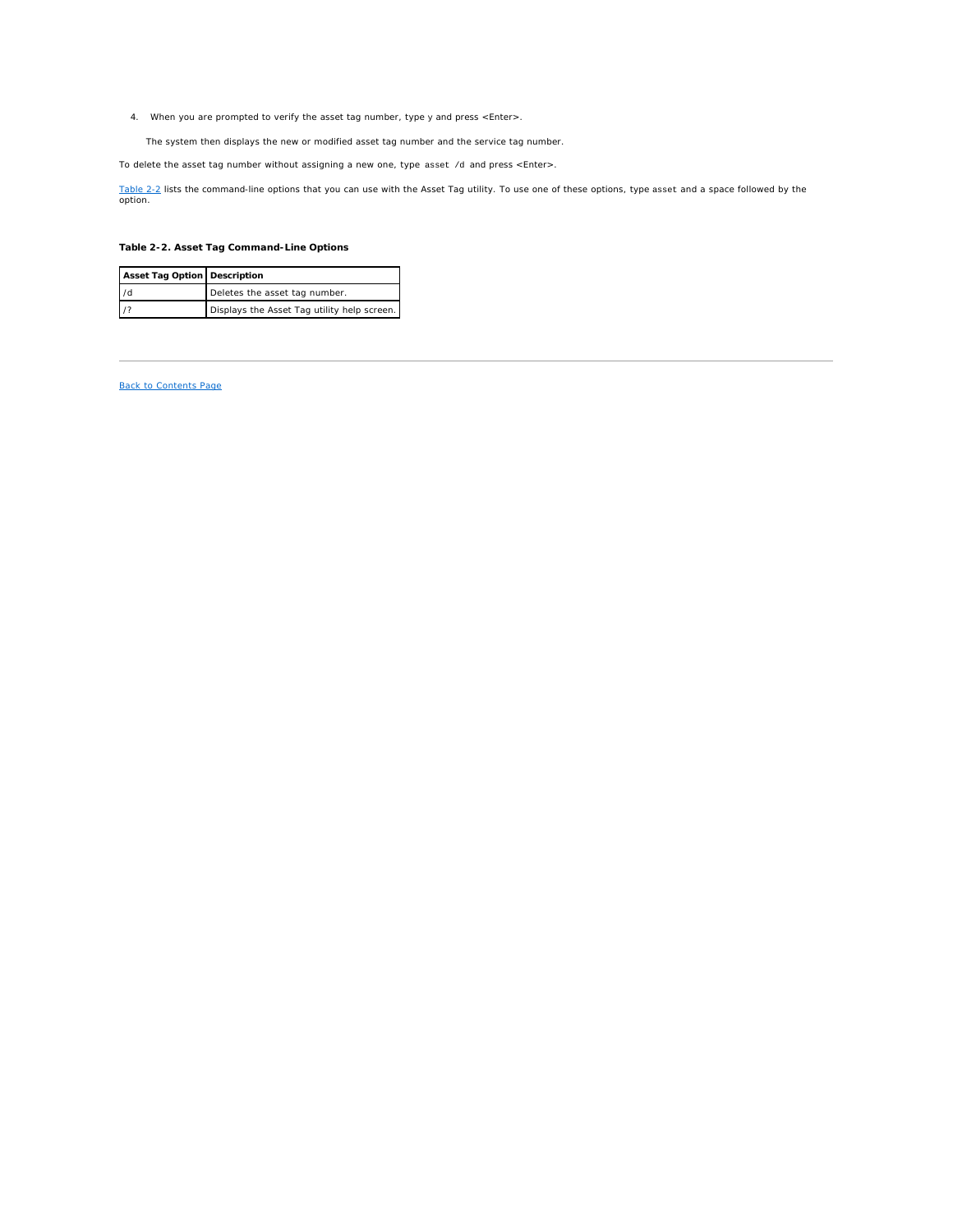<span id="page-25-1"></span>4. When you are prompted to verify the asset tag number, type y and press <Enter>.

The system then displays the new or modified asset tag number and the service tag number.

To delete the asset tag number without assigning a new one, type asset /d and press <Enter>.

<u>[Table 2](#page-25-0)-2</u> lists the command-line options that you can use with the Asset Tag utility. To use one of these options, type asset and a space followed by the<br>option.

# <span id="page-25-0"></span>**Table 2-2. Asset Tag Command-Line Options**

| Asset Tag Option   Description |                                             |
|--------------------------------|---------------------------------------------|
| 1/d                            | Deletes the asset tag number.               |
| $\frac{1}{2}$                  | Displays the Asset Tag utility help screen. |

# [Back to Contents Page](file:///C:/data/systems/pe2650/en/ug/index.htm)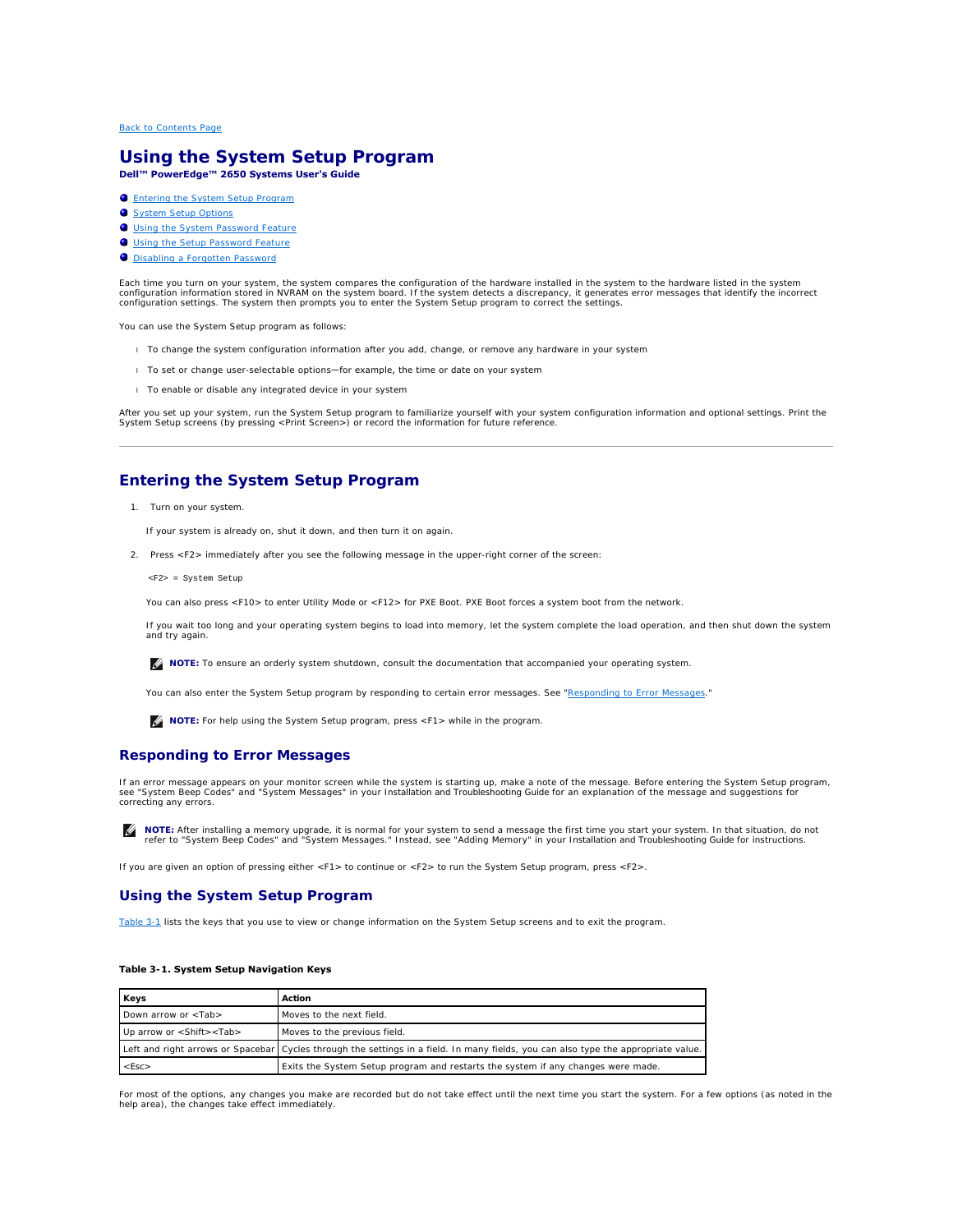# <span id="page-26-0"></span>**Using the System Setup Program Dell™ PowerEdge™ 2650 Systems User's Guide**

- **C** [Entering the System Setup Program](#page-26-1)
- **O** [System Setup Options](#page-27-0)
- **O** [Using the System Password Feature](#page-29-0)
- [Using the Setup Password Feature](#page-30-0)
- [Disabling a Forgotten Password](#page-31-0)

Each time you turn on your system, the system compares the configuration of the hardware installed in the system to the hardware listed in the system<br>configuration information stored in NVRAM on the system board. If the sy

You can use the System Setup program as follows:

- l To change the system configuration information after you add, change, or remove any hardware in your system
- 1 To set or change user-selectable options-for example, the time or date on your system
- l To enable or disable any integrated device in your system

After you set up your system, run the System Setup program to familiarize yourself with your system configuration information and optional settings. Print the<br>System Setup screens (by pressing <Print Screen>) or record the

# <span id="page-26-1"></span>**Entering the System Setup Program**

1. Turn on your system.

If your system is already on, shut it down, and then turn it on again.

- 2. Press <F2> immediately after you see the following message in the upper-right corner of the screen:
	- <F2> = System Setup

You can also press <F10> to enter Utility Mode or <F12> for PXE Boot. PXE Boot forces a system boot from the network.

If you wait too long and your operating system begins to load into memory, let the system complete the load operation, and then shut down the system and try again.

**A NOTE:** To ensure an orderly system shutdown, consult the documentation that accompanied your operating system.

You can also enter the System Setup program by responding to certain error messages. See "[Responding to Error Messages](#page-26-2)."

**NOTE:** For help using the System Setup program, press <F1> while in the program.

# <span id="page-26-2"></span>**Responding to Error Messages**

If an error message appears on your monitor screen while the system is starting up, make a note of the message. Before entering the System Setup program,<br>see "System Beep Codes" and "System Messages" in your *Installation* 

**NOTE:** After installing a memory upgrade, it is normal for your system to send a message the first time you start your system. In that situation, do not<br>refer to "System Beep Codes" and "System Messages." Instead, see "Ad

If you are given an option of pressing either <F1> to continue or <F2> to run the System Setup program, press <F2>.

# **Using the System Setup Program**

[Table 3](#page-26-3)-1 lists the keys that you use to view or change information on the System Setup screens and to exit the program.

### <span id="page-26-3"></span>**Table 3-1. System Setup Navigation Keys**

| Keys                                   | Action                                                                                                                               |
|----------------------------------------|--------------------------------------------------------------------------------------------------------------------------------------|
| Down arrow or <tab></tab>              | Moves to the next field.                                                                                                             |
| Up arrow or <shift><tab></tab></shift> | Moves to the previous field.                                                                                                         |
|                                        | Left and right arrows or Spacebar   Cycles through the settings in a field. In many fields, you can also type the appropriate value. |
| $<$ Esc $>$                            | Exits the System Setup program and restarts the system if any changes were made.                                                     |

For most of the options, any changes you make are recorded but do not take effect until the next time you start the system. For a few options (as noted in the help area), the changes take effect immediately.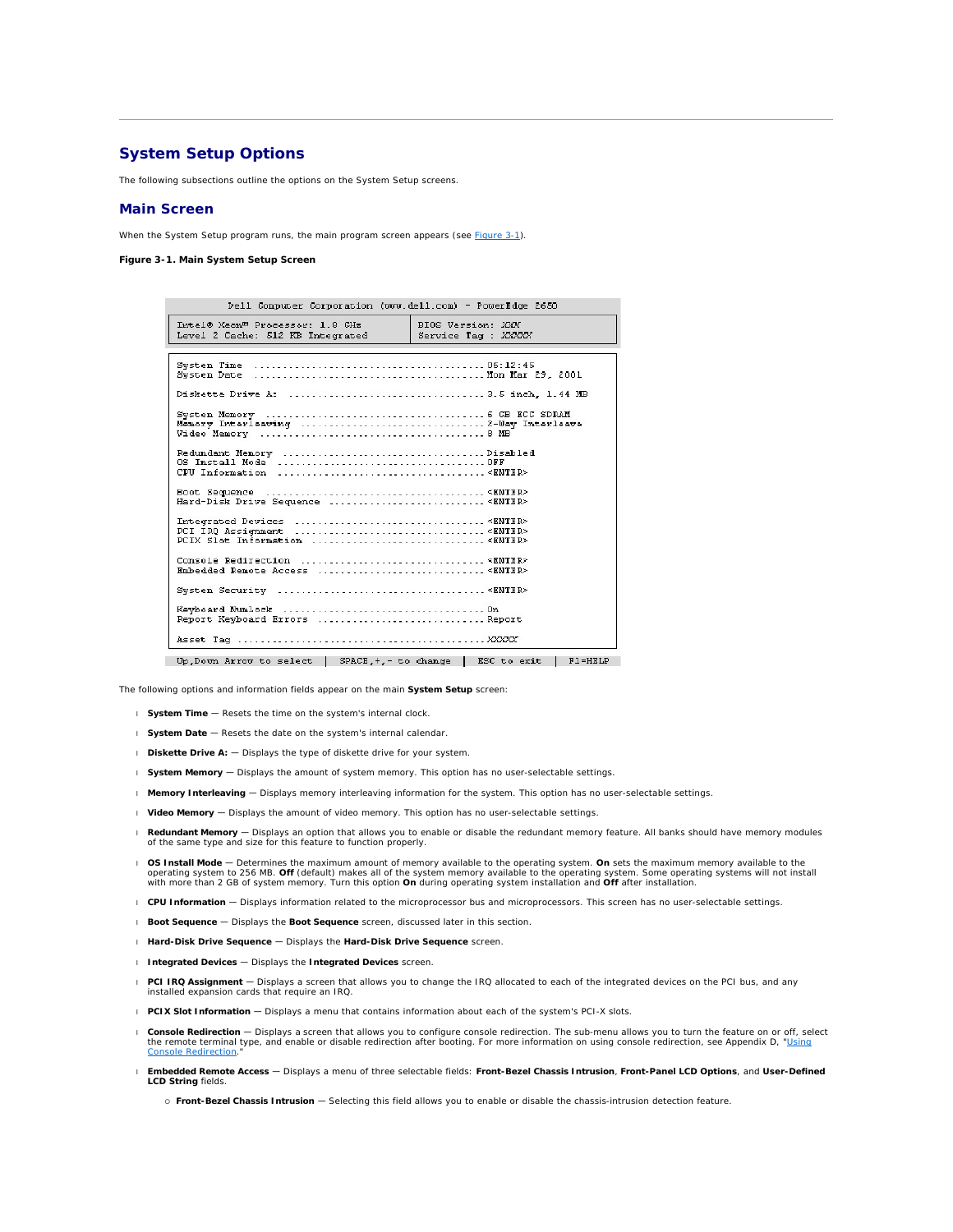# <span id="page-27-0"></span>**System Setup Options**

The following subsections outline the options on the System Setup screens.

# **Main Screen**

When the System Setup program runs, the main program screen appears (see [Figure 3](#page-27-1)-1).

<span id="page-27-1"></span>**Figure 3-1. Main System Setup Screen** 

| Dell Computer Corporation (www.dell.com) - PowerEdge 2650                                                                   |
|-----------------------------------------------------------------------------------------------------------------------------|
| Intel® Xeon <sup>m</sup> Processor: 1.8 CHz<br>BIOS Version: XXX<br>Level 2 Cache: 512 KB Integrated<br>Service Tag : XXXXX |
|                                                                                                                             |
|                                                                                                                             |
|                                                                                                                             |
| System Memory (and the control of the control of the SCC SDRAM                                                              |
|                                                                                                                             |
| Hard-Disk Drive Sequence  < ENTER>                                                                                          |
| PCIX Slot Information <enter></enter>                                                                                       |
|                                                                                                                             |
|                                                                                                                             |
| Report Keyboard Errors  Report                                                                                              |
|                                                                                                                             |
| Up, Down Arrow to select   SPACE, +,- to change   ESC to exit<br>$F1 = HKLP$                                                |

The following options and information fields appear on the main **System Setup** screen:

- l **System Time** Resets the time on the system's internal clock.
- l **System Date** Resets the date on the system's internal calendar.
- l **Diskette Drive A:** Displays the type of diskette drive for your system.
- l **System Memory**  Displays the amount of system memory. This option has no user-selectable settings.
- l **Memory Interleaving**  Displays memory interleaving information for the system. This option has no user-selectable settings.
- l **Video Memory** Displays the amount of video memory. This option has no user-selectable settings.
- l **Redundant Memory**  Displays an option that allows you to enable or disable the redundant memory feature. All banks should have memory modules of the same type and size for this feature to function properly.
- l **OS Install Mode** Determines the maximum amount of memory available to the operating system. **On** sets the maximum memory available to the operating system to 256 MB. **Off** (default) makes all of the system memory available to the operating system. Some operating systems will not install<br>with more than 2 GB of system memory. Turn this option **On** during opera
- l **CPU Information**  Displays information related to the microprocessor bus and microprocessors. This screen has no user-selectable settings.
- l **Boot Sequence**  Displays the **Boot Sequence** screen, discussed later in this section.
- l **Hard-Disk Drive Sequence**  Displays the **Hard-Disk Drive Sequence** screen.
- l **Integrated Devices**  Displays the **Integrated Devices** screen.
- l **PCI IRQ Assignment** Displays a screen that allows you to change the IRQ allocated to each of the integrated devices on the PCI bus, and any installed expansion cards that require an IRQ.
- l **PCIX Slot Information**  Displays a menu that contains information about each of the system's PCI-X slots.
- l **Console Redirection** Displays a screen that allows you to configure console redirection. The sub-menu allows you to turn the feature on or off, select the remote terminal type, and enable or disable redirection after booting. For more information on using console redirection, see Appendix D, "<u>Using</u> Console Redirection."
- l **Embedded Remote Access**  Displays a menu of three selectable fields: **Front-Bezel Chassis Intrusion**, **Front-Panel LCD Options**, and **User-Defined LCD String** fields.
	- ¡ **Front-Bezel Chassis Intrusion** Selecting this field allows you to enable or disable the chassis-intrusion detection feature.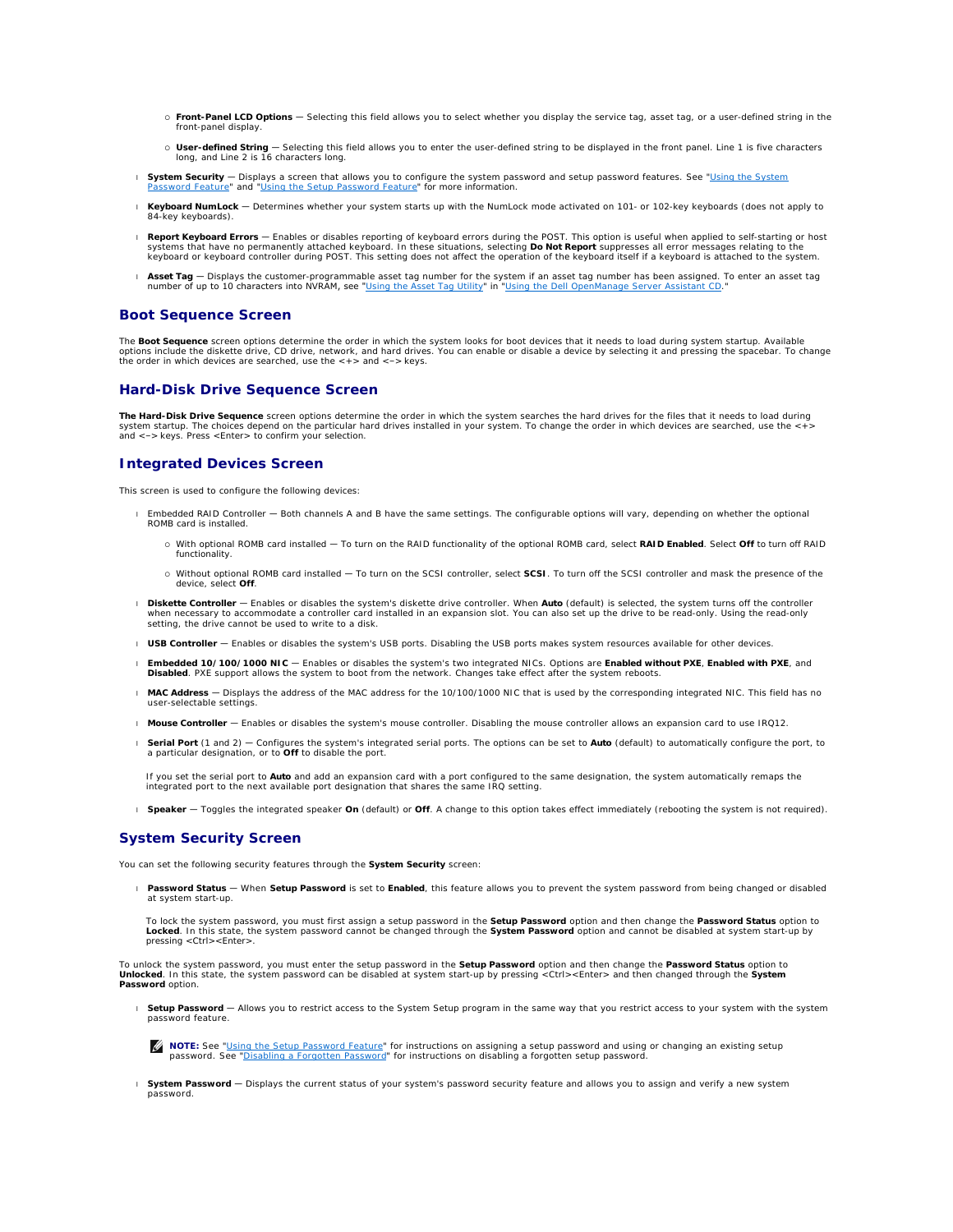- ¡ **Front-Panel LCD Options** Selecting this field allows you to select whether you display the service tag, asset tag, or a user-defined string in the front-panel display.
- o **User-defined String** Selecting this field allows you to enter the user-defined string to be displayed in the front panel. Line 1 is five characters long.<br>long, and Line 2 is 16 characters long.
- l **System Security**  [Displays a screen that allows you to configure the system password and setup password features. See "Using the System](#page-29-0)  Password Feature" and "[Using the Setup Password Feature](#page-30-0)" for more information.
- l **Keyboard NumLock**  Determines whether your system starts up with the NumLock mode activated on 101- or 102-key keyboards (does not apply to 84-key keyboards).
- Report Keyboard Errors Enables or disables reporting of keyboard errors during the POST. This option is useful when applied to self-starting or host spare in these situations, selecting Do Not Report suppresses all error keyboard or keyboard controller during POST. This setting does not affect the operation of the keyboard itself if a keyboard is attached to the system.
- 1 Asset Tag Displays the customer-programmable asset tag number for the system if an asset tag number has been assigned. To enter an asset tag<br>1 number of up to 10 characters into NVRAM, see "<u>Using the Asset Tag Utility</u>

# **Boot Sequence Screen**

The **Boot Sequence** screen options determine the order in which the system looks for boot devices that it needs to load during system startup. Available options include the diskette drive, CD drive, network, and hard drives. You can enable or disable a device by selecting it and pressing the spacebar. To change<br>the order in which devices are searched, use the <+> and <-> k

# **Hard-Disk Drive Sequence Screen**

**The Hard-Disk Drive Sequence** screen options determine the order in which the system searches the hard drives for the files that it needs to load during system startup. The choices depend on the particular hard drives installed in your system. To change the order in which devices are searched, use the <+> and <–> keys. Press <Enter> to confirm your selection.

# **Integrated Devices Screen**

This screen is used to configure the following devices:

- l Embedded RAID Controller Both channels A and B have the same settings. The configurable options will vary, depending on whether the optional ROMB card is installed.
	- ¡ With optional ROMB card installed To turn on the RAID functionality of the optional ROMB card, select **RAID Enabled**. Select **Off** to turn off RAID functionality.
	- ¡ Without optional ROMB card installed To turn on the SCSI controller, select **SCSI**. To turn off the SCSI controller and mask the presence of the device, select **Off**.
- 1 Diskette Controller Enables or disables the system's diskette drive controller. When Auto (default) is selected, the system turns off the controller when necessary to accommodate a controller card installed in an expansion slot. You can also set up the drive to be read-only. Using the read-only<br>setting, the drive cannot be used to write to a disk.
- 1 **USB Controller** Enables or disables the system's USB ports. Disabling the USB ports makes system resources available for other devices.
- l **Embedded 10/100/1000 NIC**  Enables or disables the system's two integrated NICs. Options are **Enabled without PXE**, **Enabled with PXE**, and **Disabled**. PXE support allows the system to boot from the network. Changes take effect after the system reboots.
- l **MAC Address**  Displays the address of the MAC address for the 10/100/1000 NIC that is used by the corresponding integrated NIC. This field has no user-selectable settings.
- l **Mouse Controller**  Enables or disables the system's mouse controller. Disabling the mouse controller allows an expansion card to use IRQ12.
- 1 **Serial Port** (1 and 2) Configures the system's integrated serial ports. The options can be set to **Auto** (default) to automatically configure the port, to<br>a particular designation, or to **Off** to disable the port.

If you set the serial port to **Auto** and add an expansion card with a port configured to the same designation, the system automatically remaps the integrated port to the next available port designation that shares the same IRQ setting.

l **Speaker** — Toggles the integrated speaker **On** (default) or **Off**. A change to this option takes effect immediately (rebooting the system is not required).

## **System Security Screen**

You can set the following security features through the **System Security** screen:

l **Password Status** — When **Setup Password** is set to **Enabled**, this feature allows you to prevent the system password from being changed or disabled at system start-up.

To lock the system password, you must first assign a setup password in the **Setup Password** option and then change the **Password Status** option to<br>**Locked**. In this state, the system password cannot be changed through the pressing <Ctrl><Enter>.

To unlock the system password, you must enter the setup password in the **Setup Password** option and then change the **Password Status** option to<br>**Unlocked**. In this state, the system password can be disabled at system start **Password** option.

- 1 Setup Password Allows you to restrict access to the System Setup program in the same way that you restrict access to your system with the system password feature
	- **NOTE:** See "<u>[Using the Setup Password Feature](#page-30-0)</u>" for instructions on assigning a setup password and using or changing an existing setup<br>password. See "<u>[Disabling a Forgotten Password](#page-31-0)</u>" for instructions on disabling a forgo
- l **System Password**  Displays the current status of your system's password security feature and allows you to assign and verify a new system password.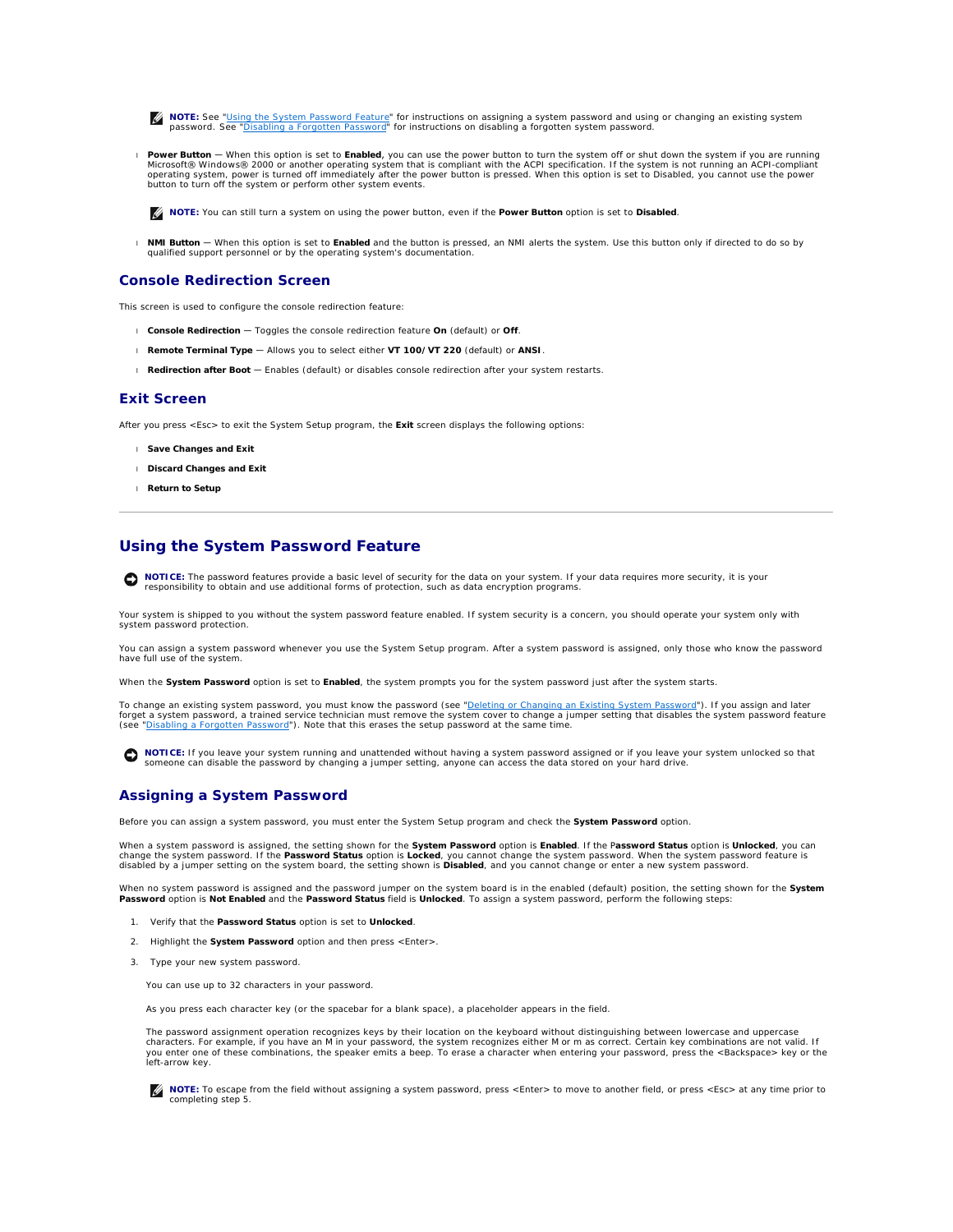<span id="page-29-1"></span>**NOTE:** See "<u>[Using the System Password Feature](#page-29-0)</u>" for instructions on assigning a system password and using or changing an existing system<br>password. See "<u>[Disabling a Forgotten Password](#page-31-0)</u>" for instructions on disabling a fo

Power Button — When this option is set to Enabled, you can use the power button to turn the system off or shut down the system if you are running<br>Microsoft® Windows® 2000 or another operating system that is compliant with operating system, power is turned off immediately after the power button is pressed. When this option is set to Disabled, you cannot use the power<br>button to turn off the system or perform other system events.

**NOTE:** You can still turn a system on using the power button, even if the **Power Button** option is set to **Disabled**.

l **NMI Button** — When this option is set to **Enabled** and the button is pressed, an NMI alerts the system. Use this button only if directed to do so by qualified support personnel or by the operating system's documentation.

## **Console Redirection Screen**

This screen is used to configure the console redirection feature:

- l **Console Redirection**  Toggles the console redirection feature **On** (default) or **Off**.
- l **Remote Terminal Type** Allows you to select either **VT 100/VT 220** (default) or **ANSI**.
- l **Redirection after Boot**  Enables (default) or disables console redirection after your system restarts.

## **Exit Screen**

After you press <Esc> to exit the System Setup program, the **Exit** screen displays the following options:

- l **Save Changes and Exit**
- l **Discard Changes and Exit**
- l **Return to Setup**

# <span id="page-29-0"></span>**Using the System Password Feature**

**NOTICE:** The password features provide a basic level of security for the data on your system. If your data requires more security, it is your<br>responsibility to obtain and use additional forms of protection, such as data e

Your system is shipped to you without the system password feature enabled. If system security is a concern, you should operate your system only with system password protection.

You can assign a system password whenever you use the System Setup program. After a system password is assigned, only those who know the password have full use of the system.

When the **System Password** option is set to **Enabled**, the system prompts you for the system password just after the system starts.

To change an existing system password, you must know the password (see "<u>Deleting or Changing an Existing System Password</u>"). If you assign and later<br>forget a system password, a trained service technician must remove the s

**NOTICE**: If you leave your system running and unattended without having a system password assigned or if you leave your system unlocked so that<br>someone can disable the password by changing a jumper setting, anyone can acc

# <span id="page-29-2"></span>**Assigning a System Password**

Before you can assign a system password, you must enter the System Setup program and check the **System Password** option.

When a system password is assigned, the setting shown for the **System Password** option is **Enabled**. If the P**assword Status** option is **Unlocked**, you can<br>change the system password. If the P**assword Status** option is **Lo** 

When no system password is assigned and the password jumper on the system board is in the enabled (default) position, the setting shown for the **System Password** option is **Not Enabled** and the **Password Status** field is **Unlocked**. To assign a system password, perform the following steps:

- 1. Verify that the **Password Status** option is set to **Unlocked**.
- 2. Highlight the **System Password** option and then press <Enter>.
- 3. Type your new system password.

You can use up to 32 characters in your password.

As you press each character key (or the spacebar for a blank space), a placeholder appears in the field.

The password assignment operation recognizes keys by their location on the keyboard without distinguishing between lowercase and uppercase<br>characters. For example, if you have an M in your password, the system recognizes e

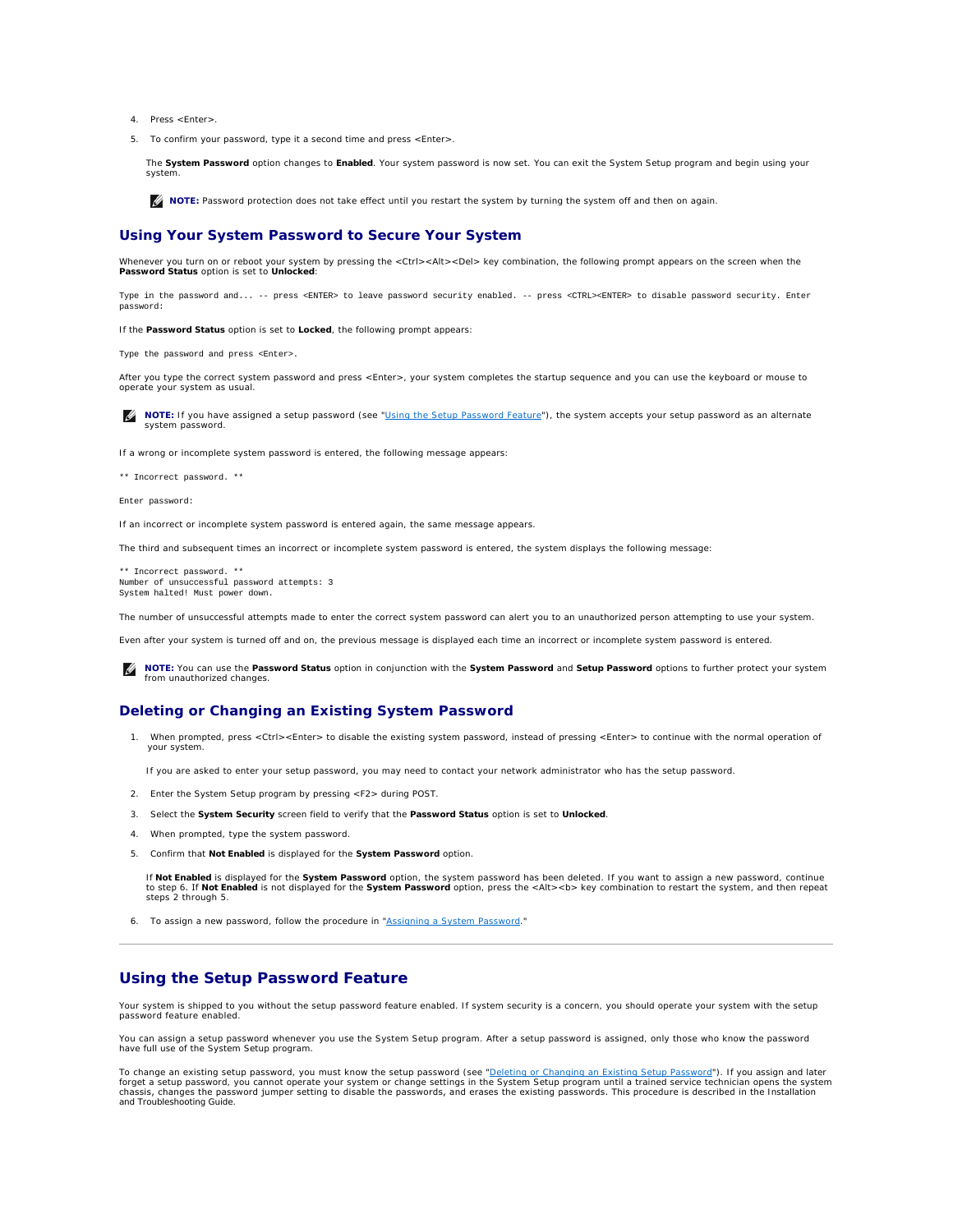- <span id="page-30-1"></span>4. Press <Enter>.
- 5. To confirm your password, type it a second time and press <Enter>.

The **System Password** option changes to **Enabled**. Your system password is now set. You can exit the System Setup program and begin using your system.

**A NOTE:** Password protection does not take effect until you restart the system by turning the system off and then on again.

# **Using Your System Password to Secure Your System**

Whenever you turn on or reboot your system by pressing the <Ctrl><Alt><Del> key combination, the following prompt appears on the screen when the<br>**Password Status** option is set to **Unlocked**:

Type in the password and... -- press <ENTER> to leave password security enabled. -- press <CTRL><ENTER> to disable password security. Enter password:

If the **Password Status** option is set to **Locked**, the following prompt appears:

Type the password and press <Enter>.

After you type the correct system password and press <Enter>, your system completes the startup sequence and you can use the keyboard or mouse to operate your system as usual.

**IG** NOTE: If you have assigned a setup password (see "[Using the Setup Password Feature](#page-30-0)"), the system accepts your setup password as an alternate system password.

If a wrong or incomplete system password is entered, the following message appears:

\*\* Incorrect password. \*\*

Enter password:

If an incorrect or incomplete system password is entered again, the same message appears.

The third and subsequent times an incorrect or incomplete system password is entered, the system displays the following message:

\*\* Incorrect password. \*\* Number of unsuccessful password attempts: 3 System halted! Must power down.

The number of unsuccessful attempts made to enter the correct system password can alert you to an unauthorized person attempting to use your system.

Even after your system is turned off and on, the previous message is displayed each time an incorrect or incomplete system password is entered.

**NOTE:** You can use the **Password Status** option in conjunction with the **System Password** and **Setup Password** options to further protect your system from unauthorized changes.

# <span id="page-30-2"></span>**Deleting or Changing an Existing System Password**

1. When prompted, press <Ctrl><Enter> to disable the existing system password, instead of pressing <Enter> to continue with the normal operation of your system.

If you are asked to enter your setup password, you may need to contact your network administrator who has the setup password.

- 2. Enter the System Setup program by pressing <F2> during POST.
- 3. Select the **System Security** screen field to verify that the **Password Status** option is set to **Unlocked**.
- 4. When prompted, type the system password.
- 5. Confirm that **Not Enabled** is displayed for the **System Password** option.

If **Not Enabled** is displayed for the **System Password** option, the system password has been deleted. If you want to assign a new password, continue<br>to step 6**. If Not Enabled** is not displayed for the **System Password** op steps 2 through 5.

6. To assign a new password, follow the procedure in ["Assigning a System Password](#page-29-2)."

# <span id="page-30-0"></span>**Using the Setup Password Feature**

Your system is shipped to you without the setup password feature enabled. If system security is a concern, you should operate your system with the setup password feature enabled.

You can assign a setup password whenever you use the System Setup program. After a setup password is assigned, only those who know the password have full use of the System Setup program.

To change an existing setup password, you must know the setup password (see "<u>Deleting or Changing an Existing Setup Password</u>"). If you assign and later<br>forget a setup password, you cannot operate your system or change se *and Troubleshooting Guide*.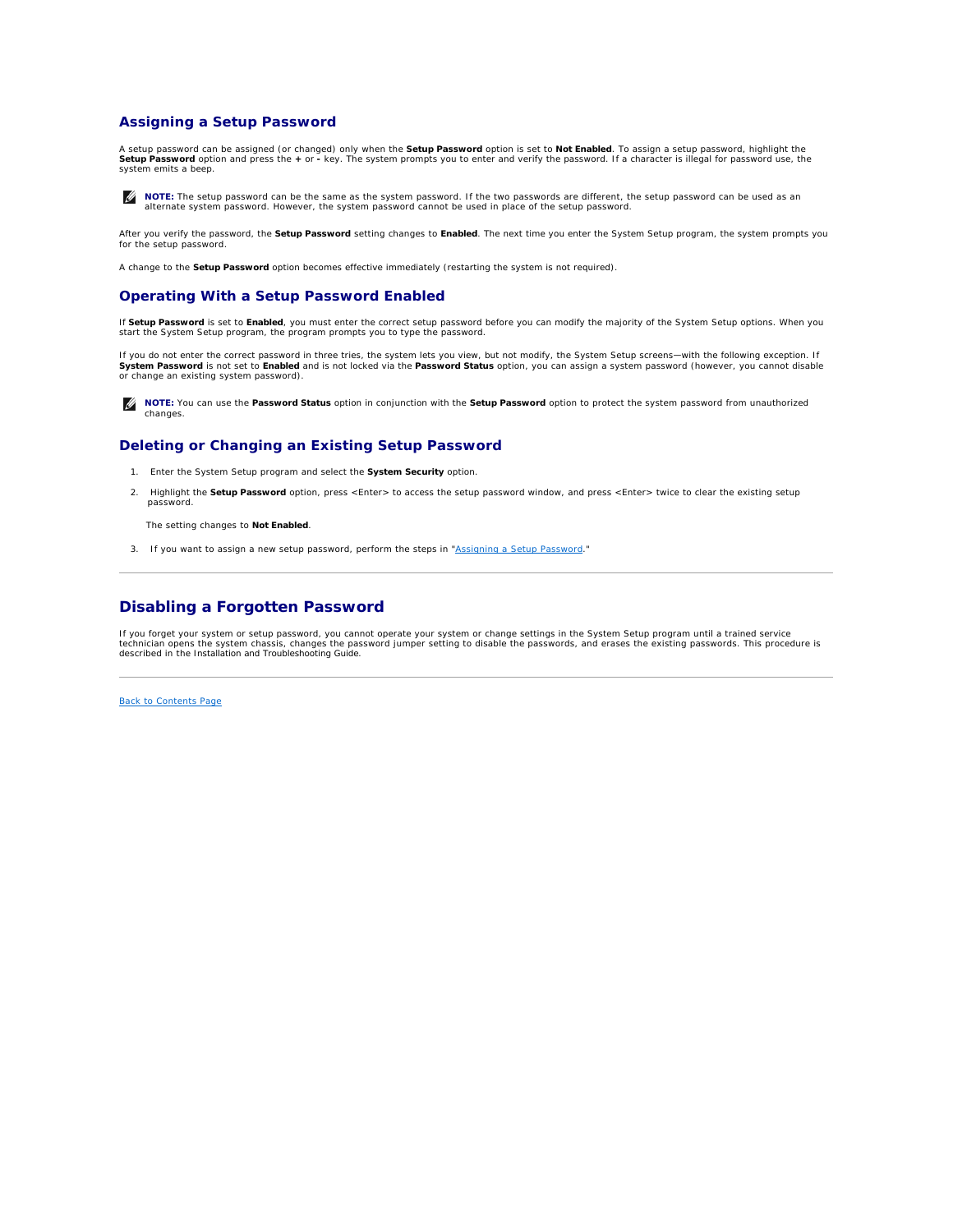# <span id="page-31-3"></span><span id="page-31-1"></span>**Assigning a Setup Password**

A setup password can be assigned (or changed) only when the **Setup Password** option is set to **Not Enabled**. To assign a setup password, highlight the **Setup Password** option and press the **+** or **-** key. The system prompts you to enter and verify the password. If a character is illegal for password use, the system emits a beep.

**NOTE:** The setup password can be the same as the system password. If the two passwords are different, the setup password can be used as an alternate system password. However, the system password cannot be used in place of the setup password.

After you verify the password, the **Setup Password** setting changes to **Enabled**. The next time you enter the System Setup program, the system prompts you for the setup password.

A change to the **Setup Password** option becomes effective immediately (restarting the system is not required).

# **Operating With a Setup Password Enabled**

If **Setup Password** is set to **Enabled**, you must enter the correct setup password before you can modify the majority of the System Setup options. When you<br>start the System Setup program, the program prompts you to type th

If you do not enter the correct password in three tries, the system lets you view, but not modify, the System Setup screens—with the following exception. If<br>**System Password** is not set to **Enabled** and is not locked via t or change an existing system password).

**A NOTE:** You can use the Password Status option in conjunction with the Setup Password option to protect the system password from unauthorized changes.

# <span id="page-31-2"></span>**Deleting or Changing an Existing Setup Password**

1. Enter the System Setup program and select the **System Security** option.

2. Highlight the **Setup Password** option, press <Enter> to access the setup password window, and press <Enter> twice to clear the existing setup password.

The setting changes to **Not Enabled**.

3. If you want to assign a new setup password, perform the steps in "[Assigning a Setup Password.](#page-31-3)"

# <span id="page-31-0"></span>**Disabling a Forgotten Password**

If you forget your system or setup password, you cannot operate your system or change settings in the System Setup program until a trained service<br>technician opens the system chassis, changes the password jumper setting to

[Back to Contents Page](file:///C:/data/systems/pe2650/en/ug/index.htm)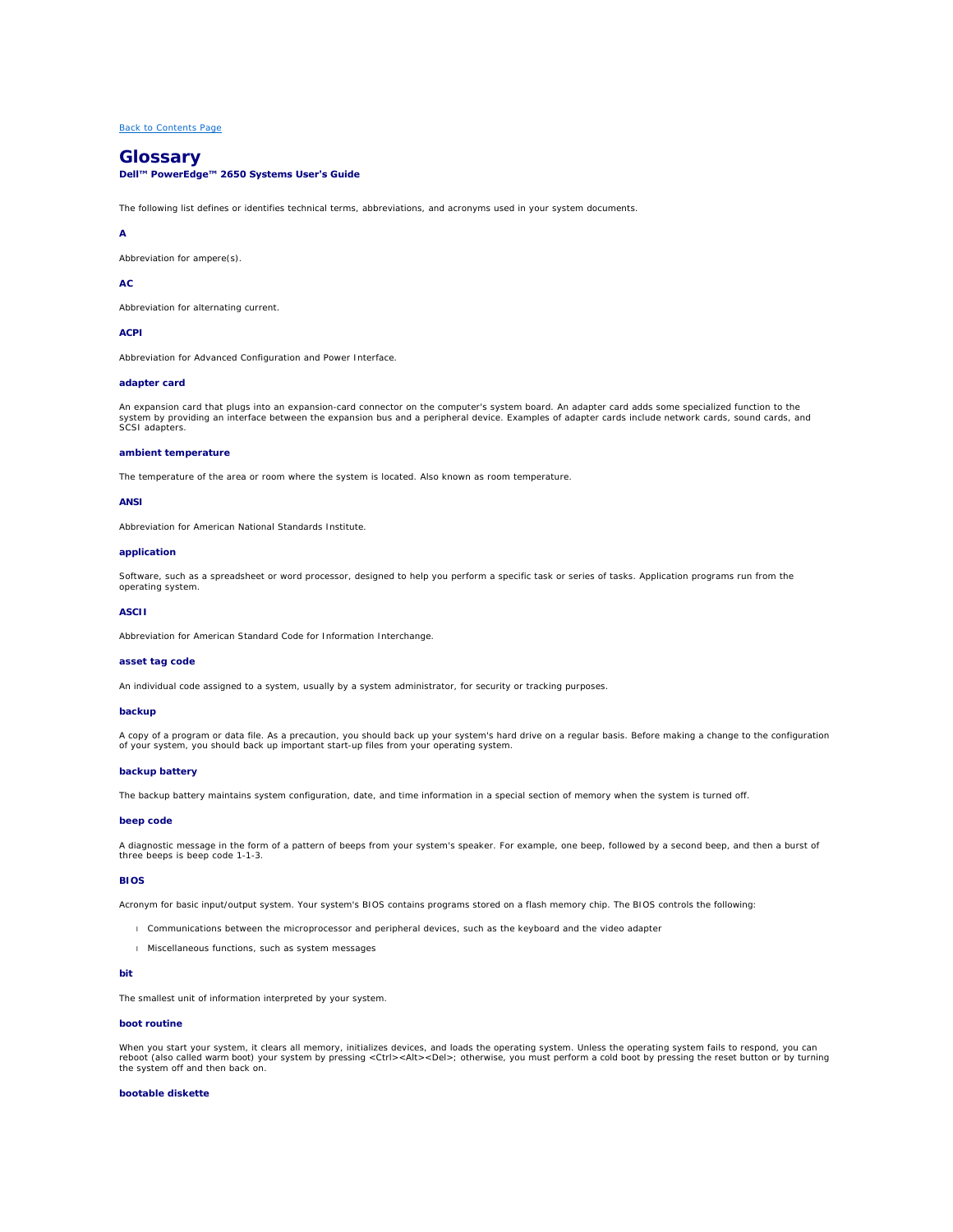# <span id="page-32-0"></span>**Glossary Dell™ PowerEdge™ 2650 Systems User's Guide**

The following list defines or identifies technical terms, abbreviations, and acronyms used in your system documents.

### **A**

Abbreviation for ampere(s).

### **AC**

Abbreviation for alternating current.

## **ACPI**

Abbreviation for Advanced Configuration and Power Interface.

### **adapter card**

An expansion card that plugs into an expansion-card connector on the computer's system board. An adapter card adds some specialized function to the<br>system by providing an interface between the expansion bus and a periphera

### **ambient temperature**

The temperature of the area or room where the system is located. Also known as room temperature.

#### **ANSI**

Abbreviation for American National Standards Institute.

#### **application**

Software, such as a spreadsheet or word processor, designed to help you perform a specific task or series of tasks. Application programs run from the operating system.

### **ASCII**

Abbreviation for American Standard Code for Information Interchange.

### **asset tag code**

An individual code assigned to a system, usually by a system administrator, for security or tracking purposes.

#### **backup**

A copy of a program or data file. As a precaution, you should back up your system's hard drive on a regular basis. Before making a change to the configuration of your system, you should back up important start-up files from your operating system.

### **backup battery**

The backup battery maintains system configuration, date, and time information in a special section of memory when the system is turned off.

## **beep code**

A diagnostic message in the form of a pattern of beeps from your system's speaker. For example, one beep, followed by a second beep, and then a burst of three beeps is beep code 1-1-3.

#### **BIOS**

Acronym for basic input/output system. Your system's BIOS contains programs stored on a flash memory chip. The BIOS controls the following:

- l Communications between the microprocessor and peripheral devices, such as the keyboard and the video adapter
- l Miscellaneous functions, such as system messages

## **bit**

The smallest unit of information interpreted by your system.

### **boot routine**

When you start your system, it clears all memory, initializes devices, and loads the operating system. Unless the operating system fails to respond, you can<br>r**eboot (also called** *warm boot*) your system by pressing <Ctrl>

## **bootable diskette**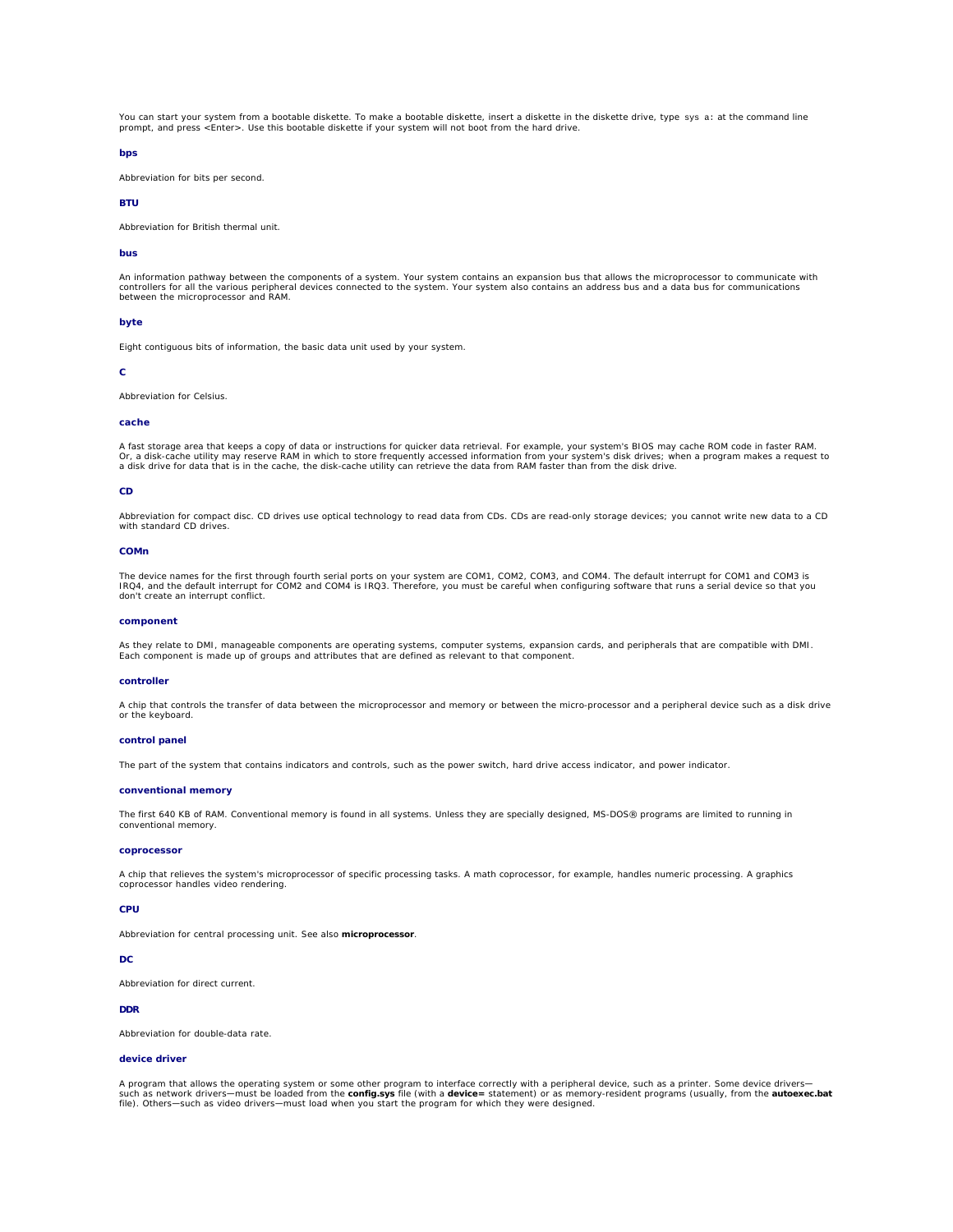You can start your system from a bootable diskette. To make a bootable diskette, insert a diskette in the diskette drive, type sys a: at the command line prompt, and press <Enter>. Use this bootable diskette if your system will not boot from the hard drive.

## **bps**

Abbreviation for bits per second.

# **BTU**

Abbreviation for British thermal unit.

### **bus**

An information pathway between the components of a system. Your system contains an expansion bus that allows the microprocessor to communicate with controllers for all the various peripheral devices connected to the system. Your system also contains an address bus and a data bus for communications between the microprocessor and RAM.

### **byte**

Eight contiguous bits of information, the basic data unit used by your system.

#### **C**

Abbreviation for Celsius.

#### **cache**

A fast storage area that keeps a copy of data or instructions for quicker data retrieval. For example, your system's BIOS may cache ROM code in faster RAM.<br>Or, a disk-cache utility may reserve RAM in which to store frequen a disk drive for data that is in the cache, the disk-cache utility can retrieve the data from RAM faster than from the disk drive.

#### **CD**

Abbreviation for compact disc. CD drives use optical technology to read data from CDs. CDs are read-only storage devices; you cannot write new data to a CD with standard CD drives.

#### **COMn**

The device names for the first through fourth serial ports on your system are COM1, COM2, COM3, and COM4. The default interrupt for COM1 and COM3 is<br>IRQ4, and the default interrupt for COM2 and COM4 is IRQ3. Therefore, you

#### **component**

As they relate to DMI, manageable components are operating systems, computer systems, expansion cards, and peripherals that are compatible with DMI. Each component is made up of groups and attributes that are defined as relevant to that component.

### **controller**

A chip that controls the transfer of data between the microprocessor and memory or between the micro-processor and a peripheral device such as a disk drive or the keyboard.

#### **control panel**

The part of the system that contains indicators and controls, such as the power switch, hard drive access indicator, and power indicator.

#### **conventional memory**

The first 640 KB of RAM. Conventional memory is found in all systems. Unless they are specially designed, MS-DOS® programs are limited to running in conventional memory.

#### **coprocessor**

A chip that relieves the system's microprocessor of specific processing tasks. A math coprocessor, for example, handles numeric processing. A graphics coprocessor handles video rendering.

### **CPU**

Abbreviation for central processing unit. See also **microprocessor**.

#### **DC**

Abbreviation for direct current.

## **DDR**

Abbreviation for double-data rate.

### **device driver**

A program that allows the operating system or some other program to interface correctly with a peripheral device, such as a printer. Some device drivers—<br>such as network drivers—must be loaded from the **config.sys** file (w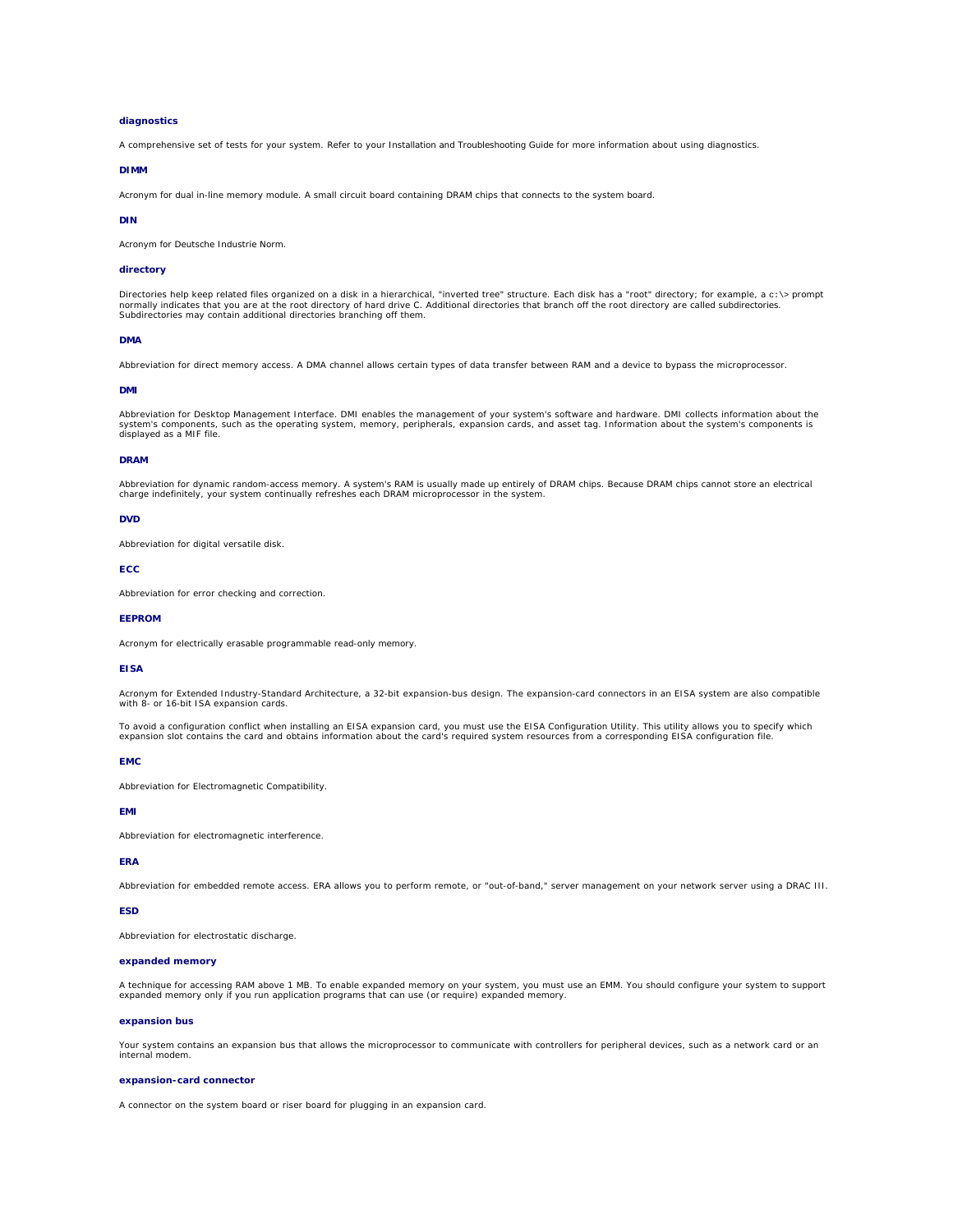### **diagnostics**

A comprehensive set of tests for your system. Refer to your *Installation and Troubleshooting Guide* for more information about using diagnostics.

## **DIMM**

Acronym for dual in-line memory module. A small circuit board containing DRAM chips that connects to the system board.

#### **DIN**

Acronym for *Deutsche Industrie Norm*.

#### **directory**

Directories help keep related files organized on a disk in a hierarchical, "inverted tree" structure. Each disk has a "root" directory; for example, a c:\> prompt<br>normally indicates that you are at the root directory of ha Subdirectories may contain additional directories branching off them.

### **DMA**

Abbreviation for direct memory access. A DMA channel allows certain types of data transfer between RAM and a device to bypass the microprocessor.

#### **DMI**

Abbreviation for Desktop Management Interface. DMI enables the management of your system's software and hardware. DMI collects information about the system's components, such as the operating system, memory, peripherals, expansion cards, and asset tag. Information about the system's components is displayed as a MIF file.

#### **DRAM**

Abbreviation for dynamic random-access memory. A system's RAM is usually made up entirely of DRAM chips. Because DRAM chips cannot store an electrical<br>charge indefinitely, your system continually refreshes each DRAM microp

### **DVD**

Abbreviation for digital versatile disk.

#### **ECC**

Abbreviation for error checking and correction.

#### **EEPROM**

Acronym for electrically erasable programmable read-only memory.

#### **EISA**

Acronym for Extended Industry-Standard Architecture, a 32-bit expansion-bus design. The expansion-card connectors in an EISA system are also compatible with 8- or 16-bit ISA expansion cards.

To avoid a configuration conflict when installing an EISA expansion card, you must use the EISA Configuration Utility. This utility allows you to specify which<br>expansion slot contains the card and obtains information about

#### **EMC**

Abbreviation for Electromagnetic Compatibility.

### **EMI**

Abbreviation for electromagnetic interference.

## **ERA**

Abbreviation for embedded remote access. ERA allows you to perform remote, or "out-of-band," server management on your network server using a DRAC III.

#### **ESD**

Abbreviation for electrostatic discharge.

### **expanded memory**

A technique for accessing RAM above 1 MB. To enable expanded memory on your system, you must use an EMM. You should configure your system to support expanded memory only if you run application programs that can use (or require) expanded memory.

### **expansion bus**

Your system contains an expansion bus that allows the microprocessor to communicate with controllers for peripheral devices, such as a network card or an internal modem.

#### **expansion-card connector**

A connector on the system board or riser board for plugging in an expansion card.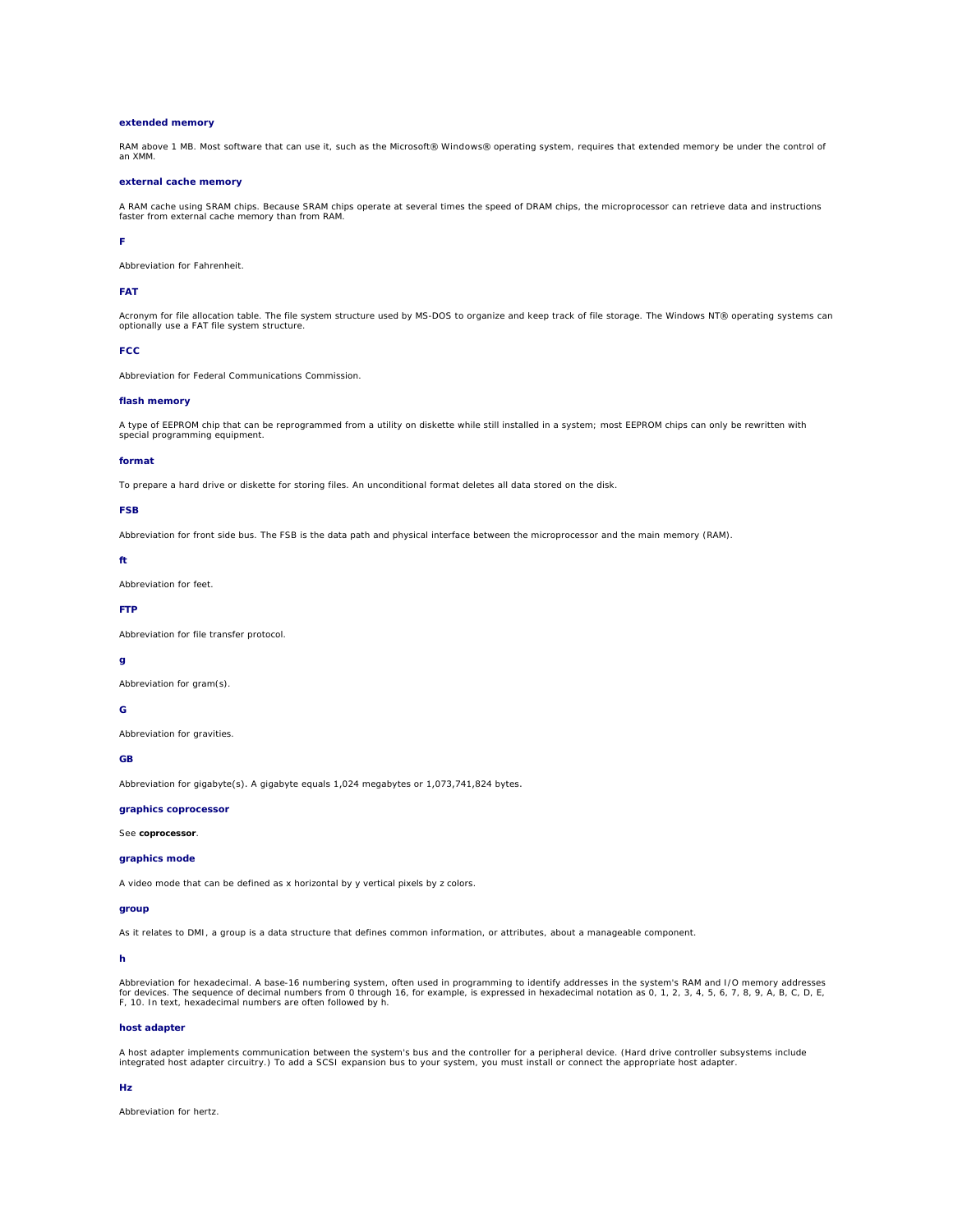### **extended memory**

RAM above 1 MB. Most software that can use it, such as the Microsoft® Windows® operating system, requires that extended memory be under the control of an XMM.

#### **external cache memory**

A RAM cache using SRAM chips. Because SRAM chips operate at several times the speed of DRAM chips, the microprocessor can retrieve data and instructions faster from external cache memory than from RAM.

### **F**

Abbreviation for Fahrenheit.

### **FAT**

Acronym for file allocation table. The file system structure used by MS-DOS to organize and keep track of file storage. The Windows NT® operating systems can optionally use a FAT file system structure.

### **FCC**

Abbreviation for Federal Communications Commission.

### **flash memory**

A type of EEPROM chip that can be reprogrammed from a utility on diskette while still installed in a system; most EEPROM chips can only be rewritten with special programming equipment.

#### **format**

To prepare a hard drive or diskette for storing files. An unconditional format deletes all data stored on the disk.

# **FSB**

Abbreviation for front side bus. The FSB is the data path and physical interface between the microprocessor and the main memory (RAM).

#### **ft**

Abbreviation for feet.

## **FTP**

Abbreviation for file transfer protocol.

### **g**

Abbreviation for gram(s).

# **G**

Abbreviation for gravities.

# **GB**

Abbreviation for gigabyte(s). A gigabyte equals 1,024 megabytes or 1,073,741,824 bytes.

### **graphics coprocessor**

See **coprocessor**.

## **graphics mode**

A video mode that can be defined as *x* horizontal by *y* vertical pixels by *z* colors.

## **group**

As it relates to DMI, a group is a data structure that defines common information, or attributes, about a manageable component.

#### **h**

Abbreviation for hexadecimal. A base-16 numbering system, often used in programming to identify addresses in the system's RAM and I/O memory addresses<br>for devices. The sequence of decimal numbers from 0 through 16, for exa

# **host adapter**

A host adapter implements communication between the system's bus and the controller for a peripheral device. (Hard drive controller subsystems include<br>integrated host adapter circuitry.) To add a SCSI expansion bus to your

### **Hz**

Abbreviation for hertz.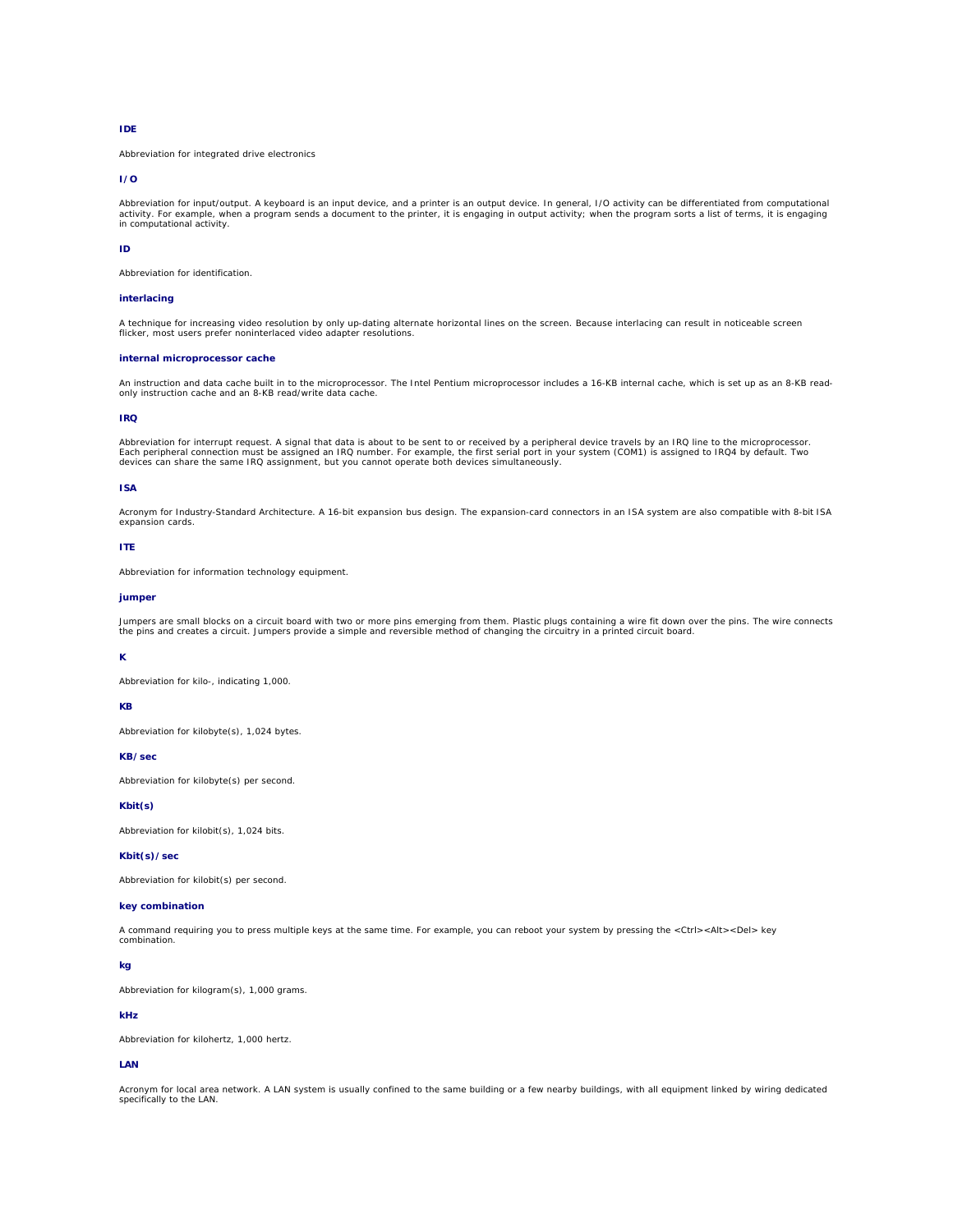### **IDE**

Abbreviation for integrated drive electronics

## **I/O**

Abbreviation for input/output. A keyboard is an input device, and a printer is an output device. In general, I/O activity can be differentiated from computational<br>activity. For example, when a program sends a document to t

### **ID**

Abbreviation for identification.

### **interlacing**

A technique for increasing video resolution by only up-dating alternate horizontal lines on the screen. Because interlacing can result in noticeable screen flicker, most users prefer noninterlaced video adapter resolutions.

## **internal microprocessor cache**

An instruction and data cache built in to the microprocessor. The Intel Pentium microprocessor includes a 16-KB internal cache, which is set up as an 8-KB readonly instruction cache and an 8-KB read/write data cache.

### **IRQ**

Abbreviation for interrupt request. A signal that data is about to be sent to or received by a peripheral device travels by an IRQ line to the microprocessor.<br>Each peripheral connection must be assigned an IRQ number. For

### **ISA**

Acronym for Industry-Standard Architecture. A 16-bit expansion bus design. The expansion-card connectors in an ISA system are also compatible with 8-bit ISA expansion cards.

### **ITE**

Abbreviation for information technology equipment.

#### **jumper**

Jumpers are small blocks on a circuit board with two or more pins emerging from them. Plastic plugs containing a wire fit down over the pins. The wire connects<br>the pins and creates a circuit. Jumpers provide a simple and r

### **K**

Abbreviation for kilo-, indicating 1,000.

## **KB**

Abbreviation for kilobyte(s), 1,024 bytes.

# **KB/sec**

Abbreviation for kilobyte(s) per second.

# **Kbit(s)**

Abbreviation for kilobit(s), 1,024 bits.

## **Kbit(s)/sec**

Abbreviation for kilobit(s) per second.

## **key combination**

A command requiring you to press multiple keys at the same time. For example, you can reboot your system by pressing the <Ctrl><Alt><Del> key combination.

#### **kg**

Abbreviation for kilogram(s), 1,000 grams.

## **kHz**

Abbreviation for kilohertz, 1,000 hertz.

# **LAN**

Acronym for local area network. A LAN system is usually confined to the same building or a few nearby buildings, with all equipment linked by wiring dedicated specifically to the LAN.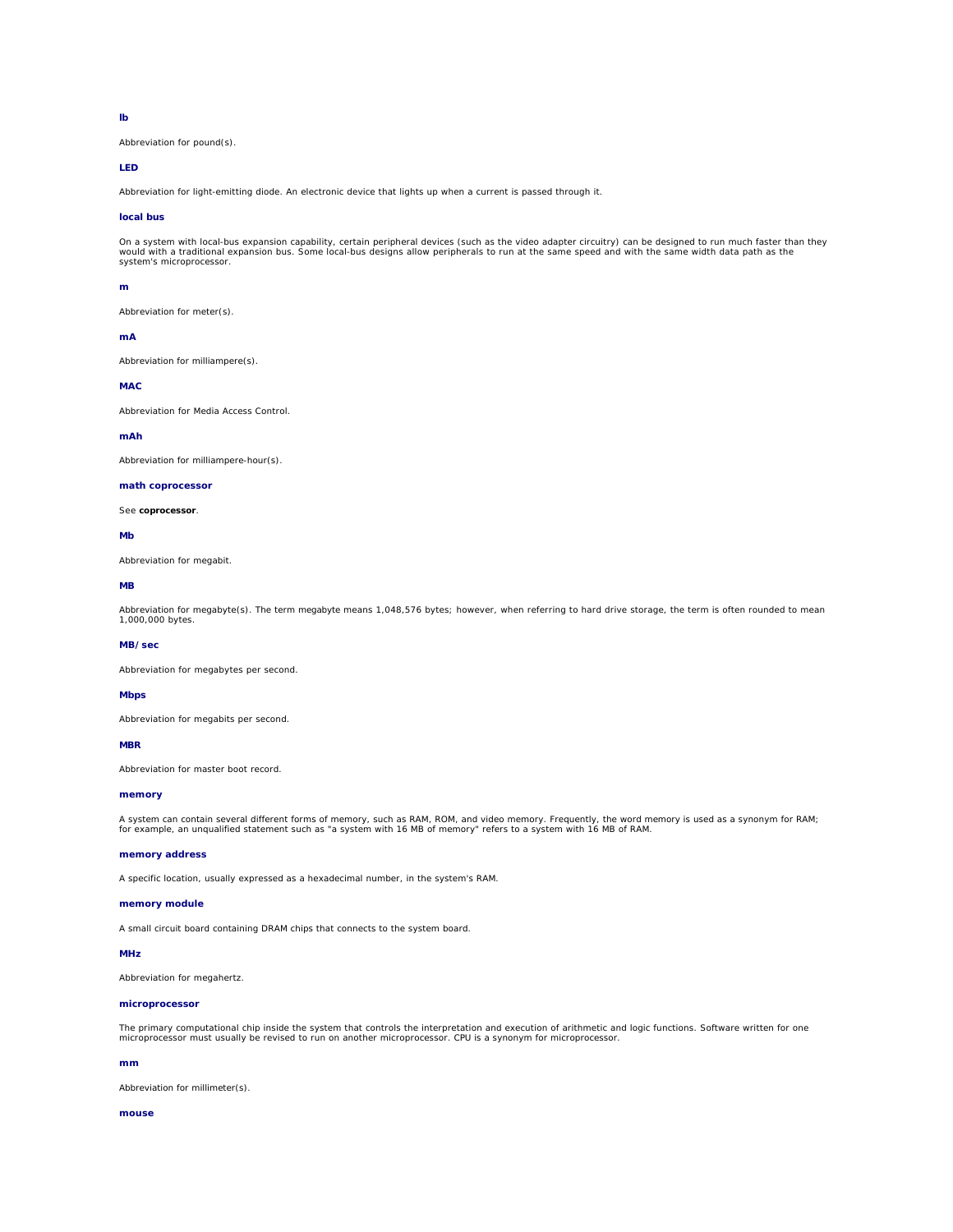# **lb**

Abbreviation for pound(s).

## **LED**

Abbreviation for light-emitting diode. An electronic device that lights up when a current is passed through it.

## **local bus**

On a system with local-bus expansion capability, certain peripheral devices (such as the video adapter circuitry) can be designed to run much faster than they<br>would with a traditional expansion bus. Some local-bus designs system's microprocessor.

#### **m**

Abbreviation for meter(s).

### **mA**

Abbreviation for milliampere(s).

### **MAC**

Abbreviation for Media Access Control.

### **mAh**

Abbreviation for milliampere-hour(s).

### **math coprocessor**

See **coprocessor**.

#### **Mb**

Abbreviation for megabit.

#### **MB**

Abbreviation for megabyte(s). The term *megabyte* means 1,048,576 bytes; however, when referring to hard drive storage, the term is often rounded to mean<br>1,000,000 bytes.

### **MB/sec**

Abbreviation for megabytes per second.

#### **Mbps**

Abbreviation for megabits per second.

### **MBR**

Abbreviation for master boot record.

#### **memory**

A system can contain several different forms of memory, such as RAM, ROM, and video memory. Frequently, the word *memory* is used as a synonym for RAM;<br>for example, an unqualified statement such as "a system with 16 MB of

## **memory address**

A specific location, usually expressed as a hexadecimal number, in the system's RAM.

#### **memory module**

A small circuit board containing DRAM chips that connects to the system board.

#### **MHz**

Abbreviation for megahertz.

#### **microprocessor**

The primary computational chip inside the system that controls the interpretation and execution of arithmetic and logic functions. Software written for one<br>microprocessor must usually be revised to run on another microproc

### **mm**

Abbreviation for millimeter(s).

### **mouse**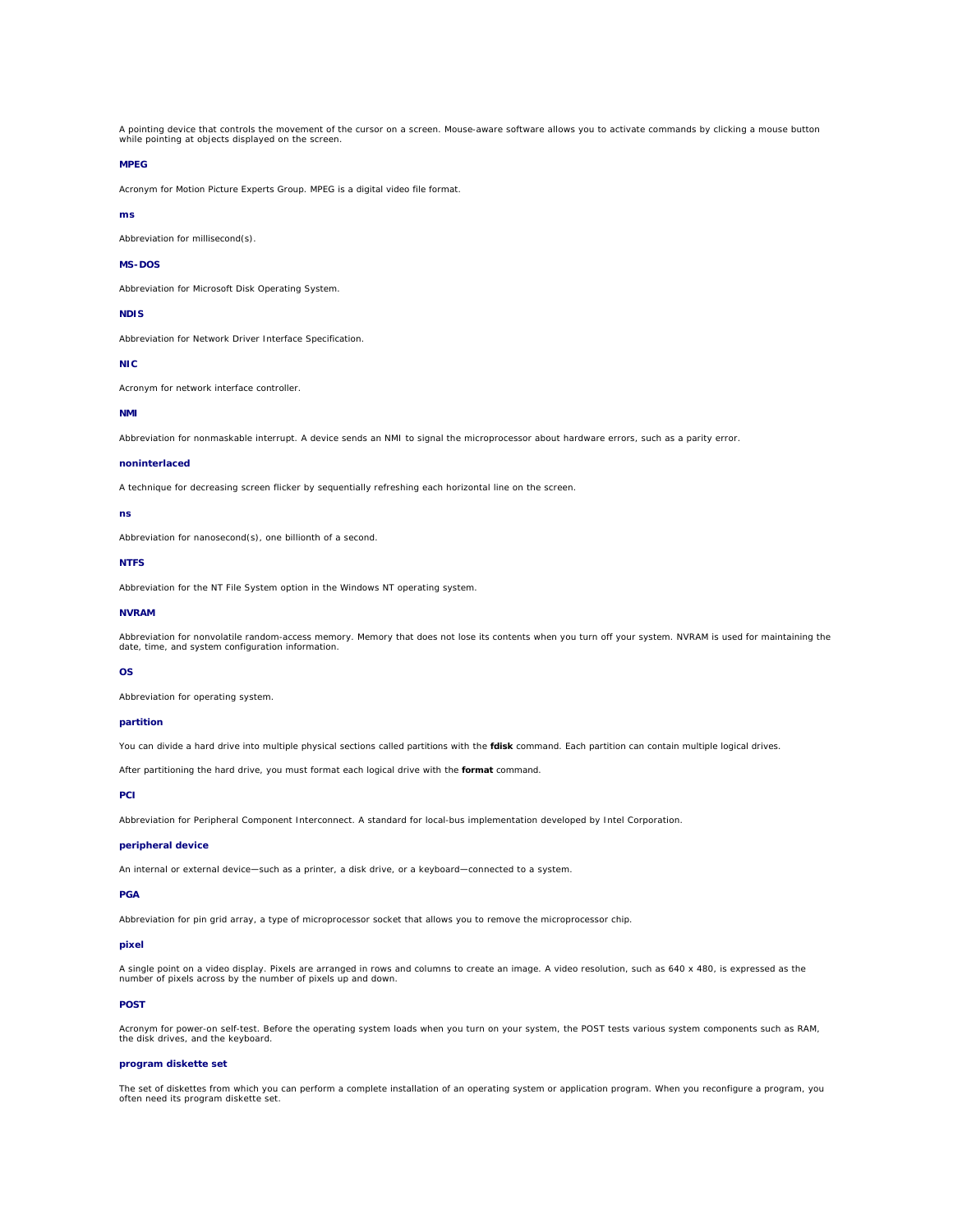A pointing device that controls the movement of the cursor on a screen. Mouse-aware software allows you to activate commands by clicking a mouse button while pointing at objects displayed on the screen.

## **MPEG**

Acronym for Motion Picture Experts Group. MPEG is a digital video file format.

#### **ms**

Abbreviation for millisecond(s).

#### **MS-DOS**

Abbreviation for Microsoft Disk Operating System.

### **NDIS**

Abbreviation for Network Driver Interface Specification.

#### **NIC**

Acronym for network interface controller.

### **NMI**

Abbreviation for nonmaskable interrupt. A device sends an NMI to signal the microprocessor about hardware errors, such as a parity error.

### **noninterlaced**

A technique for decreasing screen flicker by sequentially refreshing each horizontal line on the screen.

### **ns**

Abbreviation for nanosecond(s), one billionth of a second.

## **NTFS**

Abbreviation for the NT File System option in the Windows NT operating system.

#### **NVRAM**

Abbreviation for nonvolatile random-access memory. Memory that does not lose its contents when you turn off your system. NVRAM is used for maintaining the date, time, and system configuration information.

#### **OS**

Abbreviation for operating system.

### **partition**

You can divide a hard drive into multiple physical sections called *partitions* with the **fdisk** command. Each partition can contain multiple logical drives.

After partitioning the hard drive, you must format each logical drive with the **format** command.

### **PCI**

Abbreviation for Peripheral Component Interconnect. A standard for local-bus implementation developed by Intel Corporation.

# **peripheral device**

An internal or external device—such as a printer, a disk drive, or a keyboard—connected to a system.

## **PGA**

Abbreviation for pin grid array, a type of microprocessor socket that allows you to remove the microprocessor chip.

### **pixel**

A single point on a video display. Pixels are arranged in rows and columns to create an image. A video resolution, such as 640 x 480, is expressed as the number of pixels across by the number of pixels up and down.

### **POST**

Acronym for power-on self-test. Before the operating system loads when you turn on your system, the POST tests various system components such as RAM,<br>the disk drives, and the keyboard.

# **program diskette set**

The set of diskettes from which you can perform a complete installation of an operating system or application program. When you reconfigure a program, you often need its program diskette set.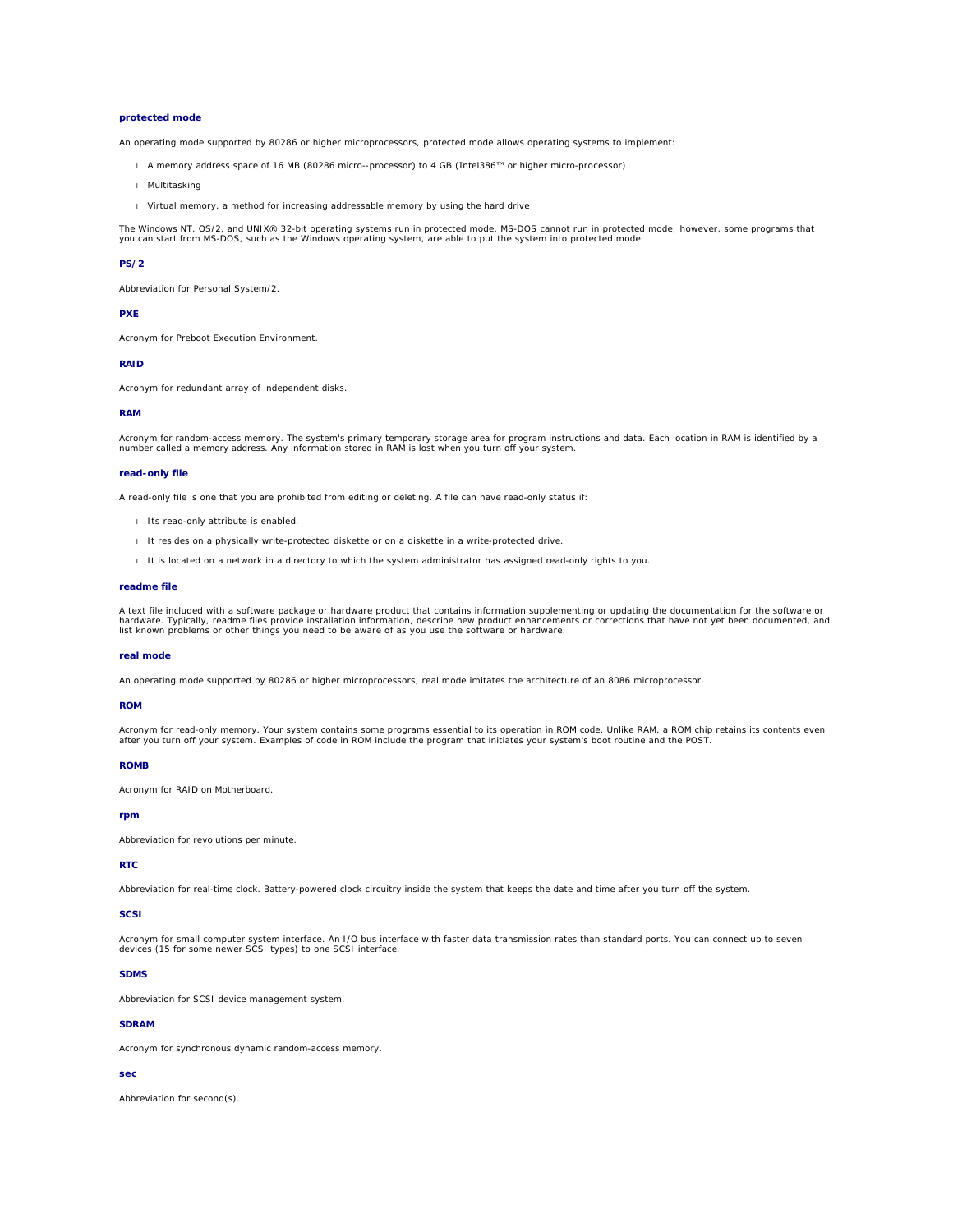### **protected mode**

An operating mode supported by 80286 or higher microprocessors, protected mode allows operating systems to implement:

- l A memory address space of 16 MB (80286 micro--processor) to 4 GB (Intel386™ or higher micro-processor)
- l Multitasking
- l Virtual memory, a method for increasing addressable memory by using the hard drive

The Windows NT, OS/2, and UNIX® 32-bit operating systems run in protected mode. MS-DOS cannot run in protected mode; however, some programs that<br>you can start from MS-DOS, such as the Windows operating system, are able to

#### **PS/2**

Abbreviation for Personal System/2.

#### **PXE**

Acronym for Preboot Execution Environment.

#### **RAID**

Acronym for redundant array of independent disks.

#### **RAM**

Acronym for random-access memory. The system's primary temporary storage area for program instructions and data. Each location in RAM is identified by a<br>number called a *memory address*. Any information stored in RAM is lo

### **read-only file**

A read-only file is one that you are prohibited from editing or deleting. A file can have read-only status if:

- l Its read-only attribute is enabled.
- l It resides on a physically write-protected diskette or on a diskette in a write-protected drive.
- l It is located on a network in a directory to which the system administrator has assigned read-only rights to you.

#### **readme file**

A text file included with a software package or hardware product that contains information supplementing or updating the documentation for the software or<br>hardware. Typically, readme files provide installation information,

### **real mode**

An operating mode supported by 80286 or higher microprocessors, real mode imitates the architecture of an 8086 microprocessor.

#### **ROM**

Acronym for read-only memory. Your system contains some programs essential to its operation in ROM code. Unlike RAM, a ROM chip retains its contents even<br>after you turn off your system. Examples of code in ROM include the

#### **ROMB**

Acronym for RAID on Motherboard.

## **rpm**

Abbreviation for revolutions per minute.

## **RTC**

Abbreviation for real-time clock. Battery-powered clock circuitry inside the system that keeps the date and time after you turn off the system.

## **SCSI**

Acronym for small computer system interface. An I/O bus interface with faster data transmission rates than standard ports. You can connect up to seven devices (15 for some newer SCSI types) to one SCSI interface.

# **SDMS**

Abbreviation for SCSI device management system.

# **SDRAM**

Acronym for synchronous dynamic random-access memory.

# **sec**

Abbreviation for second(s).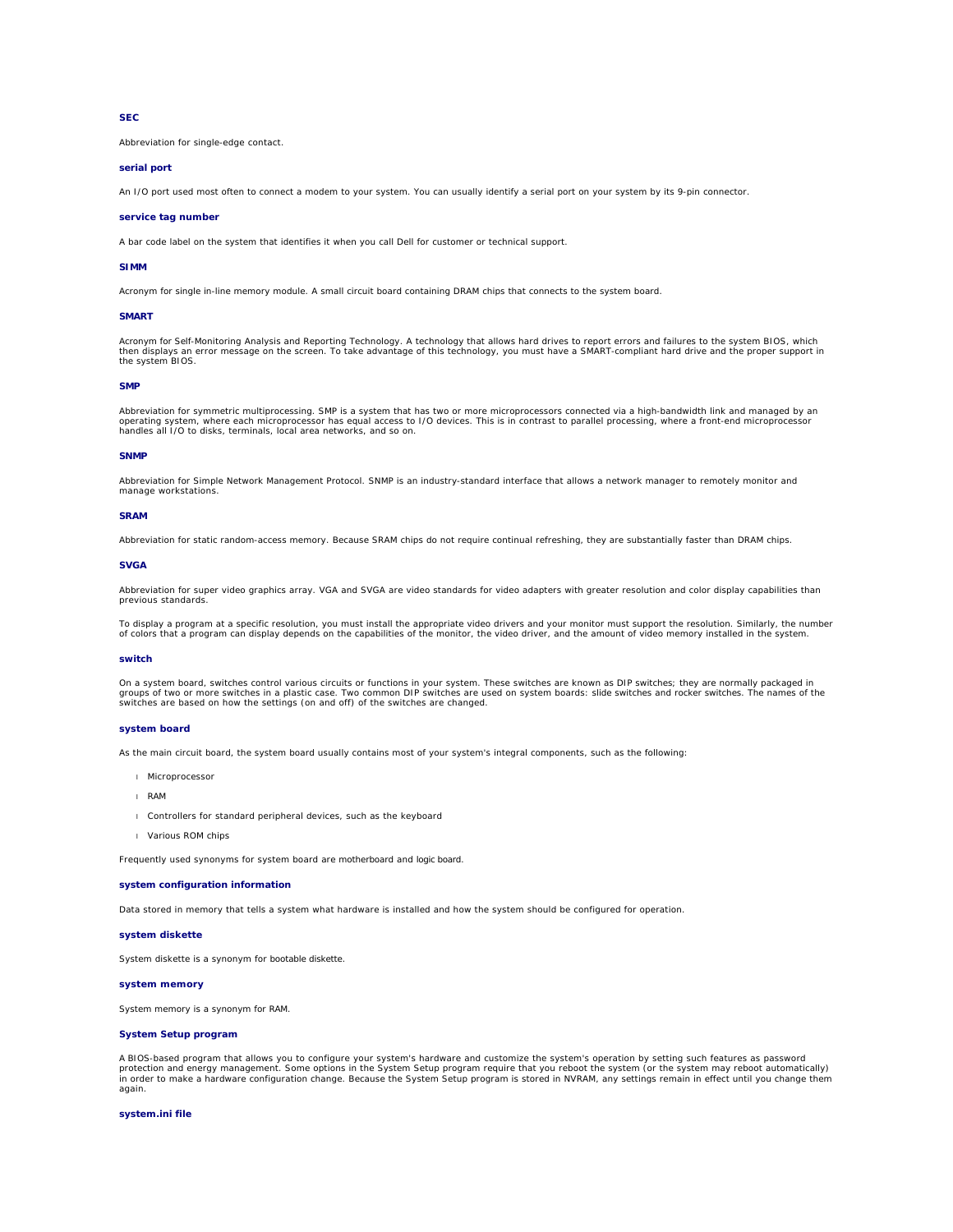## **SEC**

Abbreviation for single-edge contact.

## **serial port**

An I/O port used most often to connect a modem to your system. You can usually identify a serial port on your system by its 9-pin connector.

#### **service tag number**

A bar code label on the system that identifies it when you call Dell for customer or technical support.

### **SIMM**

Acronym for single in-line memory module. A small circuit board containing DRAM chips that connects to the system board.

#### **SMART**

Acronym for Self-Monitoring Analysis and Reporting Technology. A technology that allows hard drives to report errors and failures to the system BIOS, which then displays an error message on the screen. To take advantage of this technology, you must have a SMART-compliant hard drive and the proper support in the system BIOS.

#### **SMP**

Abbreviation for symmetric multiprocessing. SMP is a system that has two or more microprocessors connected via a high-bandwidth link and managed by an operating system, where each microprocessor has equal access to I/O devices. This is in contrast to parallel processing, where a front-end microprocessor handles all I/O to disks, terminals, local area networks, and so on.

#### **SNMP**

Abbreviation for Simple Network Management Protocol. SNMP is an industry-standard interface that allows a network manager to remotely monitor and manage workstations.

#### **SRAM**

Abbreviation for static random-access memory. Because SRAM chips do not require continual refreshing, they are substantially faster than DRAM chips.

#### **SVGA**

Abbreviation for super video graphics array. VGA and SVGA are video standards for video adapters with greater resolution and color display capabilities than previous standards.

To display a program at a specific resolution, you must install the appropriate video drivers and your monitor must support the resolution. Similarly, the number of colors that a program can display depends on the capabilities of the monitor, the video driver, and the amount of video memory installed in the system.

#### **switch**

On a system board, switches control various circuits or functions in your system. These switches are known as *DIP switches*; they are normally packaged in groups of two or more switches in a plastic case. Two common DIP switches are used on system boards: *slide switches* and *rocker switches*. The names of the<br>switches are based on how the settings (on and off) of the switc

#### **system board**

As the main circuit board, the system board usually contains most of your system's integral components, such as the following:

- l Microprocessor
- l RAM
- 1 Controllers for standard peripheral devices, such as the keyboard
- l Various ROM chips

Frequently used synonyms for system board are *motherboard* and *logic board*.

#### **system configuration information**

Data stored in memory that tells a system what hardware is installed and how the system should be configured for operation.

#### **system diskette**

System diskette is a synonym for *bootable diskette*.

### **system memory**

System memory is a synonym for *RAM*.

## **System Setup program**

A BIOS-based program that allows you to configure your system's hardware and customize the system's operation by setting such features as password protection and energy management. Some options in the System Setup program require that you reboot the system (or the system may reboot automatically)<br>in order to make a hardware configuration change. Because the System Se again.

### **system.ini file**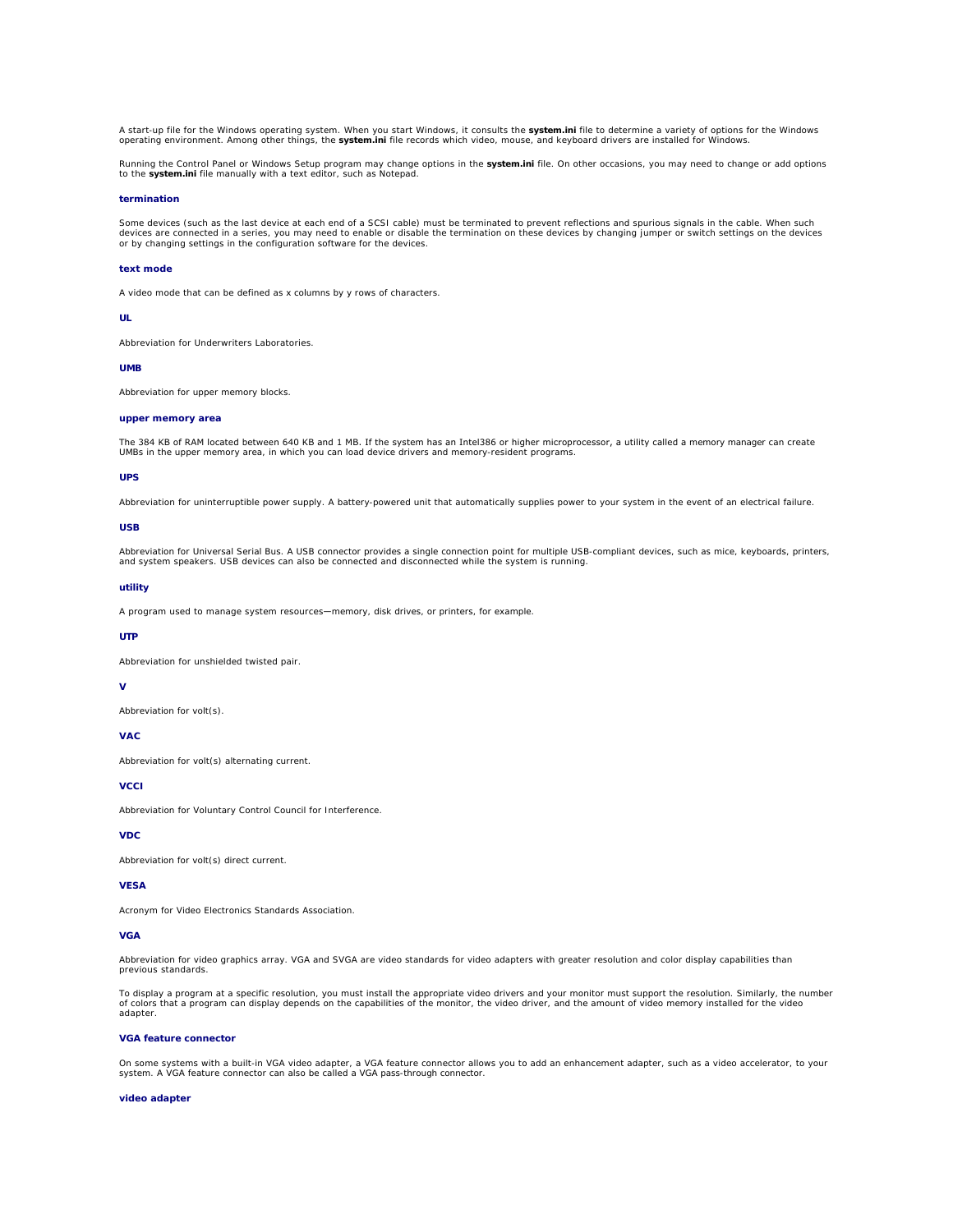A start-up file for the Windows operating system. When you start Windows, it consults the **system.ini** file to determine a variety of options for the Windows<br>operating environment. Among other things, the **system.ini** file

Running the Control Panel or Windows Setup program may change options in the **system.ini** file. On other occasions, you may need to change or add options to the **system.ini** file manually with a text editor, such as Notepad.

#### **termination**

Some devices (such as the last device at each end of a SCSI cable) must be terminated to prevent reflections and spurious signals in the cable. When such<br>devices are connected in a series, you may need to enable or disable

#### **text mode**

A video mode that can be defined as *x* columns by *y* rows of characters.

### **UL**

Abbreviation for Underwriters Laboratories.

#### **UMB**

Abbreviation for upper memory blocks.

### **upper memory area**

The 384 KB of RAM located between 640 KB and 1 MB. If the system has an Intel386 or higher microprocessor, a utility called a *memory manager* can create<br>UMBs in the upper memory area, in which you can load device drivers

## **UPS**

Abbreviation for uninterruptible power supply. A battery-powered unit that automatically supplies power to your system in the event of an electrical failure.

### **USB**

Abbreviation for Universal Serial Bus. A USB connector provides a single connection point for multiple USB-compliant devices, such as mice, keyboards, printers,<br>and system speakers. USB devices can also be connected and di

### **utility**

A program used to manage system resources—memory, disk drives, or printers, for example.

### **UTP**

Abbreviation for unshielded twisted pair.

## **V**

Abbreviation for volt(s).

# **VAC**

Abbreviation for volt(s) alternating current.

#### **VCCI**

Abbreviation for Voluntary Control Council for Interference.

### **VDC**

Abbreviation for volt(s) direct current.

#### **VESA**

Acronym for Video Electronics Standards Association.

### **VGA**

Abbreviation for video graphics array. VGA and SVGA are video standards for video adapters with greater resolution and color display capabilities than previous standards.

To display a program at a specific resolution, you must install the appropriate video drivers and your monitor must support the resolution. Similarly, the number of colors that a program can display depends on the capabilities of the monitor, the video driver, and the amount of video memory installed for the video adapter.

## **VGA feature connector**

On some systems with a built-in VGA video adapter, a VGA feature connector allows you to add an enhancement adapter, such as a video accelerator, to your<br>system. A VGA feature connector can also be called a *VGA pass-throu* 

#### **video adapter**